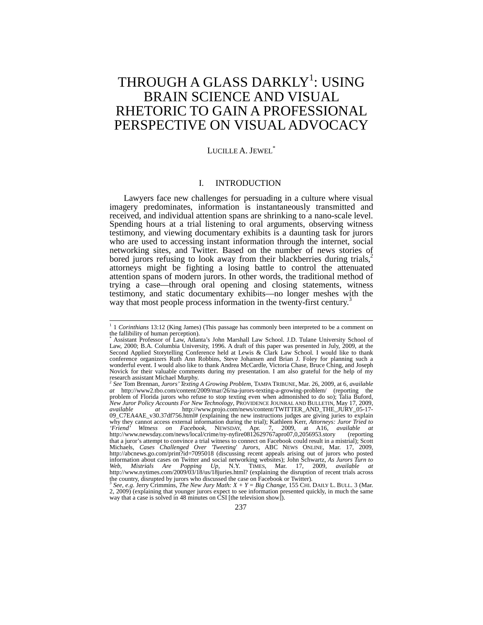# THROUGH A GLASS DARKLY<sup>1</sup>: USING BRAIN SCIENCE AND VISUAL RHETORIC TO GAIN A PROFESSIONAL PERSPECTIVE ON VISUAL ADVOCACY

# LUCILLE A. JEWEL<sup>\*</sup>

# I. INTRODUCTION

Lawyers face new challenges for persuading in a culture where visual imagery predominates, information is instantaneously transmitted and received, and individual attention spans are shrinking to a nano-scale level. Spending hours at a trial listening to oral arguments, observing witness testimony, and viewing documentary exhibits is a daunting task for jurors who are used to accessing instant information through the internet, social networking sites, and Twitter. Based on the number of news stories of bored jurors refusing to look away from their blackberries during trials, $2$ attorneys might be fighting a losing battle to control the attenuated attention spans of modern jurors. In other words, the traditional method of trying a case—through oral opening and closing statements, witness testimony, and static documentary exhibits—no longer meshes with the way that most people process information in the twenty-first century.<sup>3</sup>

<sup>&</sup>lt;sup>1</sup> 1 *Corinthians* 13:12 (King James) (This passage has commonly been interpreted to be a comment on the fallibility of human perception).

<sup>\*</sup> Assistant Professor of Law, Atlanta's John Marshall Law School. J.D. Tulane University School of Law, 2000; B.A. Columbia University, 1996. A draft of this paper was presented in July, 2009, at the Second Applied Storytelling Conference held at Lewis & Clark Law School. I would like to thank conference organizers Ruth Ann Robbins, Steve Johansen and Brian J. Foley for planning such a wonderful event. I would also like to thank Andrea McCardle, Victoria Chase, Bruce Ching, and Joseph Novick for their valuable comments during my presentation. I am also grateful for the help of my research assistant Michael Murphy. <sup>2</sup> *See* Tom Brennan, *Jurors' Texting A Growing Problem,* TAMPA TRIBUNE, Mar. 26, 2009, at 6, *available* 

*at* http://www2.tbo.com/content/2009/mar/26/na-jurors-texting-a-growing-problem/ (reporting the problem of Florida jurors who refuse to stop texting even when admonished to do so); Talia Buford, *New Juror Policy Accounts For New Technology*, PROVIDENCE JOUNRAL AND BULLETIN, May 17, 2009, *available at* http://www.projo.com/news/content/TWITTER\_AND\_THE\_JURY\_05-17- 09\_C7EA4AE\_v30.37df756.html# (explaining the new instructions judges are giving juries to explain why they cannot access external information during the trial); Kathleen Kerr, *Attorneys: Juror Tried to 'Friend' Witness on Facebook*, NEWSDAY, Apr. 7, 2009, at A16, *available at* http://www.newsday.com/news/local/crime/ny-nyfire0812629767apro07,0,2056953.story (reporting that a juror's attempt to convince a trial witness to connect on Facebook could result in a mistrial); Scott Michaels, *Cases Challenged Over 'Tweeting' Jurors*, ABC NEWS ONLINE, Mar. 17, 2009, http://abcnews.go.com/print?id=7095018 (discussing recent appeals arising out of jurors who posted information about cases on Twitter and social networking websites); John Schwartz, *As Jurors Turn to Web, Mistrials Are Popping Up*, N.Y. TIMES, Mar. 17, 2009, *available at* http://www.nytimes.com/2009/03/18/us/18juries.html? (explaining the disruption of recent trials across the country, disrupted by jurors who discussed the case on Facebook or Twitter).

<sup>3</sup> *See, e.g.* Jerry Crimmins, *The New Jury Math: X + Y = Big Change*, 155 CHI. DAILY L. BULL. 3 (Mar. 2, 2009) (explaining that younger jurors expect to see information presented quickly, in much the same way that a case is solved in 48 minutes on CSI [the television show]).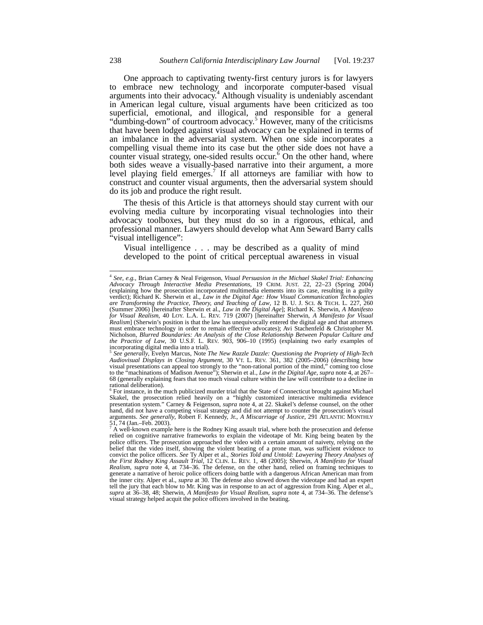One approach to captivating twenty-first century jurors is for lawyers to embrace new technology and incorporate computer-based visual arguments into their advocacy.<sup>4</sup> Although visuality is undeniably ascendant in American legal culture, visual arguments have been criticized as too superficial, emotional, and illogical, and responsible for a general "dumbing-down" of courtroom advocacy.<sup>5</sup> However, many of the criticisms that have been lodged against visual advocacy can be explained in terms of an imbalance in the adversarial system. When one side incorporates a compelling visual theme into its case but the other side does not have a counter visual strategy, one-sided results occur.<sup>6</sup> On the other hand, where both sides weave a visually-based narrative into their argument, a more level playing field emerges.<sup>7</sup> If all attorneys are familiar with how to construct and counter visual arguments, then the adversarial system should do its job and produce the right result.

The thesis of this Article is that attorneys should stay current with our evolving media culture by incorporating visual technologies into their advocacy toolboxes, but they must do so in a rigorous, ethical, and professional manner. Lawyers should develop what Ann Seward Barry calls "visual intelligence":

Visual intelligence . . . may be described as a quality of mind developed to the point of critical perceptual awareness in visual

<sup>4</sup> *See, e.g.*, Brian Carney & Neal Feigenson, *Visual Persuasion in the Michael Skakel Trial: Enhancing Advocacy Through Interactive Media Presentations*, 19 CRIM. JUST. 22, 22–23 (Spring 2004) (explaining how the prosecution incorporated multimedia elements into its case, resulting in a guilty verdict); Richard K. Sherwin et al., *Law in the Digital Age: How Visual Communication Technologies are Transforming the Practice, Theory, and Teaching of Law*, 12 B. U. J. SCI. & TECH. L. 227, 260 (Summer 2006) [hereinafter Sherwin et al., *Law in the Digital Age*]; Richard K. Sherwin, *A Manifesto*<br>for Visual Realism, 40 LOY. L.A. L. REV. 719 (2007) [hereinafter Sherwin, *A Manifesto for Visual Realism*] (Sherwin's position is that the law has unequivocally entered the digital age and that attorneys must embrace technology in order to remain effective advocates); Avi Stachenfeld & Christopher M. Nicholson, *Blurred Boundaries: An Analysis of the Close Relationship Between Popular Culture and the Practice of Law*, 30 U.S.F. L. REV. 903, 906–10 (1995) (explaining two early examples of incorporating digital media into a trial).

<sup>5</sup> *See generally*, Evelyn Marcus, Note *The New Razzle Dazzle: Questioning the Propriety of High-Tech Audiovisual Displays in Closing Argument*, 30 VT. L. REV. 361, 382 (2005–2006) (describing how visual presentations can appeal too strongly to the "non-rational portion of the mind," coming too close to the "machinations of Madison Avenue"); Sherwin et al.*, Law in the Digital Age*, *supra* note 4, at 267– 68 (generally explaining fears that too much visual culture within the law will contribute to a decline in rational deliberation).

For instance, in the much publicized murder trial that the State of Connecticut brought against Michael Skakel, the prosecution relied heavily on a "highly customized interactive multimedia evidence presentation system." Carney & Feigenson, *supra* note 4, at 22. Skakel's defense counsel, on the other hand, did not have a competing visual strategy and did not attempt to counter the prosecution's visual arguments. *See generally*, Robert F. Kennedy, Jr., *A Miscarriage of Justice*, 291 ATLANTIC MONTHLY 51, 74 (Jan.–Feb. 2003).

<sup>7</sup> A well-known example here is the Rodney King assault trial, where both the prosecution and defense relied on cognitive narrative frameworks to explain the videotape of Mr. King being beaten by the police officers. The prosecution approached the video with a certain amount of naivety, relying on the belief that the video itself, showing the violent beating of a prone man, was sufficient evidence to convict the police officers. *See* Ty Alper et al., *Stories Told and Untold: Lawyering Theory Analyses of*  the First Rodney King Assault Trial, 12 CLIN. L. REV. 1, 48 (2005); Sherwin, A Manifesto for Visual<br>Realism, supra note 4, at 734–36. The defense, on the other hand, relied on framing techniques to generate a narrative of heroic police officers doing battle with a dangerous African American man from the inner city. Alper et al., *supra* at 30. The defense also slowed down the videotape and had an expert tell the jury that each blow to Mr. King was in response to an act of aggression from King. Alper et al., *supra* at 36–38, 48; Sherwin, *A Manifesto for Visual Realism*, *supra* note 4, at 734–36. The defense's visual strategy helped acquit the police officers involved in the beating.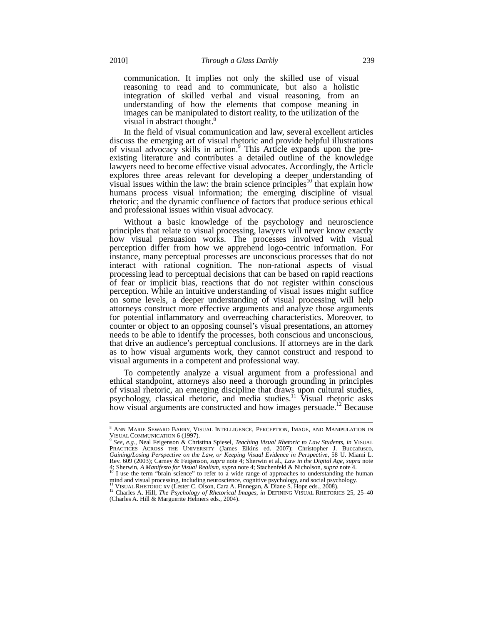communication. It implies not only the skilled use of visual reasoning to read and to communicate, but also a holistic integration of skilled verbal and visual reasoning, from an understanding of how the elements that compose meaning in images can be manipulated to distort reality, to the utilization of the visual in abstract thought.<sup>8</sup>

In the field of visual communication and law, several excellent articles discuss the emerging art of visual rhetoric and provide helpful illustrations of visual advocacy skills in action.<sup>9</sup> This Article expands upon the preexisting literature and contributes a detailed outline of the knowledge lawyers need to become effective visual advocates. Accordingly, the Article explores three areas relevant for developing a deeper understanding of  $\alpha$  visual issues within the law: the brain science principles<sup>10</sup> that explain how humans process visual information; the emerging discipline of visual rhetoric; and the dynamic confluence of factors that produce serious ethical and professional issues within visual advocacy.

Without a basic knowledge of the psychology and neuroscience principles that relate to visual processing, lawyers will never know exactly how visual persuasion works. The processes involved with visual perception differ from how we apprehend logo-centric information. For instance, many perceptual processes are unconscious processes that do not interact with rational cognition. The non-rational aspects of visual processing lead to perceptual decisions that can be based on rapid reactions of fear or implicit bias, reactions that do not register within conscious perception. While an intuitive understanding of visual issues might suffice on some levels, a deeper understanding of visual processing will help attorneys construct more effective arguments and analyze those arguments for potential inflammatory and overreaching characteristics. Moreover, to counter or object to an opposing counsel's visual presentations, an attorney needs to be able to identify the processes, both conscious and unconscious, that drive an audience's perceptual conclusions. If attorneys are in the dark as to how visual arguments work, they cannot construct and respond to visual arguments in a competent and professional way.

To competently analyze a visual argument from a professional and ethical standpoint, attorneys also need a thorough grounding in principles of visual rhetoric, an emerging discipline that draws upon cultural studies, psychology, classical rhetoric, and media studies.<sup>11</sup> Visual rhetoric asks how visual arguments are constructed and how images persuade.<sup>12</sup> Because

<sup>8</sup> ANN MARIE SEWARD BARRY, VISUAL INTELLIGENCE, PERCEPTION, IMAGE, AND MANIPULATION IN

VISUAL COMMUNICATION 6 (1997).<br><sup>9</sup> See, e.g., Neal Feigenson & Christina Spiesel, *Teaching Visual Rhetoric to Law Students*, *in* VISUAL<br>PRACTICES ACROSS THE UNIVERSITY (James Elkins ed. 2007); Christopher J. Buccafusco, *Gaining/Losing Perspective on the Law, or Keeping Visual Evidence in Perspective*, 58 U. Miami L. Rev. 609 (2003); Carney & Feigenson, *supra* note 4; Sherwin et al., *Law in the Digital Age*, *supra* note 4; Sherwin, *A Manifesto for Visual Realism*, *supra* note 4; Stachenfeld & Nicholson, *supra* note 4.<br><sup>10</sup> I use the term "brain science" to refer to a wide range of approaches to understanding the human

mind and visual processing, including neuroscience, cognitive psychology, and social psychology, <sup>11</sup> VISUAL RHETORIC xv (Lester C. Olson, Cara A. Finnegan, & Diane S. Hope eds., 2008).

<sup>&</sup>lt;sup>12</sup> Charles A. Hill, *The Psychology of Rhetorical Images*, *in* DEFINING VISUAL RHETORICS 25, 25–40 (Charles A. Hill & Marguerite Helmers eds., 2004).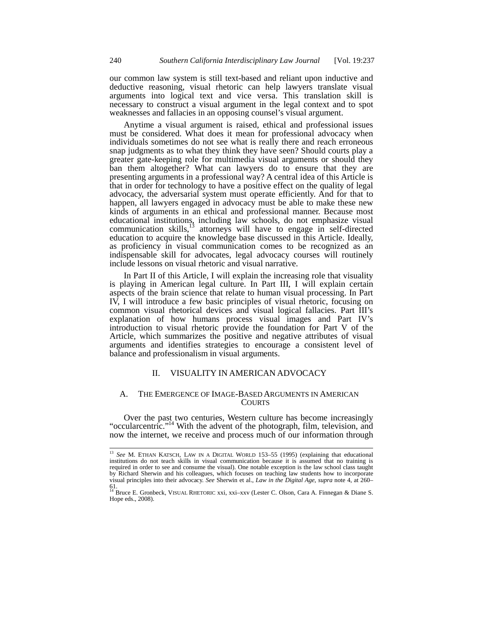our common law system is still text-based and reliant upon inductive and deductive reasoning, visual rhetoric can help lawyers translate visual arguments into logical text and vice versa. This translation skill is necessary to construct a visual argument in the legal context and to spot weaknesses and fallacies in an opposing counsel's visual argument.

Anytime a visual argument is raised, ethical and professional issues must be considered. What does it mean for professional advocacy when individuals sometimes do not see what is really there and reach erroneous snap judgments as to what they think they have seen? Should courts play a greater gate-keeping role for multimedia visual arguments or should they ban them altogether? What can lawyers do to ensure that they are presenting arguments in a professional way? A central idea of this Article is that in order for technology to have a positive effect on the quality of legal advocacy, the adversarial system must operate efficiently. And for that to happen, all lawyers engaged in advocacy must be able to make these new kinds of arguments in an ethical and professional manner. Because most educational institutions, including law schools, do not emphasize visual communication skills, $^{13}$  attorneys will have to engage in self-directed education to acquire the knowledge base discussed in this Article. Ideally, as proficiency in visual communication comes to be recognized as an indispensable skill for advocates, legal advocacy courses will routinely include lessons on visual rhetoric and visual narrative.

In Part II of this Article, I will explain the increasing role that visuality is playing in American legal culture. In Part III, I will explain certain aspects of the brain science that relate to human visual processing. In Part IV, I will introduce a few basic principles of visual rhetoric, focusing on common visual rhetorical devices and visual logical fallacies. Part III's explanation of how humans process visual images and Part IV's introduction to visual rhetoric provide the foundation for Part V of the Article, which summarizes the positive and negative attributes of visual arguments and identifies strategies to encourage a consistent level of balance and professionalism in visual arguments.

# II. VISUALITY IN AMERICAN ADVOCACY

# A. THE EMERGENCE OF IMAGE-BASED ARGUMENTS IN AMERICAN **COURTS**

Over the past two centuries, Western culture has become increasingly "occularcentric."<sup>14</sup> With the advent of the photograph, film, television, and now the internet, we receive and process much of our information through

<sup>13</sup> *See* M. ETHAN KATSCH, LAW IN A DIGITAL WORLD 153–55 (1995) (explaining that educational institutions do not teach skills in visual communication because it is assumed that no training is required in order to see and consume the visual). One notable exception is the law school class taught by Richard Sherwin and his colleagues, which focuses on teaching law students how to incorporate visual principles into their advocacy. *See* Sherwin et al., *Law in the Digital Age*, *supra* note 4, at 260–

<sup>61.</sup> <sup>14</sup> Bruce E. Gronbeck, VISUAL RHETORIC xxi, xxi–xxv (Lester C. Olson, Cara A. Finnegan & Diane S. Hope eds., 2008).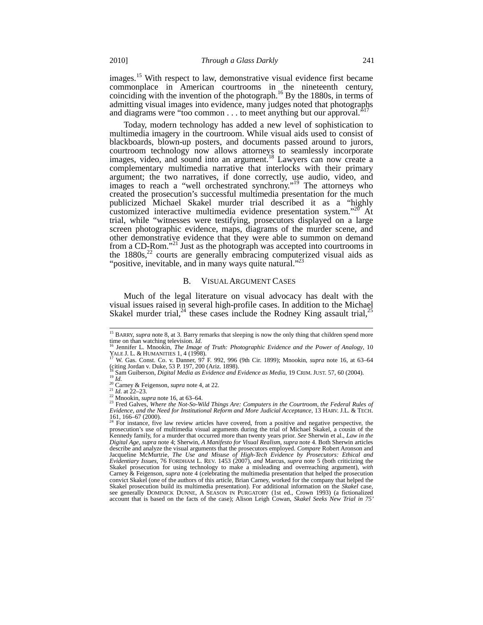images.<sup>15</sup> With respect to law, demonstrative visual evidence first became commonplace in American courtrooms in the nineteenth century, coinciding with the invention of the photograph.<sup>16</sup> By the 1880s, in terms of admitting visual images into evidence, many judges noted that photographs and diagrams were "too common . . . to meet anything but our approval."<sup>1</sup>

Today, modern technology has added a new level of sophistication to multimedia imagery in the courtroom. While visual aids used to consist of blackboards, blown-up posters, and documents passed around to jurors, courtroom technology now allows attorneys to seamlessly incorporate images, video, and sound into an argument.<sup>18</sup> Lawyers can now create a complementary multimedia narrative that interlocks with their primary argument; the two narratives, if done correctly, use audio, video, and images to reach a "well orchestrated synchrony."<sup>19</sup> The attorneys who created the prosecution's successful multimedia presentation for the much publicized Michael Skakel murder trial described it as a "highly customized interactive multimedia evidence presentation system."<sup>20</sup> At trial, while "witnesses were testifying, prosecutors displayed on a large screen photographic evidence, maps, diagrams of the murder scene, and other demonstrative evidence that they were able to summon on demand from a CD-Rom."<sup>21</sup> Just as the photograph was accepted into courtrooms in the  $1880s$ ,<sup>22</sup> courts are generally embracing computerized visual aids as "positive, inevitable, and in many ways quite natural."<sup>23</sup>

#### B. VISUAL ARGUMENT CASES

Much of the legal literature on visual advocacy has dealt with the visual issues raised in several high-profile cases. In addition to the Michael Skakel murder trial,  $^{24}$  these cases include the Rodney King assault trial,  $^{25}$ 

<sup>&</sup>lt;sup>15</sup> BARRY, *supra* note 8, at 3. Barry remarks that sleeping is now the only thing that children spend more time on than watching television. *Id.* 16 Jennifer L. Mnookin, *The Image of Truth: Photographic Evidence and the Power of Analogy*, 10

YALE J. L. & HUMANITIES 1, 4 (1998).<br><sup>17</sup> W. Gas. Const. Co. v. Danner, 97 F. 992, 996 (9th Cir. 1899); Mnookin, *supra* note 16, at 63–64

<sup>(</sup>citing Jordan v. Duke, 53 P. 197, 200 (Ariz. 1898).

<sup>&</sup>lt;sup>18</sup> Sam Guiberson, *Digital Media as Evidence and Evidence as Media*, 19 CRIM. JUST. 57, 60 (2004).<br><sup>19</sup> Id.<br><sup>20</sup> Carney & Feigenson, *supra* note 4, at 22.<br><sup>21</sup> Id. at 22–23.<br><sup>22</sup> Mnookin, *supra* note 16, at 63–64.<br><sup>23</sup>

*Evidence, and the Need for Institutional Reform and More Judicial Acceptance*, 13 HARV. J.L. & TECH. 161, 166–67 (2000).<br>
<sup>24</sup> Equation 1

<sup>24</sup> For instance, five law review articles have covered, from a positive and negative perspective, the prosecution's use of multimedia visual arguments during the trial of Michael Skakel, a cousin of the Kennedy family, for a murder that occurred more than twenty years prior. *See* Sherwin et al., *Law in the*  Digital Age, supra note 4; Sherwin, A Manifesto for Visual Realism, supra note 4. Both Sherwin articles describe and analyze the visual arguments that the prosecutors employed. Compare Robert Aronson and Jacqueline McMurtrie, *The Use and Misuse of High-Tech Evidence by Prosecutors: Ethical and Evidentiary Issues*, 76 FORDHAM L. REV. 1453 (2007), *and* Marcus, *supra* note 5 (both criticizing the Skakel prosecution for using technology to make a misleading and overreaching argument), *with* Carney & Feigenson, *supra* note 4 (celebrating the multimedia presentation that helped the prosecution convict Skakel (one of the authors of this article, Brian Carney, worked for the company that helped the Skakel prosecution build its multimedia presentation). For additional information on the *Skakel* case, see generally DOMINICK DUNNE, A SEASON IN PURGATORY (1st ed., Crown 1993) (a fictionalized account that is based on the facts of the case); Alison Leigh Cowan, *Skakel Seeks New Trial in 75'*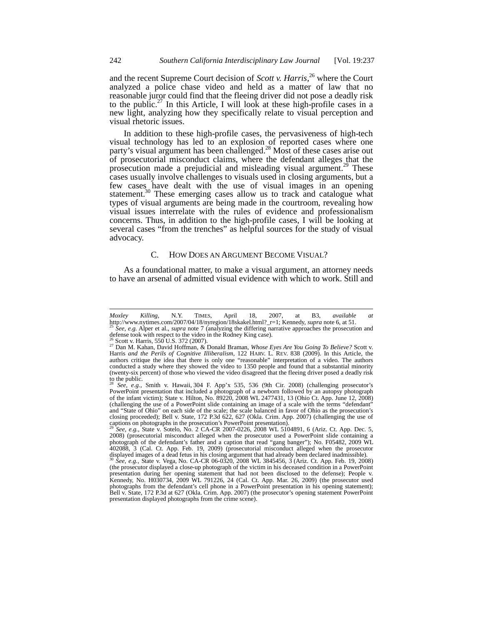and the recent Supreme Court decision of *Scott v. Harris*, <sup>26</sup> where the Court analyzed a police chase video and held as a matter of law that no reasonable juror could find that the fleeing driver did not pose a deadly risk to the public.<sup>27</sup> In this Article, I will look at these high-profile cases in a new light, analyzing how they specifically relate to visual perception and visual rhetoric issues.

In addition to these high-profile cases, the pervasiveness of high-tech visual technology has led to an explosion of reported cases where one party's visual argument has been challenged.<sup>28</sup> Most of these cases arise out of prosecutorial misconduct claims, where the defendant alleges that the prosecution made a prejudicial and misleading visual argument.<sup>29</sup> These cases usually involve challenges to visuals used in closing arguments, but a few cases have dealt with the use of visual images in an opening statement.<sup>30</sup> These emerging cases allow us to track and catalogue what types of visual arguments are being made in the courtroom, revealing how visual issues interrelate with the rules of evidence and professionalism concerns. Thus, in addition to the high-profile cases, I will be looking at several cases "from the trenches" as helpful sources for the study of visual advocacy.

# C. HOW DOES AN ARGUMENT BECOME VISUAL?

As a foundational matter, to make a visual argument, an attorney needs to have an arsenal of admitted visual evidence with which to work. Still and

*Moxley Killing*, N.Y. TIMES, April 18, 2007, at B3, *available at* http://www.nytimes.com/2007/04/18/nyregion/18skakel.html?\_r=1; Kennedy, *supra* note 6, at 51.<br><sup>25</sup> *See, e.g.* Alper et al., *supra* note 7 (analyzing the differing narrative approaches the prosecution and <sup>25</sup> See, e.g. Alper et al., *supra* note 7 (analyzing the differing narrative approaches the prosecution and defense took with respect to the video in the Rodney King case).<br><sup>26</sup> Scott v. Harris, 550 U.S. 372 (2007).

<sup>&</sup>lt;sup>26</sup> Scott v. Harris, 550 U.S. 372 (2007).<br><sup>27</sup> Dan M. Kahan, David Hoffman, & Donald Braman, *Whose Eyes Are You Going To Believe?* Scott v.<br>Harris *and the Perils of Cognitive Illiberalism*, 122 HARV. L. REV. 838 (2009). authors critique the idea that there is only one "reasonable" interpretation of a video. The authors conducted a study where they showed the video to 1350 people and found that a substantial minority (twenty-six percent) of those who viewed the video disagreed that the fleeing driver posed a deadly risk to the public.

<sup>28</sup> *See, e.g.*, Smith v. Hawaii*,* 304 F. App'x 535, 536 (9th Cir. 2008) (challenging prosecutor's PowerPoint presentation that included a photograph of a newborn followed by an autopsy photograph of the infant victim); State v. Hilton*,* No. 89220, 2008 WL 2477431, 13 (Ohio Ct. App. June 12, 2008) (challenging the use of a PowerPoint slide containing an image of a scale with the terms "defendant" and "State of Ohio" on each side of the scale; the scale balanced in favor of Ohio as the prosecution's closing proceeded); Bell v. State*,* 172 P.3d 622, 627 (Okla. Crim. App. 2007) (challenging the use of captions on photographs in the prosecution's PowerPoint presentation). <sup>29</sup> *See, e.g.,* State v. Sotelo*,* No. 2 CA-CR 2007-0226, 2008 WL 5104891, 6 (Ariz. Ct. App. Dec. 5,

<sup>2008) (</sup>prosecutorial misconduct alleged when the prosecutor used a PowerPoint slide containing a photograph of the defendant's father and a caption that read "gang banger"); No. F05482, 2009 WL 402088, 3 (Cal. Ct. App. Feb. 19, 2009) (prosecutorial misconduct alleged when the prosecutor displayed images of a dead fetus in his closing argument that had already been declared inadmissible). <sup>30</sup> *See, e.g.,* State v. Vega*,* No. CA-CR 06-0320, 2008 WL 3845456, 3 (Ariz. Ct. App. Feb. 19, 2008) (the prosecutor displayed a close-up photograph of the victim in his deceased condition in a PowerPoint presentation during her opening statement that had not been disclosed to the defense); People v. Kennedy, No. H030734, 2009 WL 791226, 24 (Cal. Ct. App. Mar. 26, 2009) (the prosecutor used photographs from the defendant's cell phone in a PowerPoint presentation in his opening statement); Bell v. State, 172 P.3d at 627 (Okla. Crim. App. 2007) (the prosecutor's opening statement PowerPoint presentation displayed photographs from the crime scene).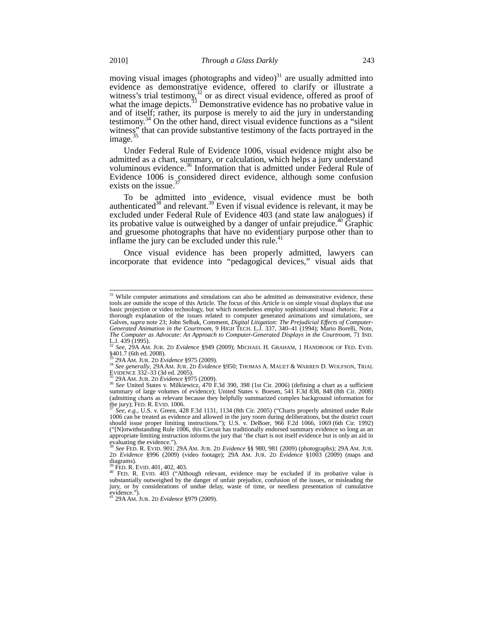moving visual images (photographs and video) $31$  are usually admitted into evidence as demonstrative evidence, offered to clarify or illustrate a witness's trial testimony,<sup>32</sup> or as direct visual evidence, offered as proof of what the image depicts. $33$  Demonstrative evidence has no probative value in and of itself; rather, its purpose is merely to aid the jury in understanding testimony.<sup>34</sup> On the other hand, direct visual evidence functions as a "silent" witness" that can provide substantive testimony of the facts portrayed in the image.<sup>35</sup>

Under Federal Rule of Evidence 1006, visual evidence might also be admitted as a chart, summary, or calculation, which helps a jury understand voluminous evidence.<sup>36</sup> Information that is admitted under Federal Rule of Evidence 1006 is considered direct evidence, although some confusion exists on the issue.<sup>3</sup>

To be admitted into evidence, visual evidence must be both authenticated<sup>38</sup> and relevant.<sup>39</sup> Even if visual evidence is relevant, it may be excluded under Federal Rule of Evidence 403 (and state law analogues) if its probative value is outweighed by a danger of unfair prejudice.<sup>40</sup> Graphic and gruesome photographs that have no evidentiary purpose other than to inflame the jury can be excluded under this rule. $41$ 

Once visual evidence has been properly admitted, lawyers can incorporate that evidence into "pedagogical devices," visual aids that

 $31$  While computer animations and simulations can also be admitted as demonstrative evidence, these tools are outside the scope of this Article. The focus of this Article is on simple visual displays that use basic projection or video technology, but which nonetheless employ sophisticated visual rhetoric. For a thorough explanation of the issues related to computer generated animations and simulations, see Galves, *supra* note 23; John Selbak, Comment, *Digital Litigation: The Prejudicial Effects of Computer-Generated Animation in the Courtroom,* 9 HIGH TECH. L.J. 337, 340–41 (1994); Mario Borelli, Note, *The Computer as Advocate: An Approach to Computer-Generated Displays in the Courtroom, 71 IND.*<br>L.J. 439 (1995).<br><sup>32</sup> *See* 29A AM IUP 2D *Evidence* 8040 (2000). MICUATE II CRAINALE 1 ISSUED 2010 - The T

L.J. 439 (1995). <sup>32</sup> *See*, 29A AM. JUR. 2D *Evidence* §949 (2009); MICHAEL H. GRAHAM, 1 HANDBOOK OF FED. EVID*.* §401.7 (6th ed. 2008).

<sup>33 29</sup>A AM. JUR. 2D *Evidence* §975 (2009).<br><sup>34</sup> *See generally*, 29A AM. JUR. 2D *Evidence* §950; THOMAS A. MAUET & WARREN D. WOLFSON, TRIAL<br>EVIDENCE 332-33 (3d ed. 2005).

EVIDENCE 332–33 (3d ed. 2005).<br><sup>35</sup> 29A AM. JUR. 2D *Evidence* §975 (2009).<br><sup>36</sup> *See* United States v. Milkiewicz, 470 F.3d 390, 398 (1st Cir. 2006) (defining a chart as a sufficient<br>summary of large volumes of evidence); (admitting charts as relevant because they helpfully summarized complex background information for the jury); FED. R. EVID. 1006.<br><sup>37</sup> *See, e.g.*, U.S. v. Green, 428 F.3d 1131, 1134 (8th Cir. 2005) ("Charts properly admitted under Rule"

<sup>1006</sup> can be treated as evidence and allowed in the jury room during deliberations, but the district court should issue proper limiting instructions."); U.S. v. DeBoer*,* 966 F.2d 1066, 1069 (6th Cir. 1992) ("[N]otwithstanding Rule 1006, this Circuit has traditionally endorsed summary evidence so long as an appropriate limiting instruction informs the jury that 'the chart is not itself evidence but is only an aid in evaluating the evidence."). <sup>38</sup> *See* FED. R. EVID. 901; 29A AM. JUR. 2D *Evidence* §§ 980, 981 (2009) (photographs); 29A AM. JUR.

<sup>2</sup>D *Evidence* §996 (2009) (video footage); 29A AM. JUR. 2D *Evidence* §1003 (2009) (maps and diagrams).

<sup>39</sup> FED. R. EVID. 401, 402, 403. <sup>40</sup> FED. R. EVID. 403 ("Although relevant, evidence may be excluded if its probative value is substantially outweighed by the danger of unfair prejudice, confusion of the issues, or misleading the jury, or by considerations of undue delay, waste of time, or needless presentation of cumulative evidence."). <sup>41</sup> 29A AM. JUR. 2D *Evidence* §979 (2009).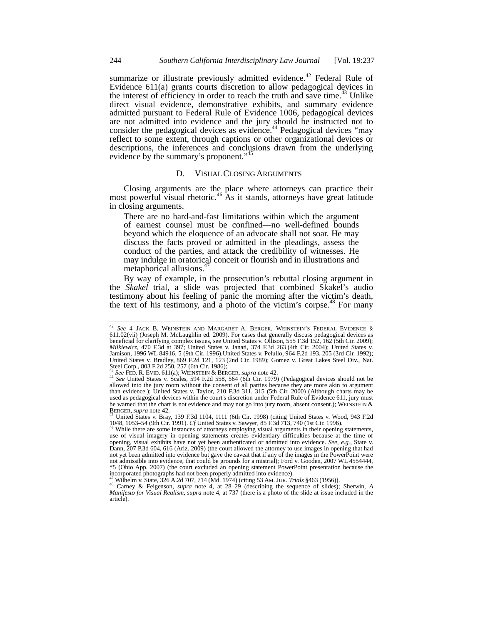summarize or illustrate previously admitted evidence.<sup>42</sup> Federal Rule of Evidence 611(a) grants courts discretion to allow pedagogical devices in the interest of efficiency in order to reach the truth and save time.<sup>43</sup> Unlike direct visual evidence, demonstrative exhibits, and summary evidence admitted pursuant to Federal Rule of Evidence 1006, pedagogical devices are not admitted into evidence and the jury should be instructed not to consider the pedagogical devices as evidence.<sup>44</sup> Pedagogical devices "may reflect to some extent, through captions or other organizational devices or descriptions, the inferences and conclusions drawn from the underlying evidence by the summary's proponent."<sup>45</sup>

# D. VISUAL CLOSING ARGUMENTS

Closing arguments are the place where attorneys can practice their most powerful visual rhetoric.<sup>46</sup> As it stands, attorneys have great latitude in closing arguments.

There are no hard-and-fast limitations within which the argument of earnest counsel must be confined—no well-defined bounds beyond which the eloquence of an advocate shall not soar. He may discuss the facts proved or admitted in the pleadings, assess the conduct of the parties, and attack the credibility of witnesses. He may indulge in oratorical conceit or flourish and in illustrations and metaphorical allusions.<sup>4</sup>

By way of example, in the prosecution's rebuttal closing argument in the *Skakel* trial, a slide was projected that combined Skakel's audio testimony about his feeling of panic the morning after the victim's death, the text of his testimony, and a photo of the victim's corpse.<sup>48</sup> For many

<sup>42</sup> *See* 4 JACK B. WEINSTEIN AND MARGARET A. BERGER, WEINSTEIN'S FEDERAL EVIDENCE § 611.02(vii) (Joseph M. McLaughlin ed. 2009). For cases that generally discuss pedagogical devices as beneficial for clarifying complex issues, see United States v. Ollison, 555 F.3d 152, 162 (5th Cir. 2009); *Milkiewicz*, 470 F.3d at 397; United States v. Janati, 374 F.3d 263 (4th Cir. 2004); United States v. Jamison, 1996 WL 84916, 5 (9th Cir. 1996).United States v. Pelullo, 964 F.2d 193, 205 (3rd Cir. 1992); United States v. Bradley*,* 869 F.2d 121, 123 (2nd Cir. 1989); Gomez v. Great Lakes Steel Div., Nat. Steel Corp., 803 F.2d 250, 257 (6th Cir. 1986);

<sup>43</sup> *See FED.* R. EVID. 611(a); WEINSTEIN & BERGER, *supra* note 42.<br><sup>44</sup> *See FED.* R. EVID. 611(a); WEINSTEIN & BERGER, *supra* note 42.<br><sup>44</sup> *See* United States v. Scales, 594 F.2d 558, 564 (6th Cir. 1979) (Pedagogical d allowed into the jury room without the consent of all parties because they are more akin to argument than evidence.); United States v. Taylor*,* 210 F.3d 311, 315 (5th Cir. 2000) (Although charts may be used as pedagogical devices within the court's discretion under Federal Rule of Evidence 611, jury must be warned that the chart is not evidence and may not go into jury room, absent consent.); WEINSTEIN &<br>BERGER, supra note 42.<br> $\frac{45 \text{ Hz}}{100 \text{ Hz}}$ 

United States v. Bray, 139 F.3d 1104, 1111 (6th Cir. 1998) (citing United States v. Wood, 943 F.2d 1048, 1053–54 (9th Cir. 1991). *Cf* United States v. Sawyer*,* 85 F.3d 713, 740 (1st Cir. 1996). <sup>46</sup> While there are some instances of attorneys employing visual arguments in their opening statements,

use of visual imagery in opening statements creates evidentiary difficulties because at the time of opening, visual exhibits have not yet been authenticated or admitted into evidence. *See, e.g.,* State v. Dann, 207 P.3d 604, 616 (Ariz. 2009) (the court allowed the attorney to use images in opening that had not yet been admitted into evidence but gave the caveat that if any of the images in the PowerPoint were not admissible into evidence, that could be grounds for a mistrial); Ford v. Gooden, 2007 WL 4554444, \*5 (Ohio App. 2007) (the court excluded an opening statement PowerPoint presentation because the incorporated photographs had not been properly admitted into evidence).

<sup>47</sup> Wilhelm v. State, 326 A.2d 707, 714 (Md. 1974) (citing 53 AM. JUR. *Trials* §463 (1956)). <sup>48</sup> Carney & Feigenson, *supra* note 4, at 28–29 (describing the sequence of slides); Sherwin, *<sup>A</sup> Manifesto for Visual Realism*, *supra* note 4, at 737 (there is a photo of the slide at issue included in the article).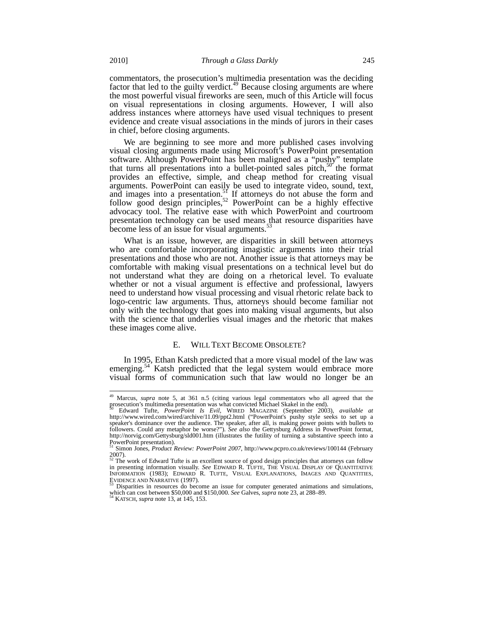commentators, the prosecution's multimedia presentation was the deciding factor that led to the guilty verdict. $49$  Because closing arguments are where the most powerful visual fireworks are seen, much of this Article will focus on visual representations in closing arguments. However, I will also address instances where attorneys have used visual techniques to present evidence and create visual associations in the minds of jurors in their cases in chief, before closing arguments.

We are beginning to see more and more published cases involving visual closing arguments made using Microsoft's PowerPoint presentation software. Although PowerPoint has been maligned as a "pushy" template that turns all presentations into a bullet-pointed sales pitch, $50^\circ$  the format provides an effective, simple, and cheap method for creating visual arguments. PowerPoint can easily be used to integrate video, sound, text, and images into a presentation.<sup>51</sup> If attorneys do not abuse the form and follow good design principles,<sup>52</sup> PowerPoint can be a highly effective advocacy tool. The relative ease with which PowerPoint and courtroom presentation technology can be used means that resource disparities have become less of an issue for visual arguments.<sup>53</sup>

What is an issue, however, are disparities in skill between attorneys who are comfortable incorporating imagistic arguments into their trial presentations and those who are not. Another issue is that attorneys may be comfortable with making visual presentations on a technical level but do not understand what they are doing on a rhetorical level. To evaluate whether or not a visual argument is effective and professional, lawyers need to understand how visual processing and visual rhetoric relate back to logo-centric law arguments. Thus, attorneys should become familiar not only with the technology that goes into making visual arguments, but also with the science that underlies visual images and the rhetoric that makes these images come alive.

# E. WILL TEXT BECOME OBSOLETE?

In 1995, Ethan Katsh predicted that a more visual model of the law was emerging.<sup>54</sup> Katsh predicted that the legal system would embrace more visual forms of communication such that law would no longer be an

 $\overline{\phantom{a}}$ 

<sup>49</sup> Marcus, *supra* note 5, at 361 n.5 (citing various legal commentators who all agreed that the prosecution's multimedia presentation was what convicted Michael Skakel in the end).

<sup>50</sup> Edward Tufte, *PowerPoint Is Evil*, WIRED MAGAZINE (September 2003), *available at* http://www.wired.com/wired/archive/11.09/ppt2.html ("PowerPoint's pushy style seeks to set up a speaker's dominance over the audience. The speaker, after all, is making power points with bullets to followers. Could any metaphor be worse?"). *See also* the Gettysburg Address in PowerPoint format, http://norvig.com/Gettysburg/sld001.htm (illustrates the futility of turning a substantive speech into a PowerPoint presentation).<br><sup>51</sup> Simon Jones, *Product Review: PowerPoint 2007*, http://www.pcpro.co.uk/reviews/100144 (February

<sup>2007).</sup> <sup>52</sup> The work of Edward Tufte is an excellent source of good design principles that attorneys can follow in presenting information visually. *See* EDWARD R. TUFTE, THE VISUAL DISPLAY OF QUANTITATIVE INFORMATION (1983); EDWARD R. TUFTE, VISUAL EXPLANATIONS, IMAGES AND QUANTITIES, EVIDENCE AND NARRATIVE (1997). <sup>53</sup> Disparities in resources do become an issue for computer generated animations and simulations,

which can cost between \$50,000 and \$150,000. *See* Galves, *supra* note 23, at 288–89. 54 KATSCH, *supra* note 13, at 145, 153.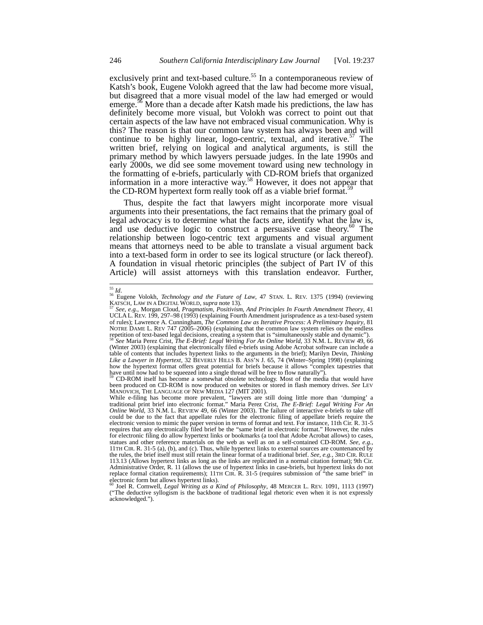exclusively print and text-based culture.<sup>55</sup> In a contemporaneous review of Katsh's book, Eugene Volokh agreed that the law had become more visual, but disagreed that a more visual model of the law had emerged or would emerge.<sup>56</sup> More than a decade after Katsh made his predictions, the law has definitely become more visual, but Volokh was correct to point out that certain aspects of the law have not embraced visual communication. Why is this? The reason is that our common law system has always been and will continue to be highly linear, logo-centric, textual, and iterative.<sup>57</sup> The written brief, relying on logical and analytical arguments, is still the primary method by which lawyers persuade judges. In the late 1990s and early 2000s, we did see some movement toward using new technology in the formatting of e-briefs, particularly with CD-ROM briefs that organized information in a more interactive way.<sup>58</sup> However, it does not appear that the CD-ROM hypertext form really took off as a viable brief format.<sup>59</sup>

Thus, despite the fact that lawyers might incorporate more visual arguments into their presentations, the fact remains that the primary goal of legal advocacy is to determine what the facts are, identify what the law is, and use deductive logic to construct a persuasive case theory.<sup>60</sup> The relationship between logo-centric text arguments and visual argument means that attorneys need to be able to translate a visual argument back into a text-based form in order to see its logical structure (or lack thereof). A foundation in visual rhetoric principles (the subject of Part IV of this Article) will assist attorneys with this translation endeavor. Further,

<sup>&</sup>lt;sup>55</sup> Id.<br><sup>56</sup> Eugene Volokh, *Technology and the Future of Law*, 47 STAN. L. REV. 1375 (1994) (reviewing KATSCH, LAW IN A DIGITAL WORLD, *supra* note 13). <sup>57</sup> *See, e.g.*, Morgan Cloud, *Pragmatism, Positivism, And Principles In Fourth Amendment Theory*, 41

<sup>57</sup> See, e.g., Morgan Cloud, Pragmatism, Positivism, And Principles In Fourth Amendment Theory, 41<br>UCLAL. REV. 199, 297–98 (1993) (explaining Fourth Amendment jurisprudence as a text-based system of rules); Lawrence A. Cunningham, *The Common Law as Iterative Process: A Preliminary Inquiry*, 81 NOTRE DAME L. REV 747 (2005–2006) (explaining that the common law system relies on the endless repetition of text-based legal decisions, creating a system that is "simultaneously stable and dynamic"). <sup>58</sup> *See* Maria Perez Crist, *The E-Brief: Legal Writing For An Online World*, 33 N.M. L. REVIEW 49, 66 (Winter 2003) (explaining that electronically filed e-briefs using Adobe Acrobat software can include a table of contents that includes hypertext links to the arguments in the brief); Marilyn Devin, *Thinking Like a Lawyer in Hypertext*, 32 BEVERLY HILLS B. ASS'N J. 65, 74 (Winter–Spring 1998) (explaining how the hypertext format offers great potential for briefs because it allows "complex tapestries that have until now had to be squeezed into a single thread will be free to flow naturally")

<sup>59</sup> CD-ROM itself has become a somewhat obsolete technology. Most of the media that would have been produced on CD-ROM is now produced on websites or stored in flash memory drives. *See* LEV MANOVICH, THE LANGUAGE OF NEW MEDIA 127 (MIT 2001).

While e-filing has become more prevalent, "lawyers are still doing little more than 'dumping' a traditional print brief into electronic format." Maria Perez Crist, *The E-Brief: Legal Writing For An Online World*, 33 N.M. L. REVIEW 49, 66 (Winter 2003). The failure of interactive e-briefs to take off could be due to the fact that appellate rules for the electronic filing of appellate briefs require the electronic version to mimic the paper version in terms of format and text. For instance, 11th Cir. R. 31-5 requires that any electronically filed brief be the "same brief in electronic format." However, the rules for electronic filing do allow hypertext links or bookmarks (a tool that Adobe Acrobat allows) to cases, statues and other reference materials on the web as well as on a self-contained CD-ROM. *See, e.g.*, 11TH CIR. R. 31-5 (a), (b), and (c). Thus, while hypertext links to external sources are countenanced by the rules, the brief itself must still retain the linear format of a traditional brief. *See, e.g.*, 3RD CIR. RULE 113.13 (Allows hypertext links as long as the links are replicated in a normal citation format); 9th Cir. Administrative Order, R. 11 (allows the use of hypertext links in case-briefs, but hypertext links do not replace formal citation requirements); 11TH CIR. R. 31-5 (requires submission of "the same brief" in electronic form but allows hypertext links).<br><sup>60</sup> Joel R. Cornwell, *Legal Writing as a Kind of Philosophy*, 48 MERCER L. REV. 1091, 1113 (1997)

<sup>(&</sup>quot;The deductive syllogism is the backbone of traditional legal rhetoric even when it is not expressly acknowledged.").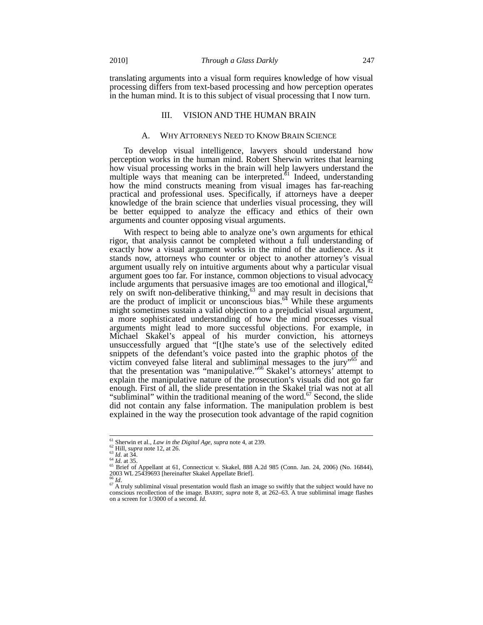translating arguments into a visual form requires knowledge of how visual processing differs from text-based processing and how perception operates in the human mind. It is to this subject of visual processing that I now turn.

# III. VISION AND THE HUMAN BRAIN

#### A. WHY ATTORNEYS NEED TO KNOW BRAIN SCIENCE

To develop visual intelligence, lawyers should understand how perception works in the human mind. Robert Sherwin writes that learning how visual processing works in the brain will help lawyers understand the multiple ways that meaning can be interpreted. $61$  Indeed, understanding how the mind constructs meaning from visual images has far-reaching practical and professional uses. Specifically, if attorneys have a deeper knowledge of the brain science that underlies visual processing, they will be better equipped to analyze the efficacy and ethics of their own arguments and counter opposing visual arguments.

With respect to being able to analyze one's own arguments for ethical rigor, that analysis cannot be completed without a full understanding of exactly how a visual argument works in the mind of the audience. As it stands now, attorneys who counter or object to another attorney's visual argument usually rely on intuitive arguments about why a particular visual argument goes too far. For instance, common objections to visual advocacy include arguments that persuasive images are too emotional and illogical, $\alpha$ <sup>0</sup> rely on swift non-deliberative thinking, $63$  and may result in decisions that are the product of implicit or unconscious bias. $^{64}$  While these arguments might sometimes sustain a valid objection to a prejudicial visual argument, a more sophisticated understanding of how the mind processes visual arguments might lead to more successful objections. For example, in Michael Skakel's appeal of his murder conviction, his attorneys unsuccessfully argued that "[t]he state's use of the selectively edited snippets of the defendant's voice pasted into the graphic photos of the victim conveyed false literal and subliminal messages to the jury"<sup>65</sup> and that the presentation was "manipulative."66 Skakel's attorneys' attempt to explain the manipulative nature of the prosecution's visuals did not go far enough. First of all, the slide presentation in the Skakel trial was not at all "subliminal" within the traditional meaning of the word.<sup>67</sup> Second, the slide did not contain any false information. The manipulation problem is best explained in the way the prosecution took advantage of the rapid cognition

<sup>&</sup>lt;sup>61</sup> Sherwin et al., *Law in the Digital Age, supra* note 4, at 239.<br><sup>62</sup> Hill, *supra* note 12, at 26.<br><sup>63</sup> *Id.* at 34.<br><sup>64</sup> *Id.* at 35.<br><sup>64</sup> *Id.* at 35. <sup>65</sup> Brief of Appellant at 61, Connecticut v. Skakel, 888 A.2d 985 (Conn. Jan. 24, 2006) (No. 16844), 2003 WL 25439693 [hereinafter Skakel Appellate Brief].

<sup>&</sup>lt;sup>66</sup> *Id*. <sup>67</sup> A truly subliminal visual presentation would flash an image so swiftly that the subject would have no conscious recollection of the image. BARRY, *supra* note 8, at 262–63. A true subliminal image flashes on a screen for 1/3000 of a second. *Id.*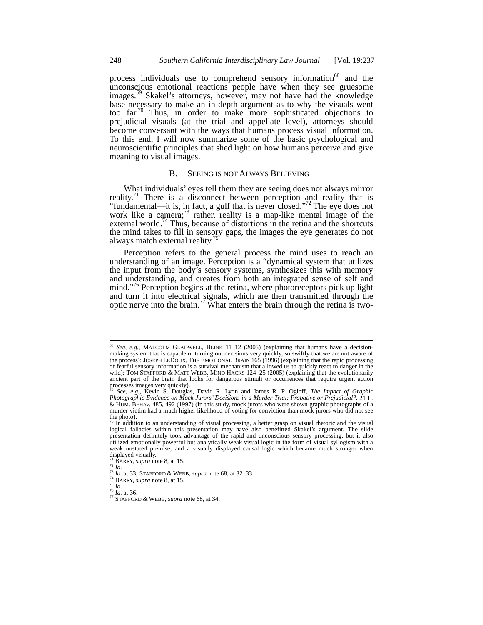process individuals use to comprehend sensory information<sup>68</sup> and the unconscious emotional reactions people have when they see gruesome images.<sup>69</sup> Skakel's attorneys, however, may not have had the knowledge base necessary to make an in-depth argument as to why the visuals went too far.<sup>70</sup> Thus, in order to make more sophisticated objections to prejudicial visuals (at the trial and appellate level), attorneys should become conversant with the ways that humans process visual information. To this end, I will now summarize some of the basic psychological and neuroscientific principles that shed light on how humans perceive and give meaning to visual images.

# B. SEEING IS NOT ALWAYS BELIEVING

What individuals' eyes tell them they are seeing does not always mirror reality.<sup>71</sup> There is a disconnect between perception and reality that is "fundamental—it is, in fact, a gulf that is never closed."<sup>72</sup> The eye does not work like a camera; $\frac{73}{3}$  rather, reality is a map-like mental image of the external world.<sup>74</sup> Thus, because of distortions in the retina and the shortcuts the mind takes to fill in sensory gaps, the images the eye generates do not always match external reality.<sup>7</sup>

Perception refers to the general process the mind uses to reach an understanding of an image. Perception is a "dynamical system that utilizes the input from the body's sensory systems, synthesizes this with memory and understanding, and creates from both an integrated sense of self and mind."<sup>76</sup> Perception begins at the retina, where photoreceptors pick up light and turn it into electrical signals, which are then transmitted through the optic nerve into the brain.<sup>77</sup> What enters the brain through the retina is two-

<sup>68</sup> <sup>68</sup> *See, e.g.*, MALCOLM GLADWELL, BLINK 11–12 (2005) (explaining that humans have a decisionmaking system that is capable of turning out decisions very quickly, so swiftly that we are not aware of the process); JOSEPH LEDOUX, THE EMOTIONAL BRAIN 165 (1996) (explaining that the rapid processing of fearful sensory information is a survival mechanism that allowed us to quickly react to danger in the wild); TOM STAFFORD & MATT WEBB, MIND HACKS 124-25 (2005) (explaining that the evolutionarily ancient part of the brain that looks for dangerous stimuli or occurrences that require urgent action processes images very quickly). <sup>69</sup> *See, e.g.*, Kevin S. Douglas, David R. Lyon and James R. P. Ogloff, *The Impact of Graphic* 

*Photographic Evidence on Mock Jurors' Decisions in a Murder Trial: Probative or Prejudicial?,* 21 L. & HUM. BEHAV. 485, 492 (1997) (In this study, mock jurors who were shown graphic photographs of a murder victim had a much higher likelihood of voting for conviction than mock jurors who did not see the photo).

In addition to an understanding of visual processing, a better grasp on visual rhetoric and the visual logical fallacies within this presentation may have also benefitted Skakel's argument. The slide presentation definitely took advantage of the rapid and unconscious sensory processing, but it also utilized emotionally powerful but analytically weak visual logic in the form of visual syllogism with a weak unstated premise, and a visually displayed causal logic which became much stronger when displayed visually.<br>
<sup>71</sup> BARRY, *supra* note 8, at 15.<br>
<sup>72</sup> Id.

<sup>&</sup>lt;sup>73</sup> *Id.* at 33; STAFFORD & WEBB, *supra* note 68, at 32–33.<br><sup>74</sup> BARRY, *supra* note 8, at 15.<br><sup>75</sup> *Id.*<br><sup>76</sup> *Id.* at 36.<br><sup>77</sup> STAFFORD & WEBB, *supra* note 68, at 34.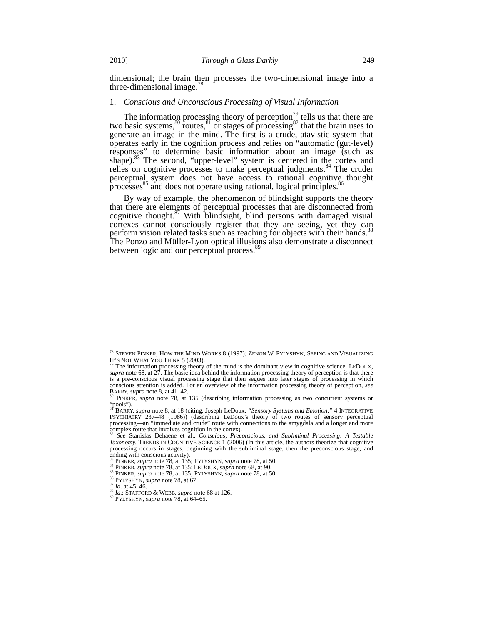dimensional; the brain then processes the two-dimensional image into a three-dimensional image.<sup>78</sup>

## 1. *Conscious and Unconscious Processing of Visual Information*

The information processing theory of perception<sup>79</sup> tells us that there are two basic systems,  $\frac{80}{3}$  routes,  $\frac{81}{3}$  or stages of processing  $\frac{82}{3}$  that the brain uses to generate an image in the mind. The first is a crude, atavistic system that operates early in the cognition process and relies on "automatic (gut-level) responses" to determine basic information about an image (such as shape).<sup>83</sup> The second, "upper-level" system is centered in the cortex and relies on cognitive processes to make perceptual judgments.<sup>84</sup> The cruder perceptual system does not have access to rational cognitive thought processes<sup>85</sup> and does not operate using rational, logical principles.<sup>86</sup>

By way of example, the phenomenon of blindsight supports the theory that there are elements of perceptual processes that are disconnected from cognitive thought. $87$  With blindsight, blind persons with damaged visual cortexes cannot consciously register that they are seeing, yet they can perform vision related tasks such as reaching for objects with their hands.<sup>88</sup> The Ponzo and Müller-Lyon optical illusions also demonstrate a disconnect between logic and our perceptual process. $89$ 

<sup>&</sup>lt;sup>78</sup> Steven Pinker, How the Mind Works 8 (1997); Zenon W. Pylyshyn, Seeing and Visualizing

IT'S NOT WHAT YOU THINK 5 (2003).<br><sup>79</sup> The information processing theory of the mind is the dominant view in cognitive science. LEDOUX,<br>*supra* note 68, at 27. The basic idea behind the information processing theory of pe is a pre-conscious visual processing stage that then segues into later stages of processing in which conscious attention is added. For an overview of the information processing theory of perception, see BARRY, *supra* note 8, at  $41-42$ .<br><sup>80</sup> PINKER, *supra* note 78, at 135 (describing information processing as two concurrent systems or

<sup>&</sup>quot;pools"). <sup>81</sup> BARRY, *supra* note 8, at 18 (citing, Joseph LeDoux, *"Sensory Systems and Emotion,"* 4 INTEGRATIVE

PSYCHIATRY 237–48 (1986)) (describing LeDoux's theory of two routes of sensory perceptual processing—an "immediate and crude" route with connections to the amygdala and a longer and more complex route that involves cognition in the cortex).

<sup>82</sup> *See* Stanislas Dehaene et al., *Conscious, Preconscious, and Subliminal Processing: A Testable Taxonomy,* TRENDS IN COGNITIVE SCIENCE 1 (2006) (In this article, the authors theorize that cognitive processing occurs in stages, beginning with the subliminal stage, then the preconscious stage, and ending with conscious activity).

<sup>&</sup>lt;sup>83</sup> PINKER, *supra* note 78, at 135; PYLYSHYN, *supra* note 78, at 50.<br><sup>84</sup> PINKER, *supra* note 78, at 135; LEDOUX, *supra* note 68, at 90.<br><sup>85</sup> PINKER, *supra* note 78, at 135; LEDOUX, *supra* note 68, at 90.<br><sup>86</sup> PYLY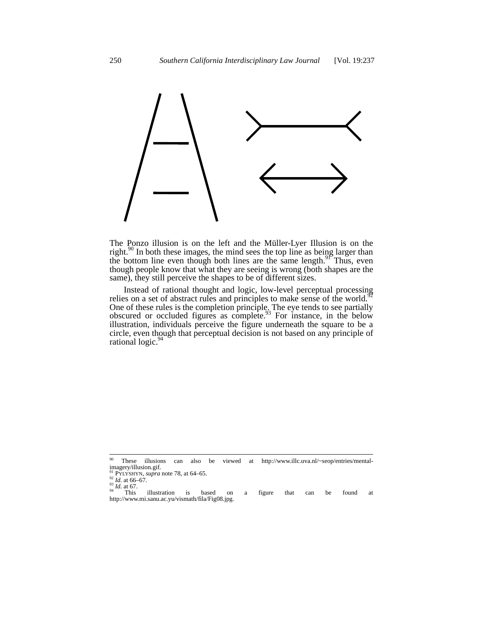

The Ponzo illusion is on the left and the Müller-Lyer Illusion is on the right.<sup>90</sup> In both these images, the mind sees the top line as being larger than the bottom line even though both lines are the same length.<sup>91</sup> Thus, even though people know that what they are seeing is wrong (both shapes are the same), they still perceive the shapes to be of different sizes.

Instead of rational thought and logic, low-level perceptual processing relies on a set of abstract rules and principles to make sense of the world.<sup>9</sup> One of these rules is the completion principle. The eye tends to see partially obscured or occluded figures as complete.<sup>93</sup> For instance, in the below illustration, individuals perceive the figure underneath the square to be a circle, even though that perceptual decision is not based on any principle of rational logic.<sup>94</sup>

<sup>90</sup> <sup>90</sup> These illusions can also be viewed at http://www.illc.uva.nl/~seop/entries/mentalimagery/illusion.gif.

<sup>&</sup>lt;sup>91</sup> PYLYSHYN, *supra* note 78, at 64–65.<br><sup>92</sup> *Id.* at 66–67.<br><sup>93</sup> *Id.* at 67. This illustration is based on a figure that can be found at http://www.mi.sanu.ac.yu/vismath/fila/Fig08.jpg.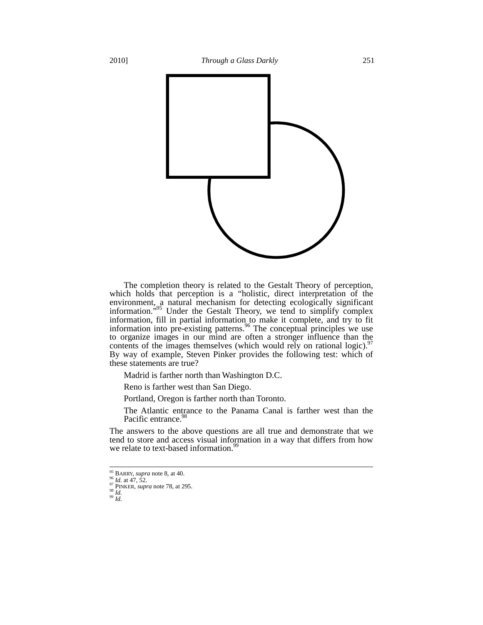

The completion theory is related to the Gestalt Theory of perception, which holds that perception is a "holistic, direct interpretation of the environment, a natural mechanism for detecting ecologically significant information.<sup>"95</sup> Under the Gestalt Theory, we tend to simplify complex information, fill in partial information to make it complete, and try to fit information into pre-existing patterns.<sup>96</sup> The conceptual principles we use to organize images in our mind are often a stronger influence than the contents of the images themselves (which would rely on rational logic). $97$ By way of example, Steven Pinker provides the following test: which of these statements are true?

Madrid is farther north than Washington D.C.

Reno is farther west than San Diego.

Portland, Oregon is farther north than Toronto.

The Atlantic entrance to the Panama Canal is farther west than the Pacific entrance.<sup>9</sup>

The answers to the above questions are all true and demonstrate that we tend to store and access visual information in a way that differs from how we relate to text-based information.<sup>99</sup>

<sup>&</sup>lt;sup>95</sup> BARRY, *supra* note 8, at 40.

<sup>95</sup> BARRY, *supra* note 8, at 40. <sup>96</sup> *Id.* at 47, 52. <sup>97</sup> PINKER, *supra* note 78, at 295. 98 *Id.* <sup>99</sup> *Id.*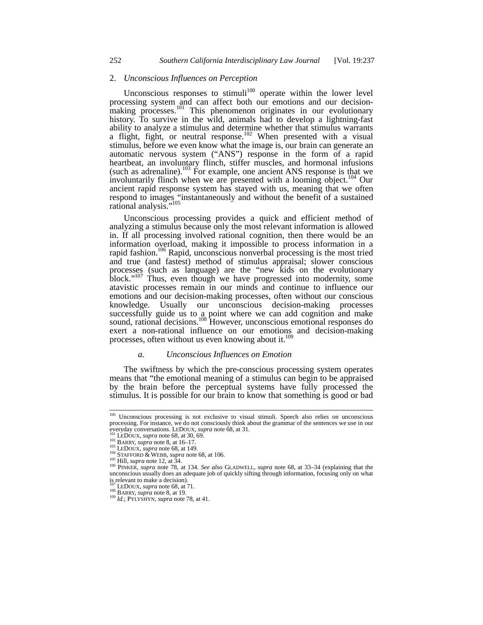# 2. *Unconscious Influences on Perception*

Unconscious responses to stimuli<sup>100</sup> operate within the lower level processing system and can affect both our emotions and our decisionmaking processes.<sup>101</sup> This phenomenon originates in our evolutionary history. To survive in the wild, animals had to develop a lightning-fast ability to analyze a stimulus and determine whether that stimulus warrants a flight, fight, or neutral response.<sup>102</sup> When presented with a visual stimulus, before we even know what the image is, our brain can generate an automatic nervous system ("ANS") response in the form of a rapid heartbeat, an involuntary flinch, stiffer muscles, and hormonal infusions (such as adrenaline).<sup>103</sup> For example, one ancient ANS response is that we involuntarily flinch when we are presented with a looming object.<sup>104</sup> Our ancient rapid response system has stayed with us, meaning that we often respond to images "instantaneously and without the benefit of a sustained rational analysis."<sup>105</sup>

Unconscious processing provides a quick and efficient method of analyzing a stimulus because only the most relevant information is allowed in. If all processing involved rational cognition, then there would be an information overload, making it impossible to process information in a rapid fashion.<sup>106</sup> Rapid, unconscious nonverbal processing is the most tried and true (and fastest) method of stimulus appraisal; slower conscious processes (such as language) are the "new kids on the evolutionary block."<sup>107</sup> Thus, even though we have progressed into modernity, some atavistic processes remain in our minds and continue to influence our emotions and our decision-making processes, often without our conscious knowledge. Usually our unconscious decision-making processes successfully guide us to a point where we can add cognition and make sound, rational decisions.<sup>108</sup> However, unconscious emotional responses do exert a non-rational influence on our emotions and decision-making processes, often without us even knowing about it.<sup>109</sup>

## *a. Unconscious Influences on Emotion*

The swiftness by which the pre-conscious processing system operates means that "the emotional meaning of a stimulus can begin to be appraised by the brain before the perceptual systems have fully processed the stimulus. It is possible for our brain to know that something is good or bad

<sup>&</sup>lt;sup>100</sup> Unconscious processing is not exclusive to visual stimuli. Speech also relies on unconscious processing. For instance, we do not consciously think about the grammar of the sentences we use in our pocessing. To missince, we use in Our experiences we assemblance everyday conversations. LEDOUX, supra note 68, at 31.<br>  $^{101}$  LEDOUX, supra note 68, at 30, 69.<br>  $^{102}$  BARRY, supra note 68, at 30, 69.<br>  $^{103}$  LEDOUX,

unconscious usually does an adequate job of quickly sifting through information, focusing only on what is relevant to make a decision).<br> $^{107}_{108}$  LEDOUX, *supra* note 68, at 71.

<sup>&</sup>lt;sup>108</sup> BARRY, *supra* note 8, at 19.<br><sup>109</sup> *Id.*; PYLYSHYN, *supra* note 78, at 41.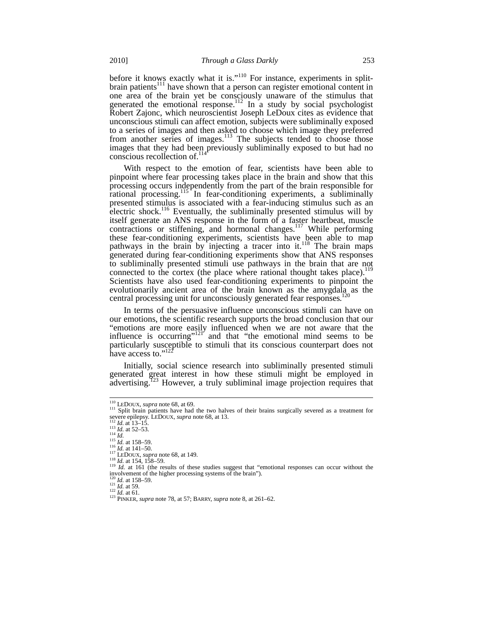before it knows exactly what it is."<sup>110</sup> For instance, experiments in splitbrain patients<sup>111</sup> have shown that a person can register emotional content in one area of the brain yet be consciously unaware of the stimulus that generated the emotional response.<sup>112</sup> In a study by social psychologist Robert Zajonc, which neuroscientist Joseph LeDoux cites as evidence that unconscious stimuli can affect emotion, subjects were subliminally exposed to a series of images and then asked to choose which image they preferred from another series of images.<sup>113</sup> The subjects tended to choose those images that they had been previously subliminally exposed to but had no conscious recollection of. $114$ 

With respect to the emotion of fear, scientists have been able to pinpoint where fear processing takes place in the brain and show that this processing occurs independently from the part of the brain responsible for rational processing.115 In fear-conditioning experiments, a subliminally presented stimulus is associated with a fear-inducing stimulus such as an electric shock.<sup>116</sup> Eventually, the subliminally presented stimulus will by itself generate an ANS response in the form of a faster heartbeat, muscle contractions or stiffening, and hormonal changes.<sup>117</sup> While performing these fear-conditioning experiments, scientists have been able to map pathways in the brain by injecting a tracer into it.<sup>118</sup> The brain maps generated during fear-conditioning experiments show that ANS responses to subliminally presented stimuli use pathways in the brain that are not connected to the cortex (the place where rational thought takes place).<sup>119</sup> Scientists have also used fear-conditioning experiments to pinpoint the evolutionarily ancient area of the brain known as the amygdala as the central processing unit for unconsciously generated fear responses.<sup>120</sup>

In terms of the persuasive influence unconscious stimuli can have on our emotions, the scientific research supports the broad conclusion that our "emotions are more easily influenced when we are not aware that the influence is occurring"<sup>121"</sup> and that "the emotional mind seems to be particularly susceptible to stimuli that its conscious counterpart does not have access to."<sup>122</sup>

Initially, social science research into subliminally presented stimuli generated great interest in how these stimuli might be employed in advertising.<sup>123</sup> However, a truly subliminal image projection requires that

 $110$  LEDOUX, supra note 68, at 69.

<sup>&</sup>lt;sup>111</sup> Split brain patients have had the two halves of their brains surgically severed as a treatment for severe epilepsy. LEDOUX, *supra* note 68, at 13. severe epilepsy. LEDOUX, *supra* note 68, at 13.<br>
<sup>113</sup> *Id.* at 13–15.<br>
<sup>113</sup> *Id.* at 52–53.<br>
<sup>114</sup> *Id.*<br>
<sup>115</sup> *Id.* at 158–59.<br>
<sup>116</sup> *Id.* at 141–50.<br>
<sup>117</sup> LEDOUX, *supra* note 68, at 149.<br>
<sup>117</sup> LEA 154, 158–59.<br>

involvement of the higher processing systems of the brain").

<sup>1&</sup>lt;sup>20</sup> *Id.* at 158–59. <sup>121</sup> *Id.* at 59. <sup>122</sup> *Id.* at 61. <sup>123</sup> *Id.* at 61. <sup>123</sup> PINKER, *supra* note 78, at 57; BARRY, *supra* note 8, at 261–62.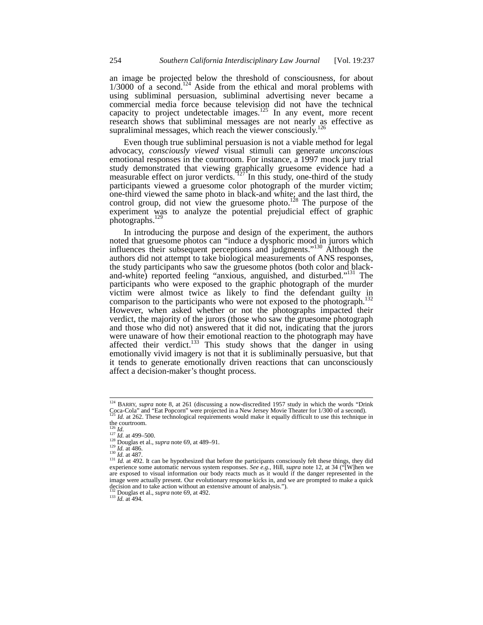an image be projected below the threshold of consciousness, for about  $1/3000$  of a second.<sup>124</sup> Aside from the ethical and moral problems with using subliminal persuasion, subliminal advertising never became a commercial media force because television did not have the technical capacity to project undetectable images.<sup>125</sup> In any event, more recent research shows that subliminal messages are not nearly as effective as supraliminal messages, which reach the viewer consciously.<sup>126</sup>

Even though true subliminal persuasion is not a viable method for legal advocacy, *consciously viewed* visual stimuli can generate *unconscious* emotional responses in the courtroom. For instance, a 1997 mock jury trial study demonstrated that viewing graphically gruesome evidence had a measurable effect on juror verdicts.  $127$  In this study, one-third of the study participants viewed a gruesome color photograph of the murder victim; one-third viewed the same photo in black-and white; and the last third, the control group, did not view the gruesome photo.<sup>128</sup> The purpose of the experiment was to analyze the potential prejudicial effect of graphic photographs.<sup>129</sup>

In introducing the purpose and design of the experiment, the authors noted that gruesome photos can "induce a dysphoric mood in jurors which influences their subsequent perceptions and judgments."<sup>130</sup> Although the authors did not attempt to take biological measurements of ANS responses, the study participants who saw the gruesome photos (both color and blackand-white) reported feeling "anxious, anguished, and disturbed."<sup>131</sup> The participants who were exposed to the graphic photograph of the murder victim were almost twice as likely to find the defendant guilty in comparison to the participants who were not exposed to the photograph.<sup>132</sup> However, when asked whether or not the photographs impacted their verdict, the majority of the jurors (those who saw the gruesome photograph and those who did not) answered that it did not, indicating that the jurors were unaware of how their emotional reaction to the photograph may have affected their verdict.<sup>133</sup> This study shows that the danger in using emotionally vivid imagery is not that it is subliminally persuasive, but that it tends to generate emotionally driven reactions that can unconsciously affect a decision-maker's thought process.

<sup>&</sup>lt;sup>124</sup> BARRY, *supra* note 8, at 261 (discussing a now-discredited 1957 study in which the words "Drink" Coca-Cola" and "Eat Popcorn" were projected in a New Jersey Movie Theater for 1/300 of a second).<br><sup>125</sup> Id. at 262. These tasks the second *Id.* at 262. These technological requirements would make it equally difficult to use this technique in

the courtroom.<br> $\frac{^{126}}{^{127}}$  *Id.* at 499–500.

<sup>&</sup>lt;sup>126</sup> *Id.*<br><sup>127</sup> *Id.* at 499–500.<br><sup>129</sup> Douglas et al., *supra* note 69, at 489–91.<br><sup>129</sup> *Id.* at 486.<br><sup>131</sup> *Id.* at 487.<br><sup>131</sup> *Id.* at 492. It can be hypothesized that before the participants consciously felt these are exposed to visual information our body reacts much as it would if the danger represented in the image were actually present. Our evolutionary response kicks in, and we are prompted to make a quick decision and to take action without an extensive amount of analysis."). <sup>132</sup> Douglas et al., *supra* note 69, at 492. <sup>133</sup> *Id.* at 494.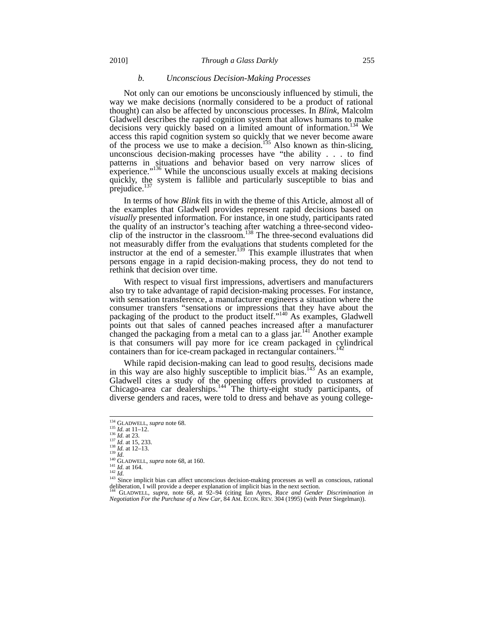## *b. Unconscious Decision-Making Processes*

Not only can our emotions be unconsciously influenced by stimuli, the way we make decisions (normally considered to be a product of rational thought) can also be affected by unconscious processes. In *Blink*, Malcolm Gladwell describes the rapid cognition system that allows humans to make decisions very quickly based on a limited amount of information.<sup>134</sup> We access this rapid cognition system so quickly that we never become aware of the process we use to make a decision.<sup>135</sup> Also known as thin-slicing, unconscious decision-making processes have "the ability . . . to find patterns in situations and behavior based on very narrow slices of experience."<sup>136</sup> While the unconscious usually excels at making decisions quickly, the system is fallible and particularly susceptible to bias and prejudice. $\frac{1}{2}$ 

In terms of how *Blink* fits in with the theme of this Article, almost all of the examples that Gladwell provides represent rapid decisions based on *visually* presented information. For instance, in one study, participants rated the quality of an instructor's teaching after watching a three-second videoclip of the instructor in the classroom.<sup>138</sup> The three-second evaluations did not measurably differ from the evaluations that students completed for the instructor at the end of a semester.<sup>139</sup> This example illustrates that when persons engage in a rapid decision-making process, they do not tend to rethink that decision over time.

With respect to visual first impressions, advertisers and manufacturers also try to take advantage of rapid decision-making processes. For instance, with sensation transference, a manufacturer engineers a situation where the consumer transfers "sensations or impressions that they have about the packaging of the product to the product itself."<sup>140</sup> As examples, Gladwell points out that sales of canned peaches increased after a manufacturer changed the packaging from a metal can to a glass jar.<sup>141</sup> Another example is that consumers will pay more for ice cream packaged in cylindrical containers than for ice-cream packaged in rectangular containers.<sup>1</sup>

While rapid decision-making can lead to good results, decisions made in this way are also highly susceptible to implicit bias.<sup>143</sup> As an example, Gladwell cites a study of the opening offers provided to customers at Chicago-area car dealerships.<sup>144</sup> The thirty-eight study participants, of diverse genders and races, were told to dress and behave as young college-

<sup>&</sup>lt;sup>134</sup> GLADWELL, *supra* note 68.<br><sup>135</sup> *Id.* at 11-12.<br><sup>136</sup> *Id.* at 13.<br><sup>137</sup> *Id.* at 15, 233.<br><sup>138</sup> *Id.* at 12-13.<br><sup>139</sup> *Id.* 

<sup>&</sup>lt;sup>134</sup> GLADWELL, *supra* note 68.<br>
<sup>135</sup> *Id.* at 11–12.<br>
<sup>136</sup> *Id.* at 15, 233.<br>
<sup>137</sup> *Id.* at 15, 233.<br>
<sup>137</sup> *Id.* at 11–13.<br>
<sup>140</sup> GLADWELL, *supra* note 68, at 160.<br>
<sup>141</sup> *Id.* at 164.<br>
<sup>142</sup> *Id.* at 164.<br>
<sup>142</sup>

<sup>144</sup> GLADWELL, *supra*, note 68, at 92–94 (citing Ian Ayres, *Race and Gender Discrimination in Negotiation For the Purchase of a New Car*, 84 AM. ECON. REV. 304 (1995) (with Peter Siegelman)).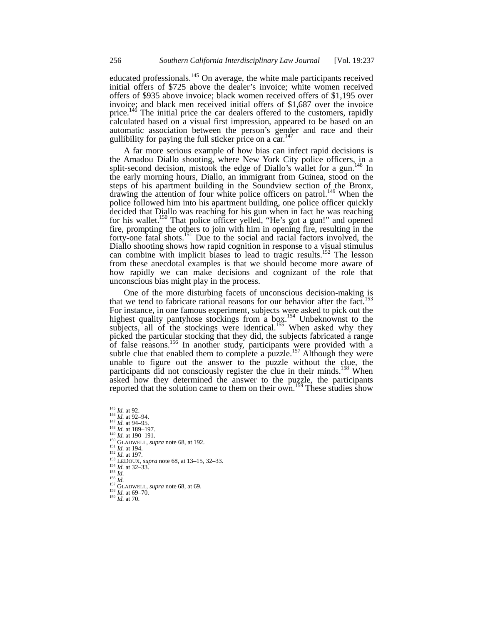educated professionals.<sup>145</sup> On average, the white male participants received initial offers of \$725 above the dealer's invoice; white women received offers of \$935 above invoice; black women received offers of \$1,195 over invoice; and black men received initial offers of \$1,687 over the invoice price.<sup>146</sup> The initial price the car dealers offered to the customers, rapidly calculated based on a visual first impression, appeared to be based on an automatic association between the person's gender and race and their gullibility for paying the full sticker price on a car.<sup>14</sup>

A far more serious example of how bias can infect rapid decisions is the Amadou Diallo shooting, where New York City police officers, in a split-second decision, mistook the edge of Diallo's wallet for a gun.<sup>148</sup> In the early morning hours, Diallo, an immigrant from Guinea, stood on the steps of his apartment building in the Soundview section of the Bronx, drawing the attention of four white police officers on patrol.149 When the police followed him into his apartment building, one police officer quickly decided that Diallo was reaching for his gun when in fact he was reaching for his wallet.<sup>150</sup> That police officer yelled, "He's got a gun!" and opened fire, prompting the others to join with him in opening fire, resulting in the forty-one fatal shots.<sup>151</sup> Due to the social and racial factors involved, the Diallo shooting shows how rapid cognition in response to a visual stimulus can combine with implicit biases to lead to tragic results.<sup>152</sup> The lesson from these anecdotal examples is that we should become more aware of how rapidly we can make decisions and cognizant of the role that unconscious bias might play in the process.

One of the more disturbing facets of unconscious decision-making is that we tend to fabricate rational reasons for our behavior after the fact.<sup>1</sup> For instance, in one famous experiment, subjects were asked to pick out the highest quality pantyhose stockings from a box.<sup>154</sup> Unbeknownst to the subjects, all of the stockings were identical.<sup>155</sup> When asked why they picked the particular stocking that they did, the subjects fabricated a range of false reasons.<sup>156</sup> In another study, participants were provided with a subtle clue that enabled them to complete a puzzle.<sup>157</sup> Although they were unable to figure out the answer to the puzzle without the clue, the participants did not consciously register the clue in their minds.<sup>158</sup> When asked how they determined the answer to the puzzle, the participants reported that the solution came to them on their own.<sup>159</sup> These studies show

- <sup>145</sup> *Id.* at 92.<br>
<sup>146</sup> *Id.* at 92–94.<br>
<sup>147</sup> *Id.* at 94–95.<br>
<sup>147</sup> *Id.* at 189–197.<br>
<sup>149</sup> *Id.* at 190–191.<br>
<sup>150</sup> GLADWELL, *supra* note 68, at 192.<br>
<sup>151</sup> *Id.* at 197.<br>
<sup>152</sup> *Id.* at 197.<br>
<sup>152</sup> *Id.* at 32–33.
- 
- 

l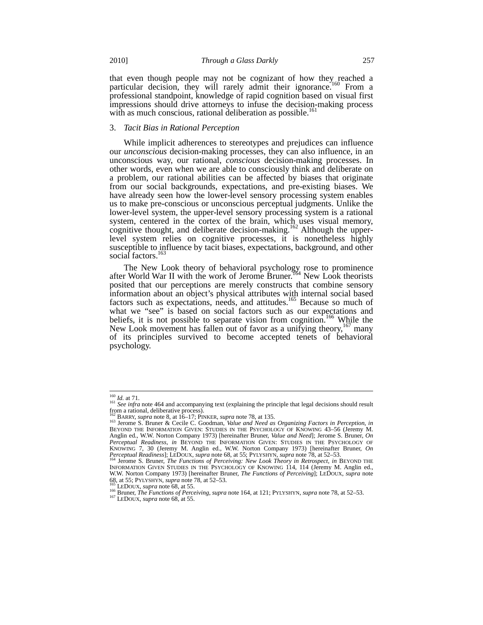that even though people may not be cognizant of how they reached a particular decision, they will rarely admit their ignorance.<sup>160</sup> From a professional standpoint, knowledge of rapid cognition based on visual first impressions should drive attorneys to infuse the decision-making process with as much conscious, rational deliberation as possible.<sup>1</sup>

## 3. *Tacit Bias in Rational Perception*

While implicit adherences to stereotypes and prejudices can influence our *unconscious* decision-making processes, they can also influence, in an unconscious way, our rational, *conscious* decision-making processes. In other words, even when we are able to consciously think and deliberate on a problem, our rational abilities can be affected by biases that originate from our social backgrounds, expectations, and pre-existing biases. We have already seen how the lower-level sensory processing system enables us to make pre-conscious or unconscious perceptual judgments. Unlike the lower-level system, the upper-level sensory processing system is a rational system, centered in the cortex of the brain, which uses visual memory, cognitive thought, and deliberate decision-making.<sup>162</sup> Although the upperlevel system relies on cognitive processes, it is nonetheless highly susceptible to influence by tacit biases, expectations, background, and other social factors.<sup>163</sup>

The New Look theory of behavioral psychology rose to prominence after World War II with the work of Jerome Bruner.<sup>164</sup> New Look theorists posited that our perceptions are merely constructs that combine sensory information about an object's physical attributes with internal social based factors such as expectations, needs, and attitudes.<sup>165</sup> Because so much of what we "see" is based on social factors such as our expectations and beliefs, it is not possible to separate vision from cognition.<sup>166</sup> While the New Look movement has fallen out of favor as a unifying theory,<sup>167</sup> many of its principles survived to become accepted tenets of behavioral psychology.

 $160$  *Id.* at 71.

<sup>&</sup>lt;sup>161</sup> *See infra* note 464 and accompanying text (explaining the principle that legal decisions should result from a rational, deliberative process).

<sup>&</sup>lt;sup>162</sup> BARRY, *supra* note 8, at 16–17; PINKER, *supra* note 78, at 135.<br><sup>163</sup> Jerome S. Bruner & Cecile C. Goodman, *Value and Need as Organizing Factors in Perception, in*<br>BEYOND THE INFORMATION GIVEN: STUDIES IN THE PSYC Anglin ed., W.W. Norton Company 1973) [hereinafter Bruner, *Value and Need*]; Jerome S. Bruner, *On Perceptual Readiness*, *in* BEYOND THE INFORMATION GIVEN: STUDIES IN THE PSYCHOLOGY OF KNOWING 7, 30 (Jeremy M. Anglin ed., W.W. Norton Company 1973) [hereinafter Bruner, *On Perceptual Readiness*]; LEDOUX, *supra* note 68, at 55; PYLYSHYN, *supra* note 78, at 52–53. 164 Jerome S. Bruner, *S. Bruner, S. Bruner, S. Bruner, S. Bruner, S. Bruner, S. Bruner, S. Bruner, S. Bruner, <i>in a Bernard* Th

<sup>&</sup>lt;sup>164</sup> Jerome S. Bruner, *The Functions of Perceiving: New Look Theory in Retrospect*, *in* BEYOND THE INFORMATION GIVEN STUDIES IN THE PSYCHOLOGY OF KNOWING 114, 114 (Jeremy M. Anglin ed., W.W. Norton Company 1973) [hereinafter Bruner, *The Functions of Perceiving*]; LEDOUX, *supra* note 68, at 55; PYLYSHYN, *supra* note 78, at 52–53.<br><sup>165</sup> LEDOUX, *supra* note 68, at 55.<br><sup>165</sup> Bruner, *The Functions of Perceiving*, *supra* note 164, at 121; PYLYSHYN, *supra* note 78, at 52–53.<br><sup>167</sup> LEDOUX, *supra* note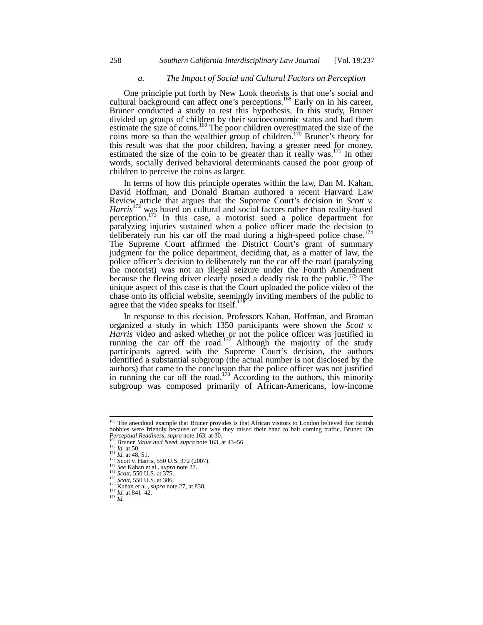# *a. The Impact of Social and Cultural Factors on Perception*

One principle put forth by New Look theorists is that one's social and cultural background can affect one's perceptions.<sup>168</sup> Early on in his career, Bruner conducted a study to test this hypothesis. In this study, Bruner divided up groups of children by their socioeconomic status and had them estimate the size of coins.<sup>169</sup> The poor children overestimated the size of the coins more so than the wealthier group of children.<sup>170</sup> Bruner's theory for this result was that the poor children, having a greater need for money, estimated the size of the coin to be greater than it really was.<sup>171</sup> In other words, socially derived behavioral determinants caused the poor group of children to perceive the coins as larger.

In terms of how this principle operates within the law, Dan M. Kahan, David Hoffman, and Donald Braman authored a recent Harvard Law Review article that argues that the Supreme Court's decision in *Scott v.* Harris<sup>172</sup> was based on cultural and social factors rather than reality-based perception.<sup>173</sup> In this case, a motorist sued a police department for paralyzing injuries sustained when a police officer made the decision to deliberately run his car off the road during a high-speed police chase.<sup>174</sup> The Supreme Court affirmed the District Court's grant of summary judgment for the police department, deciding that, as a matter of law, the police officer's decision to deliberately run the car off the road (paralyzing the motorist) was not an illegal seizure under the Fourth Amendment because the fleeing driver clearly posed a deadly risk to the public.<sup>175</sup> The unique aspect of this case is that the Court uploaded the police video of the chase onto its official website, seemingly inviting members of the public to agree that the video speaks for itself.<sup>1</sup>

In response to this decision, Professors Kahan, Hoffman, and Braman organized a study in which 1350 participants were shown the *Scott v. Harris* video and asked whether or not the police officer was justified in running the car off the road.<sup>177</sup> Although the majority of the study participants agreed with the Supreme Court's decision, the authors identified a substantial subgroup (the actual number is not disclosed by the authors) that came to the conclusion that the police officer was not justified in running the car off the road.<sup>178</sup> According to the authors, this minority subgroup was composed primarily of African-Americans, low-income

<sup>&</sup>lt;sup>168</sup> The anecdotal example that Bruner provides is that African visitors to London believed that British bobbies were friendly because of the way they raised their hand to halt coming traffic. Bruner, *On Perceptual Readiness*, *supra* note 163, at 30.

<sup>169</sup> Bruner, *Value and Need*, *supra* note 103, at 30.<br>
<sup>170</sup> *Id.* at 50.<br>
<sup>171</sup> *Id.* at 48, 51.<br>
<sup>172</sup> Scott v. Harris, 550 U.S. 372 (2007).<br>
<sup>173</sup> *See* Kahan et al., *supra* note 27.<br>
<sup>174</sup> *Scott*, 550 U.S. at 375.<br>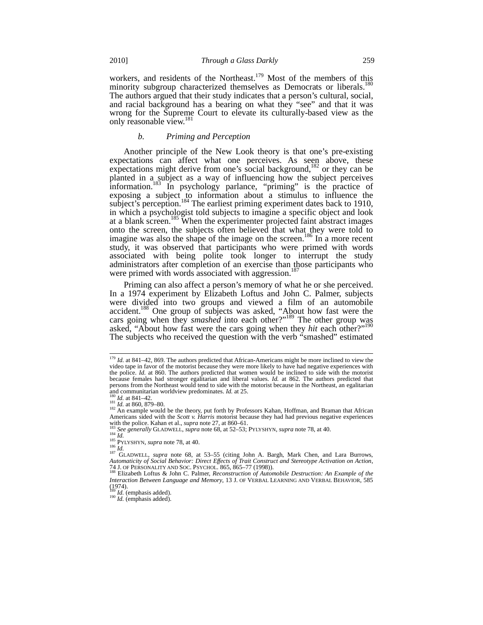workers, and residents of the Northeast.<sup>179</sup> Most of the members of this minority subgroup characterized themselves as Democrats or liberals.<sup>180</sup> The authors argued that their study indicates that a person's cultural, social, and racial background has a bearing on what they "see" and that it was wrong for the Supreme Court to elevate its culturally-based view as the only reasonable view.<sup>18</sup>

#### *b. Priming and Perception*

Another principle of the New Look theory is that one's pre-existing expectations can affect what one perceives. As seen above, these expectations might derive from one's social background,<sup>182</sup> or they can be planted in a subject as a way of influencing how the subject perceives information.<sup>183</sup> In psychology parlance, "priming" is the practice of exposing a subject to information about a stimulus to influence the subject's perception.<sup>184</sup> The earliest priming experiment dates back to 1910, in which a psychologist told subjects to imagine a specific object and look at a blank screen.<sup>185</sup> When the experimenter projected faint abstract images onto the screen, the subjects often believed that what they were told to imagine was also the shape of the image on the screen.<sup>186</sup> In a more recent study, it was observed that participants who were primed with words associated with being polite took longer to interrupt the study administrators after completion of an exercise than those participants who were primed with words associated with aggression.<sup>187</sup>

Priming can also affect a person's memory of what he or she perceived. In a 1974 experiment by Elizabeth Loftus and John C. Palmer, subjects were divided into two groups and viewed a film of an automobile accident.<sup>188</sup> One group of subjects was asked, "About how fast were the cars going when they *smashed* into each other?"<sup>189</sup> The other group was asked, "About how fast were the cars going when they *hit* each other?"190 The subjects who received the question with the verb "smashed" estimated

<sup>&</sup>lt;sup>179</sup> *Id.* at 841–42, 869. The authors predicted that African-Americans might be more inclined to view the video tape in favor of the motorist because they were more likely to have had negative experiences with the police. *Id.* at 860. The authors predicted that women would be inclined to side with the motorist because females had stronger egalitarian and liberal values. *Id.* at 862. The authors predicted that persons from the Northeast would tend to side with the motorist because in the Northeast, an egalitarian and communitarian worldview predominates. *Id.* at 25.

and communitation worldsview predominates. **ISO**<br>180 *Id.* at 840, 879–80. 182 An example would be the theory, put forth by Professors Kahan, Hoffman, and Braman that African Americans sided with the *Scott v. Harris* motorist because they had had previous negative experiences with the police. Kahan et al., *supra* note 27, at 860–61.

<sup>&</sup>lt;sup>183</sup> See generally GLADWELL, *supra* note 68, at 52–53; PYLYSHYN, *supra* note 78, at 40.<br><sup>184</sup> *Id.*<br><sup>185</sup> PYLYSHYN, *supra* note 78, at 40.<br><sup>185</sup> PYLYSHYN, *supra* note 78, at 40.<br><sup>186</sup> PLADWELL, *supra* note 68, at 53 Automaticity of Social Behavior: Direct Effects of Trait Construct and Stereotype Activation on Action,<br>74 J. OF PERSONALITY AND SOC. PSYCHOL. 865, 865–77 (1998)).<br><sup>188</sup> Elizabeth Loftus & John C. Palmer, *Reconstruction o* 

*Interaction Between Language and Memory*, 13 J. OF VERBAL LEARNING AND VERBAL BEHAVIOR, 585  $(1974)$ .<br><sup>189</sup>*Id.* (emphasis added).

 $\frac{190}{Id}$ . (emphasis added).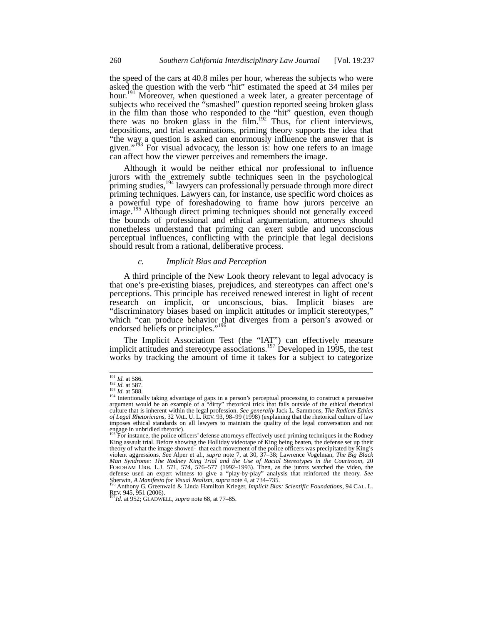the speed of the cars at 40.8 miles per hour, whereas the subjects who were asked the question with the verb "hit" estimated the speed at 34 miles per hour.<sup>191</sup> Moreover, when questioned a week later, a greater percentage of subjects who received the "smashed" question reported seeing broken glass in the film than those who responded to the "hit" question, even though there was no broken glass in the film.<sup>192</sup> Thus, for client interviews, depositions, and trial examinations, priming theory supports the idea that "the way a question is asked can enormously influence the answer that is given."<sup>193</sup> For visual advocacy, the lesson is: how one refers to an image can affect how the viewer perceives and remembers the image.

Although it would be neither ethical nor professional to influence jurors with the extremely subtle techniques seen in the psychological priming studies,<sup>194</sup> lawyers can professionally persuade through more direct priming techniques. Lawyers can, for instance, use specific word choices as a powerful type of foreshadowing to frame how jurors perceive an image.<sup>195</sup> Although direct priming techniques should not generally exceed the bounds of professional and ethical argumentation, attorneys should nonetheless understand that priming can exert subtle and unconscious perceptual influences, conflicting with the principle that legal decisions should result from a rational, deliberative process.

# *c. Implicit Bias and Perception*

A third principle of the New Look theory relevant to legal advocacy is that one's pre-existing biases, prejudices, and stereotypes can affect one's perceptions. This principle has received renewed interest in light of recent research on implicit, or unconscious, bias. Implicit biases are "discriminatory biases based on implicit attitudes or implicit stereotypes," which "can produce behavior that diverges from a person's avowed or endorsed beliefs or principles."<sup>196</sup>

The Implicit Association Test (the "IAT") can effectively measure implicit attitudes and stereotype associations.<sup>197</sup> Developed in 1995, the test works by tracking the amount of time it takes for a subject to categorize

Sherwin, *A Manifesto for Visual Realism*, *supra* note 4, at 734–735. <sup>196</sup> Anthony G. Greenwald & Linda Hamilton Krieger, *Implicit Bias: Scientific Foundations*, 94 CAL. L. REV. 945, 951 (2006). <sup>197</sup>*Id*. at 952; GLADWELL, *supra* note 68, at 77–85.

 $\frac{191}{192}$  *Id.* at 586.<br>  $\frac{192}{193}$  *Id.* at 587.

<sup>&</sup>lt;sup>191</sup> *Id.* at 586.<br><sup>192</sup> *Id.* at 587.<br><sup>193</sup> *Id.* at 588.<br><sup>194</sup> Intentionally taking advantage of gaps in a person's perceptual processing to construct a persuasive argument would be an example of a "dirty" rhetorical trick that falls outside of the ethical rhetorical culture that is inherent within the legal profession. *See generally* Jack L. Sammons, *The Radical Ethics of Legal Rhetoricians*, 32 VAL. U. L. REV. 93, 98–99 (1998) (explaining that the rhetorical culture of law imposes ethical standards on all lawyers to maintain the quality of the legal conversation and not engage in unbridled rhetoric).<br><sup>195</sup> For instance, the police officers' defense attorneys effectively used priming techniques in the Rodney

King assault trial. Before showing the Holliday videotape of King being beaten, the defense set up their theory of what the image showed-–that each movement of the police officers was precipitated by King's violent aggressions. *See* Alper et al., *supra* note 7, at 30, 37–38; Lawrence Vogelman, *The Big Black Man Syndrome: The Rodney King Trial and the Use of Racial Stereotypes in the Courtroom*, 20 FORDHAM URB. L.J. 571, 574, 576–577 (1992–1993). Then, as the jurors watched the video, the defense used an expert witness to give a "play-by-play" analysis that reinforced the theory. *See*<br>Sherwin, *A Manifesto for Visual Realism*, *supra* note 4, at 734–735.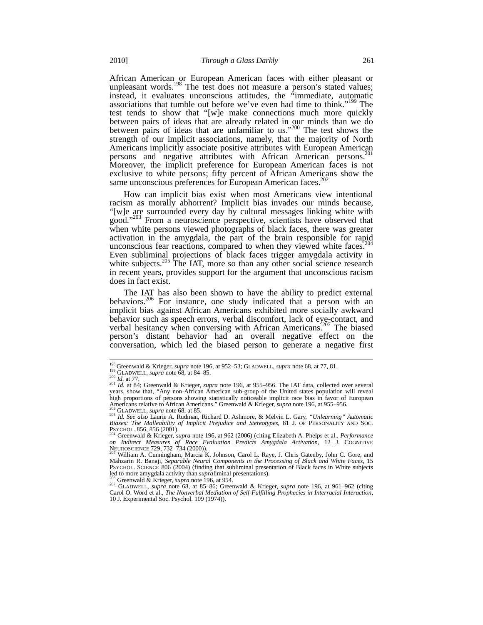African American or European American faces with either pleasant or unpleasant words.<sup>198</sup> The test does not measure a person's stated values; instead, it evaluates unconscious attitudes, the "immediate, automatic associations that tumble out before we've even had time to think."<sup>199</sup> The test tends to show that "[w]e make connections much more quickly between pairs of ideas that are already related in our minds than we do between pairs of ideas that are unfamiliar to us."<sup>200</sup> The test shows the strength of our implicit associations, namely, that the majority of North Americans implicitly associate positive attributes with European American persons and negative attributes with African American persons.<sup>201</sup> Moreover, the implicit preference for European American faces is not exclusive to white persons; fifty percent of African Americans show the same unconscious preferences for European American faces.<sup>202</sup>

How can implicit bias exist when most Americans view intentional racism as morally abhorrent? Implicit bias invades our minds because, "[w]e are surrounded every day by cultural messages linking white with good."203 From a neuroscience perspective, scientists have observed that when white persons viewed photographs of black faces, there was greater activation in the amygdala, the part of the brain responsible for rapid unconscious fear reactions, compared to when they viewed white faces.<sup>20</sup> Even subliminal projections of black faces trigger amygdala activity in white subjects.<sup>205</sup> The IAT, more so than any other social science research in recent years, provides support for the argument that unconscious racism does in fact exist.

The IAT has also been shown to have the ability to predict external behaviors.<sup>206</sup> For instance, one study indicated that a person with an implicit bias against African Americans exhibited more socially awkward behavior such as speech errors, verbal discomfort, lack of eye-contact, and verbal hesitancy when conversing with African Americans.<sup>207</sup> The biased person's distant behavior had an overall negative effect on the conversation, which led the biased person to generate a negative first

<sup>&</sup>lt;sup>198</sup> Greenwald & Krieger, *supra* note 196, at 952–53; GLADWELL, *supra* note 68, at 77, 81.<br><sup>199</sup> GLADWELL, *supra* note 68, at 84–85.<br><sup>200</sup> Id. at 77.<br><sup>201</sup> Id. at 84; Greenwald & Krieger, *supra* note 196, at 955–956. <sup>201</sup> Id. at 84; Greenwald & Krieger, *supra* note 196, at 955–956. The IAT data, collected over several years, show that, "Any non-African American sub-group of the United states population will reveal high proportions of persons showing statistically noticeable implicit race bias in favor of European Americans relative to African Americans." Greenwald & Krieger, *supra* note 196, at 955–956.

<sup>&</sup>lt;sup>202</sup> GLADWELL, *supra* note 68, at 85.<br><sup>203</sup> Id. See also Laurie A. Rudman, Richard D. Ashmore, & Melvin L. Gary, "Unlearning" Automatic Biases: The Malleability of Implicit Prejudice and Stereotypes, 81 J. OF PERSONALITY Psychol. 856, 856 (2001).<br>Psychol. 856, 856 (2001).<br><sup>204</sup> Greenwald & Krieger, *supra* note 196, at 962 (2006) (citing Elizabeth A. Phelps et al., *Performance* 

on Indirect Measures of Race Evaluation Predicts Amygdala Activation, 12 J. COGNITIVE<br>NEUROSCIENCE 729, 732–734 (2000)).<br><sup>205</sup> William A. Cunningham, Marcia K. Johnson, Carol L. Raye, J. Chris Gatenby, John C. Gore, and

Mahzarin R. Banaji, *Separable Neural Components in the Processing of Black and White Faces*, 15 PSYCHOL. SCIENCE 806 (2004) (finding that subliminal presentation of Black faces in White subjects led to more amygdala activity than *supra*liminal presentations).<br><sup>206</sup> Greenwald & Krieger, *supra* note 196, at 954.<br><sup>207</sup> GLADWELL, *supra* note 68, at 85–86; Greenwald & Krieger, *supra* note 196, at 961–962 (citing

Carol O. Word et al., *The Nonverbal Mediation of Self-Fulfilling Prophecies in Interracial Interaction*, 10 J. Experimental Soc. Psychol. 109 (1974)).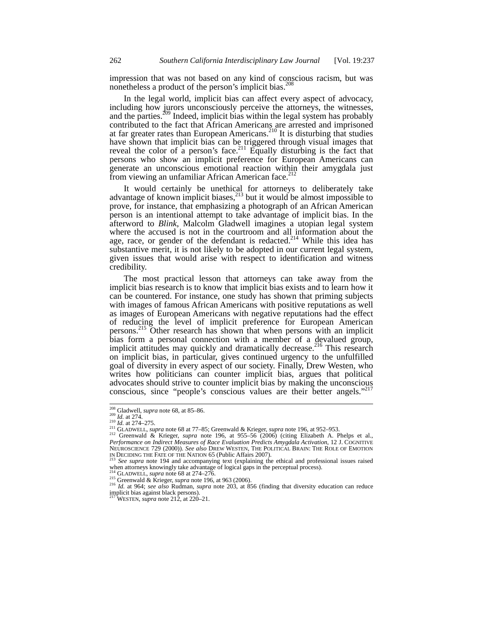impression that was not based on any kind of conscious racism, but was nonetheless a product of the person's implicit bias.<sup>208</sup>

In the legal world, implicit bias can affect every aspect of advocacy, including how jurors unconsciously perceive the attorneys, the witnesses, and the parties.<sup>209</sup> Indeed, implicit bias within the legal system has probably contributed to the fact that African Americans are arrested and imprisoned at far greater rates than European Americans.210 It is disturbing that studies have shown that implicit bias can be triggered through visual images that reveal the color of a person's face.<sup>211</sup> Equally disturbing is the fact that persons who show an implicit preference for European Americans can generate an unconscious emotional reaction within their amygdala just from viewing an unfamiliar African American face.<sup>21</sup>

It would certainly be unethical for attorneys to deliberately take advantage of known implicit biases, $^{213}$  but it would be almost impossible to prove, for instance, that emphasizing a photograph of an African American person is an intentional attempt to take advantage of implicit bias. In the afterword to *Blink*, Malcolm Gladwell imagines a utopian legal system where the accused is not in the courtroom and all information about the age, race, or gender of the defendant is redacted.<sup>214</sup> While this idea has substantive merit, it is not likely to be adopted in our current legal system, given issues that would arise with respect to identification and witness credibility.

The most practical lesson that attorneys can take away from the implicit bias research is to know that implicit bias exists and to learn how it can be countered. For instance, one study has shown that priming subjects with images of famous African Americans with positive reputations as well as images of European Americans with negative reputations had the effect of reducing the level of implicit preference for European American persons.215 Other research has shown that when persons with an implicit bias form a personal connection with a member of a devalued group, implicit attitudes may quickly and dramatically decrease.<sup>216</sup> This research on implicit bias, in particular, gives continued urgency to the unfulfilled goal of diversity in every aspect of our society. Finally, Drew Westen, who writes how politicians can counter implicit bias, argues that political advocates should strive to counter implicit bias by making the unconscious conscious, since "people's conscious values are their better angels."

<sup>&</sup>lt;sup>208</sup> Gladwell, *supra* note 68, at 85–86.<br><sup>209</sup> Id. at 274.<br><sup>210</sup> Id. at 274–275.<br><sup>211</sup> GLADWELL, *supra* note 68 at 77–85; Greenwald & Krieger, *supra* note 196, at 952–953.<br><sup>211</sup> GLADWELL, *supra* note 68 at 77–85; Gree *Performance on Indirect Measures of Race Evaluation Predicts Amygdala Activation*, 12 J. COGNITIVE NEUROSCIENCE 729 (2000)). *See also* DREW WESTEN, THE POLITICAL BRAIN: THE ROLE OF EMOTION<br>NEUROSCIENCE 729 (2000)). *See also* DREW WESTEN, THE POLITICAL BRAIN: THE ROLE OF EMOTION<br>IN DECIDING THE FATE OF THE NATION 65 (P

IN DECIDING THE FATE OF THE NATION 65 (Public Affairs 2007). <sup>213</sup> *See supra* note 194 and accompanying text (explaining the ethical and professional issues raised when attorneys knowingly take advantage of logical gaps in the perceptual process).<br><sup>214</sup> GLADWELL, *supra* note 68 at 274–276.

<sup>215</sup> Greenwald & Krieger, *supra* note 196, at 963 (2006).<br><sup>216</sup> Id. at 964; *see also* Rudman, *supra* note 203, at 856 (finding that diversity education can reduce implicit bias against black persons).

<sup>217</sup> WESTEN, *supra* note 212, at 220–21.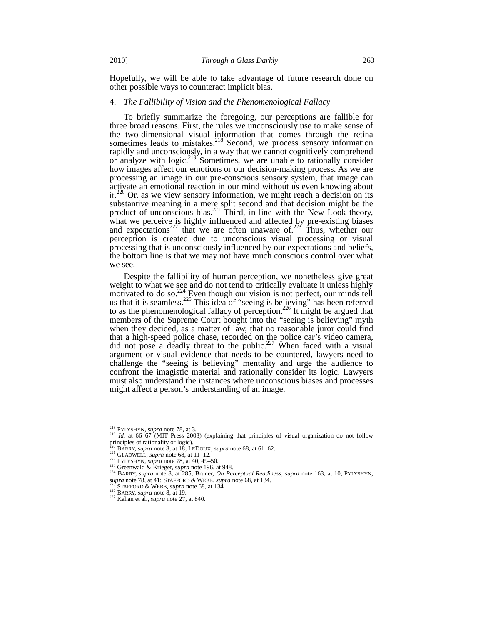Hopefully, we will be able to take advantage of future research done on other possible ways to counteract implicit bias.

#### 4. *The Fallibility of Vision and the Phenomenological Fallacy*

To briefly summarize the foregoing, our perceptions are fallible for three broad reasons. First, the rules we unconsciously use to make sense of the two-dimensional visual information that comes through the retina sometimes leads to mistakes. $218$  Second, we process sensory information rapidly and unconsciously, in a way that we cannot cognitively comprehend or analyze with logic.<sup>219</sup> Sometimes, we are unable to rationally consider how images affect our emotions or our decision-making process. As we are processing an image in our pre-conscious sensory system, that image can activate an emotional reaction in our mind without us even knowing about it.<sup>220</sup> Or, as we view sensory information, we might reach a decision on its substantive meaning in a mere split second and that decision might be the product of unconscious bias. $^{221}$  Third, in line with the New Look theory, what we perceive is highly influenced and affected by pre-existing biases and expectations<sup>222</sup> that we are often unaware of.<sup>223</sup> Thus, whether our perception is created due to unconscious visual processing or visual processing that is unconsciously influenced by our expectations and beliefs, the bottom line is that we may not have much conscious control over what we see.

Despite the fallibility of human perception, we nonetheless give great weight to what we see and do not tend to critically evaluate it unless highly motivated to do so.<sup>224</sup> Even though our vision is not perfect, our minds tell us that it is seamless.<sup>225</sup> This idea of "seeing is believing" has been referred to as the phenomenological fallacy of perception.<sup>226</sup> It might be argued that members of the Supreme Court bought into the "seeing is believing" myth when they decided, as a matter of law, that no reasonable juror could find that a high-speed police chase, recorded on the police car's video camera, did not pose a deadly threat to the public.<sup>227</sup> When faced with a visual argument or visual evidence that needs to be countered, lawyers need to challenge the "seeing is believing" mentality and urge the audience to confront the imagistic material and rationally consider its logic. Lawyers must also understand the instances where unconscious biases and processes might affect a person's understanding of an image.

<sup>&</sup>lt;sup>218</sup> PYLYSHYN, supra note 78, at 3.

<sup>&</sup>lt;sup>219</sup> *Id.* at 66–67 (MIT Press 2003) (explaining that principles of visual organization do not follow principles of rationality or logic).<br>
<sup>220</sup> BARRY, *supra* note 8, at 18; LEDOUX, *supra* note 68, at 61–62.

<sup>221</sup> GLADWELL, suppra note 68, at 11-12.<br>
222 PYLYSHYN, suppra note 68, at 11-12.<br>
222 PYLYSHYN, suppra note 78, at 40, 49-50.<br>
233 Greenwald & Krieger, *suppra* note 196, at 948.<br>
24 BARRY, *suppra* note 8, at 285; Bruner *supra* note 78, at 41; STAFFORD & WEBB, *supra* note 68, at 134. <sup>225</sup> STAFFORD & WEBB, *supra* note 68, at 134. <sup>226</sup> BARRY, *supra* note 8, at 19. <sup>227</sup> Kahan et al., *supra* note 27, at 840.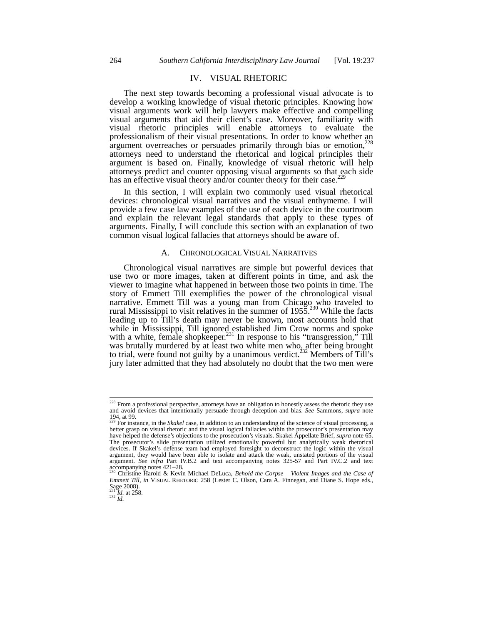# IV. VISUAL RHETORIC

The next step towards becoming a professional visual advocate is to develop a working knowledge of visual rhetoric principles. Knowing how visual arguments work will help lawyers make effective and compelling visual arguments that aid their client's case. Moreover, familiarity with visual rhetoric principles will enable attorneys to evaluate the professionalism of their visual presentations. In order to know whether an argument overreaches or persuades primarily through bias or emotion,<sup>228</sup> attorneys need to understand the rhetorical and logical principles their argument is based on. Finally, knowledge of visual rhetoric will help attorneys predict and counter opposing visual arguments so that each side has an effective visual theory and/or counter theory for their case.<sup>2</sup>

In this section, I will explain two commonly used visual rhetorical devices: chronological visual narratives and the visual enthymeme. I will provide a few case law examples of the use of each device in the courtroom and explain the relevant legal standards that apply to these types of arguments. Finally, I will conclude this section with an explanation of two common visual logical fallacies that attorneys should be aware of.

#### A. CHRONOLOGICAL VISUAL NARRATIVES

Chronological visual narratives are simple but powerful devices that use two or more images, taken at different points in time, and ask the viewer to imagine what happened in between those two points in time. The story of Emmett Till exemplifies the power of the chronological visual narrative. Emmett Till was a young man from Chicago who traveled to rural Mississippi to visit relatives in the summer of 1955.<sup>230</sup> While the facts leading up to Till's death may never be known, most accounts hold that while in Mississippi, Till ignored established Jim Crow norms and spoke with a white, female shopkeeper.<sup>231</sup> In response to his "transgression," Till was brutally murdered by at least two white men who, after being brought to trial, were found not guilty by a unanimous verdict.<sup>232</sup> Members of Till's jury later admitted that they had absolutely no doubt that the two men were

 $\frac{^{231}}{^{232}}$ *Id.* at 258.

<sup>&</sup>lt;sup>228</sup> From a professional perspective, attorneys have an obligation to honestly assess the rhetoric they use and avoid devices that intentionally persuade through deception and bias. *See* Sammons, *supra* note 194, at 99. <sup>229</sup> For instance, in the *Skakel* case, in addition to an understanding of the science of visual processing, a

better grasp on visual rhetoric and the visual logical fallacies within the prosecutor's presentation may have helped the defense's objections to the prosecution's visuals. Skakel Appellate Brief, *supra* note 65. The prosecutor's slide presentation utilized emotionally powerful but analytically weak rhetorical devices. If Skakel's defense team had employed foresight to deconstruct the logic within the visual argument, they would have been able to isolate and attack the weak, unstated portions of the visual argument. *See infra* Part IV.B.2 and text accompanying notes 325-57 and Part IV.C.2 and text accompanying notes 421–28. <sup>230</sup> Christine Harold & Kevin Michael DeLuca, *Behold the Corpse – Violent Images and the Case of* 

*Emmett Till*, *in* VISUAL RHETORIC 258 (Lester C. Olson, Cara A. Finnegan, and Diane S. Hope eds., Sage 2008).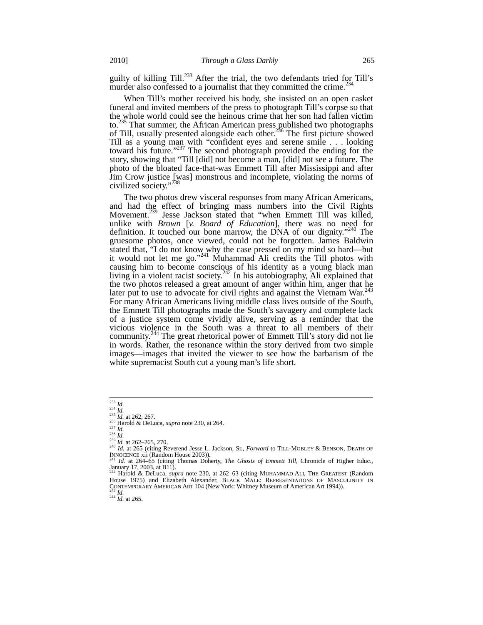guilty of killing Till.<sup>233</sup> After the trial, the two defendants tried for Till's murder also confessed to a journalist that they committed the crime. $^{234}$ 

When Till's mother received his body, she insisted on an open casket funeral and invited members of the press to photograph Till's corpse so that the whole world could see the heinous crime that her son had fallen victim to.<sup>235</sup> That summer, the African American press published two photographs of Till, usually presented alongside each other.<sup>236</sup> The first picture showed Till as a young man with "confident eyes and serene smile . . . looking toward his future."<sup>237</sup> The second photograph provided the ending for the story, showing that "Till [did] not become a man, [did] not see a future. The photo of the bloated face-that-was Emmett Till after Mississippi and after Jim Crow justice [was] monstrous and incomplete, violating the norms of civilized society."

The two photos drew visceral responses from many African Americans, and had the effect of bringing mass numbers into the Civil Rights Movement.<sup>239</sup> Jesse Jackson stated that "when Emmett Till was killed, unlike with *Brown* [*v. Board of Education*], there was no need for definition. It touched our bone marrow, the DNA of our dignity."<sup>240</sup> The gruesome photos, once viewed, could not be forgotten. James Baldwin stated that, "I do not know why the case pressed on my mind so hard—but it would not let me go."<sup>241</sup> Muhammad Ali credits the Till photos with causing him to become conscious of his identity as a young black man living in a violent racist society.<sup>242</sup> In his autobiography, Ali explained that the two photos released a great amount of anger within him, anger that he later put to use to advocate for civil rights and against the Vietnam War.<sup>24</sup> For many African Americans living middle class lives outside of the South, the Emmett Till photographs made the South's savagery and complete lack of a justice system come vividly alive, serving as a reminder that the vicious violence in the South was a threat to all members of their community.<sup>244</sup> The great rhetorical power of Emmett Till's story did not lie in words. Rather, the resonance within the story derived from two simple images—images that invited the viewer to see how the barbarism of the white supremacist South cut a young man's life short.

 $\frac{233}{234}$  *Id.*<br> $\frac{234}{10}$  *Id.* at 262, 267.

<sup>&</sup>lt;sup>226</sup> Harold & DeLuca, *supra* note 230, at 264.<br>
<sup>236</sup> Harold & DeLuca, *supra* note 230, at 264.<br>
<sup>237</sup> Hd. at 262–265, 270.<br>
<sup>239</sup> Hd. at 265 (citing Reverend Jesse L. Jackson, Sr., *Forward* to TILL-MOBLEY & BENSON, D

Id. at 264–65 (citing Thomas Doherty, *The Ghosts of Emmett Till*, Chronicle of Higher Educ., January 17, 2003, at B11). <sup>242</sup> Harold & DeLuca, *supra* note 230, at 262–63 (citing MUHAMMAD ALI, THE GREATEST (Random

House 1975) and Elizabeth Alexander, BLACK MALE: REPRESENTATIONS OF MASCULINITY IN CONTEMPORARY AMERICAN ART 104 (New York: Whitney Museum of American Art 1994)).<br><sup>243</sup> *Id.* 244 *Id.* at 265.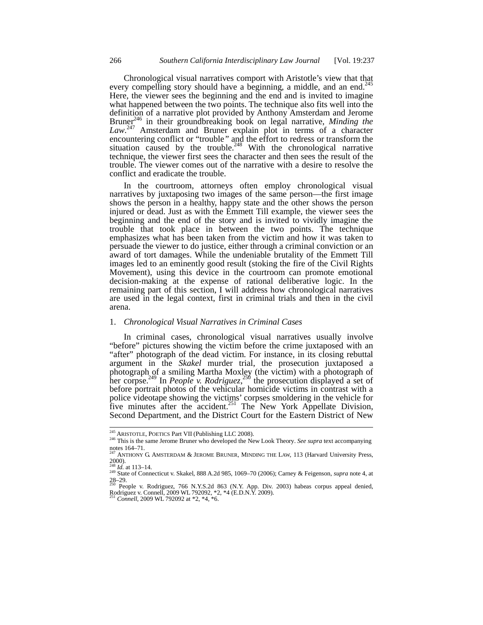Chronological visual narratives comport with Aristotle's view that that every compelling story should have a beginning, a middle, and an end.<sup>245</sup> Here, the viewer sees the beginning and the end and is invited to imagine what happened between the two points. The technique also fits well into the definition of a narrative plot provided by Anthony Amsterdam and Jerome Bruner<sup>246</sup> in their groundbreaking book on legal narrative, *Minding the* Law.<sup>247</sup> Amsterdam and Bruner explain plot in terms of a character encountering conflict or "trouble" and the effort to redress or transform the situation caused by the trouble. $248$  With the chronological narrative technique, the viewer first sees the character and then sees the result of the trouble. The viewer comes out of the narrative with a desire to resolve the conflict and eradicate the trouble.

In the courtroom, attorneys often employ chronological visual narratives by juxtaposing two images of the same person—the first image shows the person in a healthy, happy state and the other shows the person injured or dead. Just as with the Emmett Till example, the viewer sees the beginning and the end of the story and is invited to vividly imagine the trouble that took place in between the two points. The technique emphasizes what has been taken from the victim and how it was taken to persuade the viewer to do justice, either through a criminal conviction or an award of tort damages. While the undeniable brutality of the Emmett Till images led to an eminently good result (stoking the fire of the Civil Rights Movement), using this device in the courtroom can promote emotional decision-making at the expense of rational deliberative logic. In the remaining part of this section, I will address how chronological narratives are used in the legal context, first in criminal trials and then in the civil arena.

#### 1. *Chronological Visual Narratives in Criminal Cases*

In criminal cases, chronological visual narratives usually involve "before" pictures showing the victim before the crime juxtaposed with an "after" photograph of the dead victim. For instance, in its closing rebuttal argument in the *Skakel* murder trial, the prosecution juxtaposed a photograph of a smiling Martha Moxley (the victim) with a photograph of her corpse.249 In *People v. Rodriguez*, <sup>250</sup> the prosecution displayed a set of before portrait photos of the vehicular homicide victims in contrast with a police videotape showing the victims' corpses smoldering in the vehicle for five minutes after the accident.<sup>251</sup> The New York Appellate Division, Second Department, and the District Court for the Eastern District of New

<sup>&</sup>lt;sup>245</sup> ARISTOTLE, POETICS Part VII (Publishing LLC 2008).

<sup>&</sup>lt;sup>246</sup> This is the same Jerome Bruner who developed the New Look Theory. *See supra* text accompanying notes  $164-71$ .

ANTHONY G. AMSTERDAM & JEROME BRUNER, MINDING THE LAW, 113 (Harvard University Press,  $^{2000}$ .<br><sup>248</sup> *Id.* at 113–14.

<sup>248</sup> *Id.* at 113–14. <sup>249</sup> State of Connecticut v. Skakel, 888 A.2d 985, 1069–70 (2006); Carney & Feigenson, *supra* note 4, at 28–29. <sup>250</sup> People v. Rodriguez, 766 N.Y.S.2d 863 (N.Y. App. Div. 2003) habeas corpus appeal denied,

Rodriguez v. Connell, 2009 WL 792092, \*2, \*4 (E.D.N.Y. 2009). <sup>251</sup> *Connell*, 2009 WL 792092 at \*2, \*4, \*6.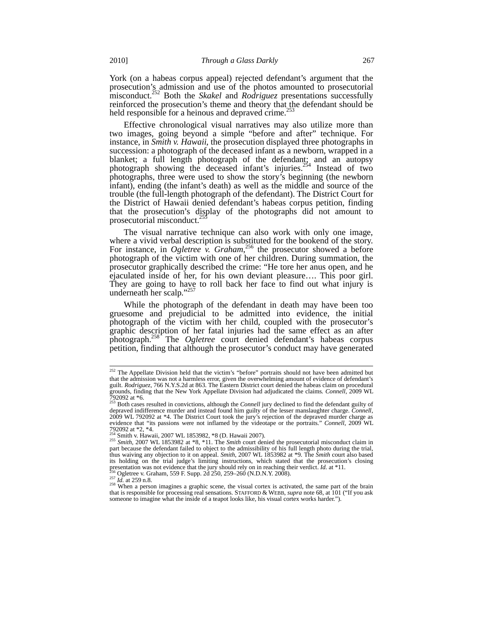York (on a habeas corpus appeal) rejected defendant's argument that the prosecution's admission and use of the photos amounted to prosecutorial misconduct.<sup>252</sup> Both the *Skakel* and *Rodriguez* presentations successfully reinforced the prosecution's theme and theory that the defendant should be held responsible for a heinous and depraved crime.<sup>2</sup>

Effective chronological visual narratives may also utilize more than two images, going beyond a simple "before and after" technique. For instance, in *Smith v. Hawaii*, the prosecution displayed three photographs in succession: a photograph of the deceased infant as a newborn, wrapped in a blanket; a full length photograph of the defendant; and an autopsy photograph showing the deceased infant's injuries.<sup>254</sup> Instead of two photographs, three were used to show the story's beginning (the newborn infant), ending (the infant's death) as well as the middle and source of the trouble (the full-length photograph of the defendant). The District Court for the District of Hawaii denied defendant's habeas corpus petition, finding that the prosecution's display of the photographs did not amount to prosecutorial misconduct.<sup>25</sup>

The visual narrative technique can also work with only one image, where a vivid verbal description is substituted for the bookend of the story. For instance, in *Ogletree* v. *Graham*,<sup>256</sup> the prosecutor showed a before photograph of the victim with one of her children. During summation, the prosecutor graphically described the crime: "He tore her anus open, and he ejaculated inside of her, for his own deviant pleasure…. This poor girl. They are going to have to roll back her face to find out what injury is underneath her scalp."<sup>2</sup>

While the photograph of the defendant in death may have been too gruesome and prejudicial to be admitted into evidence, the initial photograph of the victim with her child, coupled with the prosecutor's graphic description of her fatal injuries had the same effect as an after photograph.258 The *Ogletree* court denied defendant's habeas corpus petition, finding that although the prosecutor's conduct may have generated

<sup>&</sup>lt;sup>252</sup> The Appellate Division held that the victim's "before" portraits should not have been admitted but that the admission was not a harmless error, given the overwhelming amount of evidence of defendant's guilt. *Rodriguez*, 766 N.Y.S.2d at 863. The Eastern District court denied the habeas claim on procedural grounds, finding that the New York Appellate Division had adjudicated the claims*. Connell*, 2009 WL 792092 at \*6.

<sup>253</sup> Both cases resulted in convictions, although the *Connell* jury declined to find the defendant guilty of depraved indifference murder and instead found him guilty of the lesser manslaughter charge. *Connell*, 2009 WL 792092 at \*4. The District Court took the jury's rejection of the depraved murder charge as evidence that "its passions were not inflamed by the videotape or the portraits." *Connell*, 2009 WL<br>792092 at \*2, \*4.<br><sup>254</sup> Smith v. Hawaii, 2007 WL 1853982, \*8 (D. Hawaii 2007).<br><sup>255</sup> Smith, 2007 WL 1853982 at \*8, \*11. T

thus waiving any objection to it on appeal. *Smith*, 2007 WL 1853982 at \*9. The *Smith* court also based its holding on the trial judge's limiting instructions, which stated that the prosecution's closing presentation was not evidence that the jury should rely on in reaching their verdict. *Id.* at \*11.<br><sup>256</sup> Ogletree v. Gra presentation was not evidence that the jury should rely on in reaching their verdict. *Id.* at \*11.<br><sup>256</sup> Ogletree v. Graham, 559 F. Supp. 2d 250, 259–260 (N.D.N.Y. 2008).<br><sup>257</sup> *Id.* at 259 n.8.<br><sup>258</sup> When a person imagi

that is responsible for processing real sensations. STAFFORD & WEBB, *supra* note 68, at 101 ("If you ask someone to imagine what the inside of a teapot looks like, his visual cortex works harder.").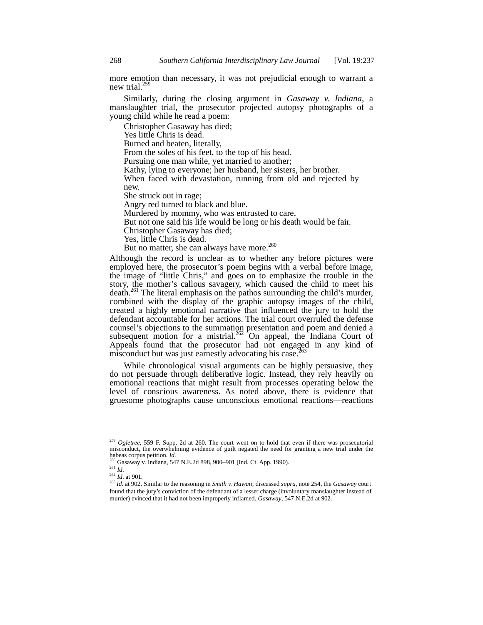more emotion than necessary, it was not prejudicial enough to warrant a new trial.<sup>259</sup>

Similarly, during the closing argument in *Gasaway v. Indiana*, a manslaughter trial, the prosecutor projected autopsy photographs of a young child while he read a poem:

Christopher Gasaway has died;

Yes little Chris is dead.

Burned and beaten, literally,

From the soles of his feet, to the top of his head.

Pursuing one man while, yet married to another;

Kathy, lying to everyone; her husband, her sisters, her brother.

When faced with devastation, running from old and rejected by new.

She struck out in rage;

Angry red turned to black and blue.

Murdered by mommy, who was entrusted to care,

But not one said his life would be long or his death would be fair.

Christopher Gasaway has died;

Yes, little Chris is dead.

But no matter, she can always have more.<sup>260</sup>

Although the record is unclear as to whether any before pictures were employed here, the prosecutor's poem begins with a verbal before image, the image of "little Chris," and goes on to emphasize the trouble in the story, the mother's callous savagery, which caused the child to meet his death.<sup>261</sup> The literal emphasis on the pathos surrounding the child's murder, combined with the display of the graphic autopsy images of the child, created a highly emotional narrative that influenced the jury to hold the defendant accountable for her actions. The trial court overruled the defense counsel's objections to the summation presentation and poem and denied a subsequent motion for a mistrial.<sup>262</sup> On appeal, the Indiana Court of Appeals found that the prosecutor had not engaged in any kind of misconduct but was just earnestly advocating his case.<sup>263</sup>

While chronological visual arguments can be highly persuasive, they do not persuade through deliberative logic. Instead, they rely heavily on emotional reactions that might result from processes operating below the level of conscious awareness. As noted above, there is evidence that gruesome photographs cause unconscious emotional reactions—reactions

<sup>&</sup>lt;sup>259</sup> Ogletree, 559 F. Supp. 2d at 260. The court went on to hold that even if there was prosecutorial misconduct, the overwhelming evidence of guilt negated the need for granting a new trial under the

<sup>&</sup>lt;sup>260</sup> Gasaway v. Indiana, 547 N.E.2d 898, 900–901 (Ind. Ct. App. 1990). <sup>261</sup> *Id* 

<sup>262</sup> *Id*. at 901.

<sup>263</sup> *Id*. at 902. Similar to the reasoning in *Smith v. Hawaii*, discussed *supra*, note 254, the *Gasaway* court found that the jury's conviction of the defendant of a lesser charge (involuntary manslaughter instead of murder) evinced that it had not been improperly inflamed. *Gasaway*, 547 N.E.2d at 902.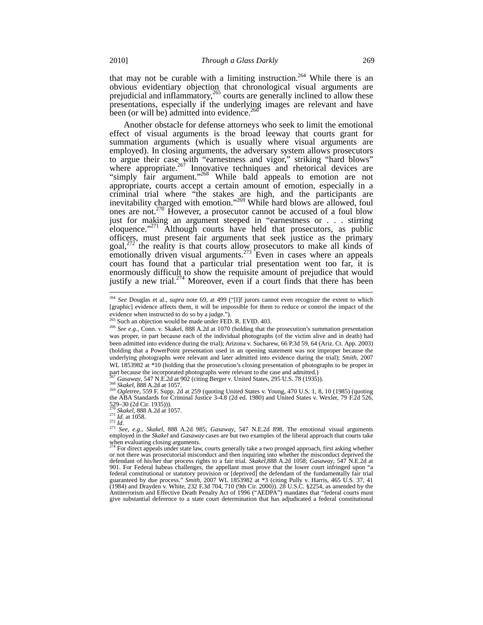that may not be curable with a limiting instruction.<sup>264</sup> While there is an obvious evidentiary objection that chronological visual arguments are prejudicial and inflammatory,  $265$  courts are generally inclined to allow these presentations, especially if the underlying images are relevant and have been (or will be) admitted into evidence.<sup>2</sup>

Another obstacle for defense attorneys who seek to limit the emotional effect of visual arguments is the broad leeway that courts grant for summation arguments (which is usually where visual arguments are employed). In closing arguments, the adversary system allows prosecutors to argue their case with "earnestness and vigor," striking "hard blows" where appropriate.<sup>267</sup> Innovative techniques and rhetorical devices are "simply fair argument."<sup>268</sup> While bald appeals to emotion are not appropriate, courts accept a certain amount of emotion, especially in a criminal trial where "the stakes are high, and the participants are inevitability charged with emotion."<sup>269</sup> While hard blows are allowed, foul ones are not.270 However, a prosecutor cannot be accused of a foul blow just for making an argument steeped in "earnestness or . . . stirring eloquence."<sup>271</sup> Although courts have held that prosecutors, as public officers, must present fair arguments that seek justice as the primary goal, $272$  the reality is that courts allow prosecutors to make all kinds of emotionally driven visual arguments.<sup>273</sup> Even in cases where an appeals court has found that a particular trial presentation went too far, it is enormously difficult to show the requisite amount of prejudice that would justify a new trial.<sup>274</sup> Moreover, even if a court finds that there has been

<sup>264</sup> *See* Douglas et al., *supra* note 69, at 499 ("[I]f jurors cannot even recognize the extent to which [graphic] evidence affects them, it will be impossible for them to reduce or control the impact of the evidence when instructed to do so by a judge.").

 $^{265}$  Such an objection would be made under FED. R. EVID. 403.

<sup>266</sup> *See e.g.*, Conn. v. Skakel, 888 A.2d at 1070 (holding that the prosecution's summation presentation was proper, in part because each of the individual photographs (of the victim alive and in death) had been admitted into evidence during the trial); Arizona v. Sucharew, 66 P.3d 59, 64 (Ariz. Ct. App. 2003) (holding that a PowerPoint presentation used in an opening statement was not improper because the underlying photographs were relevant and later admitted into evidence during the trial); *Smith*, 2007 WL 1853982 at \*10 (holding that the prosecution's closing presentation of photographs to be proper in

part because the incorporated photographs were relevant to the case and admitted.)<br><sup>267</sup> Gasaway, 547 N.E.2d at 902 (citing Berger v. United States, 295 U.S. 78 (1935)).

<sup>&</sup>lt;sup>267</sup> Gasaway, 547 N.E.2d at 902 (citing Berger v. United States, 295 U.S. 78 (1935)).<br><sup>268</sup> Skakel, 888 A.2d at 1057.<br><sup>269</sup> Ogletree, 559 F. Supp. 2d at 259 (quoting United States v. Young, 470 U.S. 1, 8, 10 (1985) (quoti the ABA Standards for Criminal Justice 3-4.8 (2d ed. 1980) and United States v. Wexler, 79 F.2d 526,  $529-30$  (2d Cir. 1935))).<br> $^{270}$  Skakel, 888 A.2d at 1057.

<sup>&</sup>lt;sup>270</sup> *Skakel*, 888 A.2d at 1057.<br><sup>271</sup> *Id.* at 1058.<br><sup>272</sup> *Id.* 272 *Id.* 288. 288 A.2d 985; *Gasaway*, 547 N.E.2d 898. The emotional visual arguments employed in the *Skakel* and *Gasaway* cases are but two examples of the liberal approach that courts take when evaluating closing arguments.

<sup>274</sup> For direct appeals under state law, courts generally take a two pronged approach, first asking whether or not there was prosecutorial misconduct and then inquiring into whether the misconduct deprived the defendant of his/her due process rights to a fair trial. *Skakel*,888 A.2d 1058; *Gasaway*, 547 N.E.2d at 901. For Federal habeas challenges, the appellant must prove that the lower court infringed upon "a federal constitutional or statutory provision or [deprived] the defendant of the fundamentally fair trial guaranteed by due process." *Smith*, 2007 WL 1853982 at \*3 (citing Pully v. Harris, 465 U.S. 37, 41 (1984) and Drayden v. White, 232 F.3d 704, 710 (9th Cir. 2000)). 28 U.S.C. §2254, as amended by the Antiterrorism and Effective Death Penalty Act of 1996 ("AEDPA") mandates that "federal courts must give substantial deference to a state court determination that has adjudicated a federal constitutional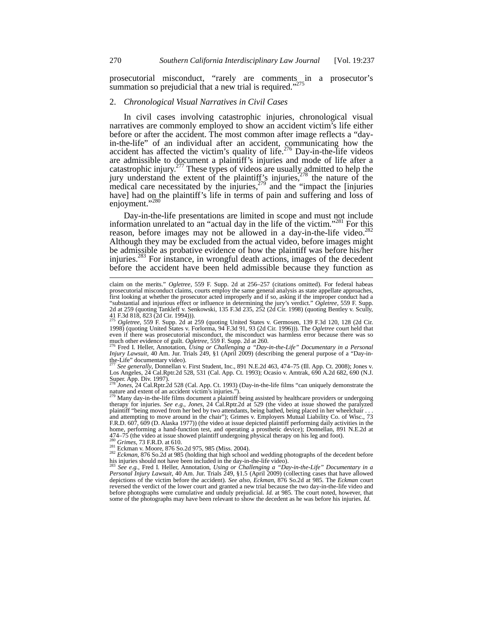prosecutorial misconduct, "rarely are comments in a prosecutor's summation so prejudicial that a new trial is required."<sup>275</sup>

#### 2. *Chronological Visual Narratives in Civil Cases*

In civil cases involving catastrophic injuries, chronological visual narratives are commonly employed to show an accident victim's life either before or after the accident. The most common after image reflects a "dayin-the-life" of an individual after an accident, communicating how the accident has affected the victim's quality of life.<sup>276</sup> Day-in-the-life videos are admissible to document a plaintiff's injuries and mode of life after a catastrophic injury.<sup>277</sup> These types of videos are usually admitted to help the jury understand the extent of the plaintiff's injuries, $278$  the nature of the medical care necessitated by the injuries,<sup>279</sup> and the "impact the [injuries] have] had on the plaintiff's life in terms of pain and suffering and loss of enjoyment."<sup>280</sup>

Day-in-the-life presentations are limited in scope and must not include information unrelated to an "actual day in the life of the victim."<sup>281</sup> For this reason, before images may not be allowed in a day-in-the-life video. $^{282}$ Although they may be excluded from the actual video, before images might be admissible as probative evidence of how the plaintiff was before his/her injuries.<sup>283</sup> For instance, in wrongful death actions, images of the decedent before the accident have been held admissible because they function as

<sup>277</sup> *See generally*, Donnellan v. First Student, Inc., 891 N.E.2d 463, 474–75 (Ill. App. Ct. 2008); Jones v. Los Angeles, 24 Cal.Rptr.2d 528, 531 (Cal. App. Ct. 1993); Ocasio v. Amtrak, 690 A.2d 682, 690 (N.J. Super. App. Div. 1997).

<sup>278</sup> *Jones*, 24 Cal.Rptr.2d 528 (Cal. App. Ct. 1993) (Day-in-the-life films "can uniquely demonstrate the nature and extent of an accident victim's injuries.").

<sup>79</sup> Many day-in-the-life films document a plaintiff being assisted by healthcare providers or undergoing therapy for injuries. *See e.g.*, *Jones*, 24 Cal.Rptr.2d at 529 (the video at issue showed the paralyzed plaintiff "being moved from her bed by two attendants, being bathed, being placed in her wheelchair . . . and attempting to move around in the chair"); Grimes v. Employers Mutual Liability Co. of Wisc., 73 F.R.D. 607, 609 (D. Alaska 1977)) (the video at issue depicted plaintiff performing daily activities in the home, performing a hand-function test, and operating a prosthetic device); Donnellan, 891 N.E.2d at 474–75 (the video at issue showed plaintiff undergoing physical therapy on his leg and foot).

<sup>280</sup> Grimes, 73 F.R.D. at 610.<br><sup>281</sup> Eckman v. Moore, 876 So.2d 975, 985 (Miss. 2004).<br><sup>282</sup> *Eckman*, 876 So.2d at 985 (holding that high school and wedding photographs of the decedent before his injuries should not have been included in the day-in-the-life video).

<sup>283</sup> *See e.g.*, Fred I. Heller, Annotation, *Using or Challenging a "Day-in-the-Life" Documentary in a Personal Injury Lawsuit*, 40 Am. Jur. Trials 249, §1.5 (April 2009) (collecting cases that have allowed depictions of the victim before the accident). *See also*, *Eckman*, 876 So.2d at 985. The *Eckman* court reversed the verdict of the lower court and granted a new trial because the two day-in-the-life video and before photographs were cumulative and unduly prejudicial. *Id.* at 985. The court noted, however, that some of the photographs may have been relevant to show the decedent as he was before his injuries. *Id.*

claim on the merits." *Ogletree*, 559 F. Supp. 2d at 256–257 (citations omitted). For federal habeas prosecutorial misconduct claims, courts employ the same general analysis as state appellate approaches, first looking at whether the prosecutor acted improperly and if so, asking if the improper conduct had a "substantial and injurious effect or influence in determining the jury's verdict." *Ogletree*, 559 F. Supp. 2d at 259 (quoting Tankleff v. Senkowski, 135 F.3d 235, 252 (2d Cir. 1998) (quoting Bentley v. Scully,<br>41 F.3d 818, 823 (2d Cir. 1994))).<br><sup>275</sup> *Ogletree,* 559 F. Supp. 2d at 259 (quoting United States v. Germosen, 139 F.3

<sup>1998) (</sup>quoting United States v. Forlorma, 94 F.3d 91, 93 (2d Cir. 1996))). The *Ogletree* court held that even if there was prosecutorial misconduct, the misconduct was harmless error because there was so much other evidence of guilt. Ogletree, 559 F. Supp. 2d at 260.

much other evidence of guilt. *Ogletree*, 559 F. Supp. 2d at 260.<br><sup>276</sup> Fred I. Heller, Annotation, *Using or Challenging a "Day-in-the-Life" Documentary in a Personal*<br>*Injury Lawsuit,* 40 Am. Jur. Trials 249, §1 (April 2 the-Life" documentary video).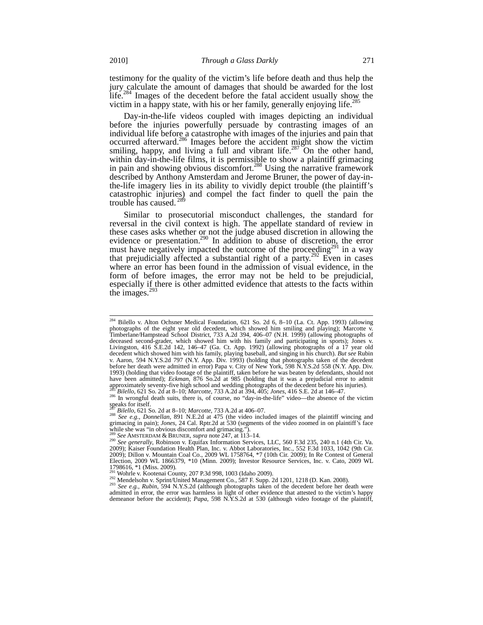testimony for the quality of the victim's life before death and thus help the jury calculate the amount of damages that should be awarded for the lost life.<sup>284</sup> Images of the decedent before the fatal accident usually show the victim in a happy state, with his or her family, generally enjoying life.<sup>28</sup>

Day-in-the-life videos coupled with images depicting an individual before the injuries powerfully persuade by contrasting images of an individual life before a catastrophe with images of the injuries and pain that occurred afterward.<sup>286</sup> Images before the accident might show the victim smiling, happy, and living a full and vibrant life.<sup>287</sup> On the other hand, within day-in-the-life films, it is permissible to show a plaintiff grimacing in pain and showing obvious discomfort.<sup>288</sup> Using the narrative framework described by Anthony Amsterdam and Jerome Bruner, the power of day-inthe-life imagery lies in its ability to vividly depict trouble (the plaintiff's catastrophic injuries) and compel the fact finder to quell the pain the trouble has caused. <sup>289</sup>

Similar to prosecutorial misconduct challenges, the standard for reversal in the civil context is high. The appellate standard of review in these cases asks whether or not the judge abused discretion in allowing the evidence or presentation.<sup>290</sup> In addition to abuse of discretion, the error must have negatively impacted the outcome of the proceeding<sup>291</sup> in a way that prejudicially affected a substantial right of a party.<sup>292</sup> Even in cases where an error has been found in the admission of visual evidence, in the form of before images, the error may not be held to be prejudicial, especially if there is other admitted evidence that attests to the facts within the images. $29$ 

speaks for itself.

<sup>287</sup> *Bilello*, 621 So. 2d at 8–10; *Marcotte*, 733 A.2d at 406–07. <sup>288</sup> *See e.g.*, *Donnellan*, 891 N.E.2d at 475 (the video included images of the plaintiff wincing and grimacing in pain); *Jones*, 24 Cal. Rptr.2d at 530 (segments of the video zoomed in on plaintiff's face while she was "in obvious discomfort and grimacing.").<br>  $2^{29}$  See AMSTERDAM & BRUNER, *supra* note 247, at 113–14.

292 Mendelsohn v. Sprint/United Management Co., 587 F. Supp. 2d 1201, 1218 (D. Kan. 2008).<br><sup>293</sup> See e.g., Rubin, 594 N.Y.S.2d (although photographs taken of the decedent before her death were admitted in error, the error was harmless in light of other evidence that attested to the victim's happy demeanor before the accident); *Papa*, 598 N.Y.S.2d at 530 (although video footage of the plaintiff,

 $\overline{a}$ 

 $^{284}$  Bilello v. Alton Ochsner Medical Foundation, 621 So. 2d 6, 8–10 (La. Ct. App. 1993) (allowing photographs of the eight year old decedent, which showed him smiling and playing); Marcotte v. Timberlane/Hampstead School District, 733 A.2d 394, 406–07 (N.H. 1999) (allowing photographs of deceased second-grader, which showed him with his family and participating in sports); Jones v. Livingston, 416 S.E.2d 142, 146–47 (Ga. Ct. App. 1992) (allowing photographs of a 17 year old decedent which showed him with his family, playing baseball, and singing in his church). *But see* Rubin v. Aaron, 594 N.Y.S.2d 797 (N.Y. App. Div. 1993) (holding that photographs taken of the decedent before her death were admitted in error) Papa v. City of New York, 598 N.Y.S.2d 558 (N.Y. App. Div. 1993) (holding that video footage of the plaintiff, taken before he was beaten by defendants, should not have been admitted); *Eckman*, 876 So.2d at 985 (holding that it was a prejudicial error to admit approximately seventy-five high school and wedding photographs of the decedent before his injuries).<br><sup>285</sup> Bilello, 621 So. 2d at 8–10; *Marcotte*, 733 A.2d at 394, 405; *Jones*, 416 S.E. 2d at 146–47.<br><sup>286</sup> In wrongful de

<sup>&</sup>lt;sup>289</sup> See AMSTERDAM & BRUNER, *supra* note 247, at 113–14.<br><sup>290</sup> See generally, Robinson v. Equifax Information Services, LLC, 560 F.3d 235, 240 n.1 (4th Cir. Va.<br>2009); Kaiser Foundation Health Plan, Inc. v. Abbot Laborat 2009); Dillon v. Mountain Coal Co., 2009 WL 1758764, \*7 (10th Cir. 2009); In Re Contest of General Election, 2009 WL 1866379, \*10 (Minn. 2009); Investor Resource Services, Inc. v. Cato, 2009 WL 1798616, \*1 (Miss. 2009).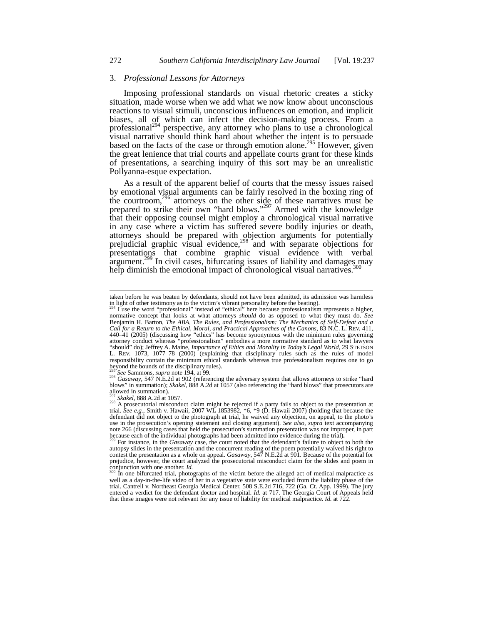# 3. *Professional Lessons for Attorneys*

Imposing professional standards on visual rhetoric creates a sticky situation, made worse when we add what we now know about unconscious reactions to visual stimuli, unconscious influences on emotion, and implicit biases, all of which can infect the decision-making process. From a professional<sup>294</sup> perspective, any attorney who plans to use a chronological visual narrative should think hard about whether the intent is to persuade based on the facts of the case or through emotion alone.<sup>295</sup> However, given the great lenience that trial courts and appellate courts grant for these kinds of presentations, a searching inquiry of this sort may be an unrealistic Pollyanna-esque expectation.

As a result of the apparent belief of courts that the messy issues raised by emotional visual arguments can be fairly resolved in the boxing ring of the courtroom,<sup>296</sup> attorneys on the other side of these narratives must be prepared to strike their own "hard blows."<sup>297</sup> Armed with the knowledge that their opposing counsel might employ a chronological visual narrative in any case where a victim has suffered severe bodily injuries or death, attorneys should be prepared with objection arguments for potentially prejudicial graphic visual evidence, $298$  and with separate objections for presentations that combine graphic visual evidence with verbal argument.<sup>299</sup> In civil cases, bifurcating issues of liability and damages may help diminish the emotional impact of chronological visual narratives.<sup>300</sup>

taken before he was beaten by defendants, should not have been admitted, its admission was harmless in light of other testimony as to the victim's vibrant personality before the beating).

I use the word "professional" instead of "ethical" here because professionalism represents a higher, normative concept that looks at what attorneys *should* do as opposed to what they must do. *See* Benjamin H. Barton, *The ABA, The Rules, and Professionalism: The Mechanics of Self-Defeat and a Call for a Return to the Ethical, Moral, and Practical Approaches of the Canons*, 83 N.C. L. REV. 411, 440–41 (2005) (discussing how "ethics" has become synonymous with the minimum rules governing attorney conduct whereas "professionalism" embodies a more normative standard as to what lawyers "should" do); Jeffrey A. Maine, *Importance of Ethics and Morality in Today's Legal World*, 29 STETSON L. REV. 1073, 1077–78 (2000) (explaining that disciplinary rules such as the rules of model responsibility contain the minimum ethical standards whereas true professionalism requires one to go beyond the bounds of the disciplinary rules).<br> $\frac{295}{25}$  See Sammons, *supra* note 194, at 99.

<sup>295</sup> *See* Sammons, *supra* note 194, at 99. <sup>296</sup> *Gasaway*, 547 N.E.2d at 902 (referencing the adversary system that allows attorneys to strike "hard blows" in summation); *Skakel*, 888 A.2d at 1057 (also referencing the "hard blows" that prosecutors are allowed in summation).

<sup>&</sup>lt;sup>297</sup> Skakel, 888 A.2d at 1057.<br><sup>298</sup> A prosecutorial misconduct claim might be rejected if a party fails to object to the presentation at trial. *See e.g.*, Smith v. Hawaii, 2007 WL 1853982, \*6, \*9 (D. Hawaii 2007) (holdi defendant did not object to the photograph at trial, he waived any objection, on appeal, to the photo's use in the prosecution's opening statement and closing argument). *See also*, *supra* text accompanying note 266 (discussing cases that held the prosecution's summation presentation was not improper, in part because each of the individual photographs had been admitted into evidence during the trial).

because each of the individual photographs had been admitted into evidence during the trial).<br><sup>299</sup> For instance, in the *Gasaway* case, the court noted that the defendant's failure to object to both the autopsy slides in contest the presentation as a whole on appeal. *Gasaway*, 547 N.E.2d at 901. Because of the potential for prejudice, however, the court analyzed the prosecutorial misconduct claim for the slides and poem in conjunction with one another. Id.

In one bifurcated trial, photographs of the victim before the alleged act of medical malpractice as well as a day-in-the-life video of her in a vegetative state were excluded from the liability phase of the trial. Cantrell v. Northeast Georgia Medical Center, 508 S.E.2d 716, 722 (Ga. Ct. App. 1999). The jury entered a verdict for the defendant doctor and hospital. *Id.* at 717. The Georgia Court of Appeals held that these images were not relevant for any issue of liability for medical malpractice. *Id.* at 722.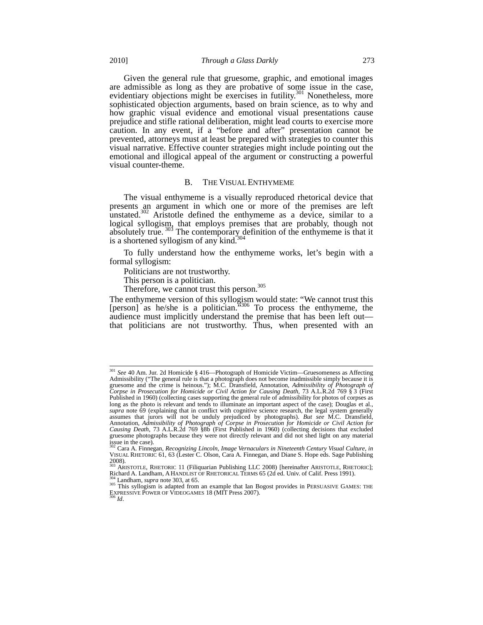Given the general rule that gruesome, graphic, and emotional images are admissible as long as they are probative of some issue in the case, evidentiary objections might be exercises in futility.<sup>301</sup> Nonetheless, more sophisticated objection arguments, based on brain science, as to why and how graphic visual evidence and emotional visual presentations cause prejudice and stifle rational deliberation, might lead courts to exercise more caution. In any event, if a "before and after" presentation cannot be prevented, attorneys must at least be prepared with strategies to counter this visual narrative. Effective counter strategies might include pointing out the emotional and illogical appeal of the argument or constructing a powerful visual counter-theme.

# B. THE VISUAL ENTHYMEME

The visual enthymeme is a visually reproduced rhetorical device that presents an argument in which one or more of the premises are left unstated. $302$  Aristotle defined the enthymeme as a device, similar to a logical syllogism, that employs premises that are probably, though not absolutely true. <sup>303</sup> The contemporary definition of the enthymeme is that it is a shortened syllogism of any kind.<sup>304</sup>

To fully understand how the enthymeme works, let's begin with a formal syllogism:

Politicians are not trustworthy.

This person is a politician.

Therefore, we cannot trust this person.<sup>305</sup>

The enthymeme version of this syllogism would state: "We cannot trust this [person] as he/she is a politician.  $5306$  To process the enthymeme, the audience must implicitly understand the premise that has been left out that politicians are not trustworthy. Thus, when presented with an

<sup>301</sup> *See* 40 Am. Jur. 2d Homicide § 416—Photograph of Homicide Victim—Gruesomeness as Affecting Admissibility ("The general rule is that a photograph does not become inadmissible simply because it is gruesome and the crime is heinous."); M.C. Dransfield, Annotation, *Admissibility of Photograph of Corpse in Prosecution for Homicide or Civil Action for Causing Death*, 73 A.L.R.2d 769 § 3 (First Published in 1960) (collecting cases supporting the general rule of admissibility for photos of corpses as long as the photo is relevant and tends to illuminate an important aspect of the case); Douglas et al., supra note 69 (explaining that in conflict with cognitive science research, the legal system generally assumes that jurors will not be unduly prejudiced by photographs). *But see* M.C. Dransfield, Annotation, *Admissibility of Photograph of Corpse in Prosecution for Homicide or Civil Action for Causing Death*, 73 A.L.R.2d 769 §8b (First Published in 1960) (collecting decisions that excluded gruesome photographs because they were not directly relevant and did not shed light on any material issue in the case).

<sup>302</sup> Cara A. Finnegan, *Recognizing Lincoln, Image Vernaculars in Nineteenth Century Visual Culture*, *in* VISUAL RHETORIC 61, 63 (Lester C. Olson, Cara A. Finnegan, and Diane S. Hope eds. Sage Publishing  $2008$ ).

<sup>&</sup>lt;sup>303</sup> ARISTOTLE, RHETORIC 11 (Filiquarian Publishing LLC 2008) [hereinafter ARISTOTLE, RHETORIC];<br>Richard A. Landham, A HANDLIST OF RHETORICAL TERMS 65 (2d ed. Univ. of Calif. Press 1991).

 $^{304}$  Landham, *supra* note 303, at 65.<br><sup>305</sup> This syllogism is adapted from an example that Ian Bogost provides in PERSUASIVE GAMES: THE EXPRESSIVE POWER OF VIDEOGAMES 18 (MIT Press 2007). <sup>306</sup> *Id*.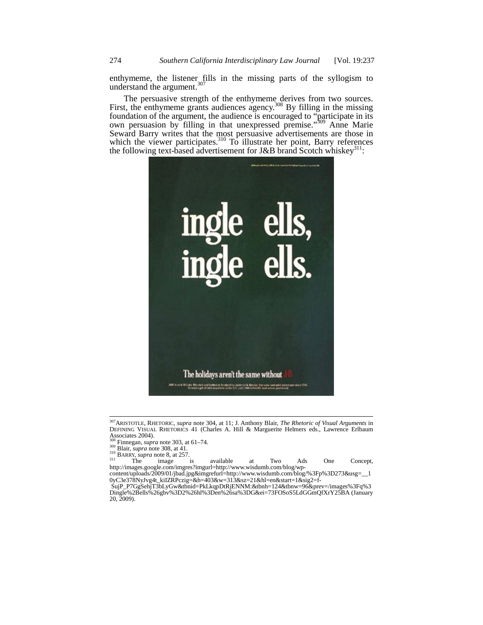enthymeme, the listener fills in the missing parts of the syllogism to understand the argument.<sup>307</sup>

The persuasive strength of the enthymeme derives from two sources. First, the enthymeme grants audiences agency.<sup>308</sup> By filling in the missing foundation of the argument, the audience is encouraged to "participate in its own persuasion by filling in that unexpressed premise."<sup>309</sup> Anne Marie Seward Barry writes that the most persuasive advertisements are those in which the viewer participates. $310$  To illustrate her point, Barry references the following text-based advertisement for J&B brand Scotch whiskey<sup>311</sup>:



<sup>&</sup>lt;sup>307</sup> ARISTOTLE, RHETORIC, *supra* note 304, at 11; J. Anthony Blair, *The Rhetoric of Visual Arguments* in DEFINING VISUAL RHETORICS 41 (Charles A. Hill & Marguerite Helmers eds., Lawrence Erlbaum Associates 2004).<br>
<sup>308</sup> Finnegan, *supra* note 303, at 61–74.<br>
<sup>309</sup> Blair, *supra* note 308, at 41.

<sup>&</sup>lt;sup>308</sup> Finnegan, *supra* note 303, at 61–74.<br><sup>309</sup> Blair, *supra* note 308, at 41.<br><sup>310</sup> BARRY, *supra* note 8, at 257.<br><sup>311</sup> BARRY, *supra* note 8, at 257.<br><sup>311</sup> The image is available at Two Ads One Concept,<br>http://images content/uploads/2009/01/jbad.jpg&imgrefurl=http://www.wisdumb.com/blog/%3Fp%3D273&usg=\_\_1

<sup>0</sup>yC3e378NyJvg4t\_kiIZRPczig=&h=403&w=313&sz=21&hl=en&start=1&sig2=f-<br>SujP\_P7GgSehjT3bLyGw&tbnid=PkLkqpDtRjENNM:&tbnh=124&tbnw=96&prev=/images%3Fq%3

Dingle%2Bells%26gbv%3D2%26hl%3Den%26sa%3DG&ei=73FOSoS5LdGGmQfXrY25BA (January 20, 2009).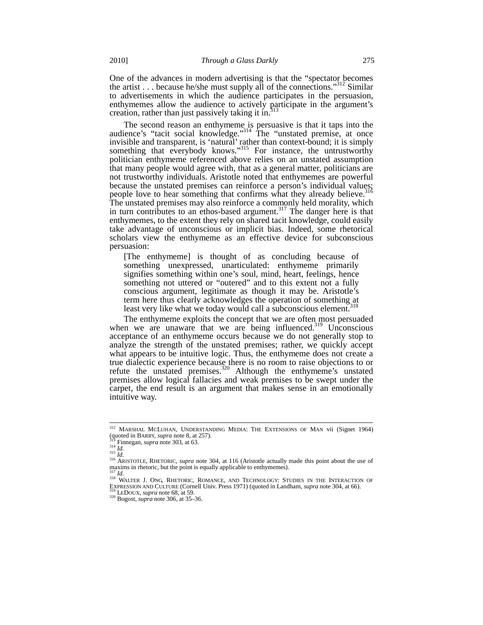One of the advances in modern advertising is that the "spectator becomes the artist . . . because he/she must supply all of the connections."312 Similar to advertisements in which the audience participates in the persuasion, enthymemes allow the audience to actively participate in the argument's creation, rather than just passively taking it in.<sup>313</sup>

The second reason an enthymeme is persuasive is that it taps into the audience's "tacit social knowledge."<sup>314</sup> The "unstated premise, at once invisible and transparent, is 'natural' rather than context-bound; it is simply something that everybody knows."<sup>315</sup> For instance, the untrustworthy politician enthymeme referenced above relies on an unstated assumption that many people would agree with, that as a general matter, politicians are not trustworthy individuals. Aristotle noted that enthymemes are powerful because the unstated premises can reinforce a person's individual values; people love to hear something that confirms what they already believe.<sup>316</sup> The unstated premises may also reinforce a commonly held morality, which in turn contributes to an ethos-based argument.<sup>317</sup> The danger here is that enthymemes, to the extent they rely on shared tacit knowledge, could easily take advantage of unconscious or implicit bias. Indeed, some rhetorical scholars view the enthymeme as an effective device for subconscious persuasion:

[The enthymeme] is thought of as concluding because of something unexpressed, unarticulated: enthymeme primarily signifies something within one's soul, mind, heart, feelings, hence something not uttered or "outered" and to this extent not a fully conscious argument, legitimate as though it may be. Aristotle's term here thus clearly acknowledges the operation of something at least very like what we today would call a subconscious element.

The enthymeme exploits the concept that we are often most persuaded when we are unaware that we are being influenced.<sup>319</sup> Unconscious acceptance of an enthymeme occurs because we do not generally stop to analyze the strength of the unstated premises; rather, we quickly accept what appears to be intuitive logic. Thus, the enthymeme does not create a true dialectic experience because there is no room to raise objections to or refute the unstated premises. $320$  Although the enthymeme's unstated premises allow logical fallacies and weak premises to be swept under the carpet, the end result is an argument that makes sense in an emotionally intuitive way.

<sup>&</sup>lt;sup>312</sup> MARSHAL MCLUHAN, UNDERSTANDING MEDIA: THE EXTENSIONS OF MAN vii (Signet 1964)

<sup>(</sup>quoted in BARRY, *supra* note 8, at 257).<br><sup>314</sup> Finnegan, *supra* note 303, at 63.<br><sup>314</sup> Id.<br><sup>316</sup> ARISTOTLE, RHETORIC, *supra* note 304, at 116 (Aristotle actually made this point about the use of maxims in rhetoric, bu

<sup>&</sup>lt;sup>317</sup> *Id.* 317 *Id.* 318 WALTER J. ONG, RHETORIC, ROMANCE, AND TECHNOLOGY: STUDIES IN THE INTERACTION OF EXPRESSION AND CULTURE (Cornell Univ. Press 1971) (quoted in Landham, *supra* note 304, at 66). <sup>319</sup> LEDOUX, *supra* note 68, at 59. 320 Bogost, *supra* note 306, at 35–36.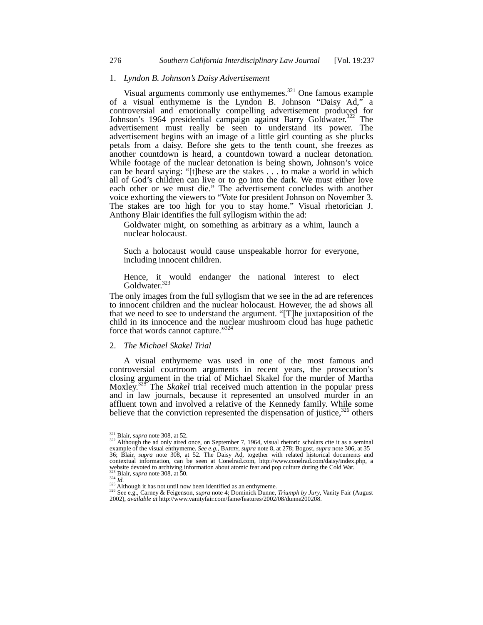# 1. *Lyndon B. Johnson's Daisy Advertisement*

Visual arguments commonly use enthymemes.<sup>321</sup> One famous example of a visual enthymeme is the Lyndon B. Johnson "Daisy Ad," a controversial and emotionally compelling advertisement produced for Johnson's 1964 presidential campaign against Barry Goldwater.<sup>322</sup> The advertisement must really be seen to understand its power. The advertisement begins with an image of a little girl counting as she plucks petals from a daisy. Before she gets to the tenth count, she freezes as another countdown is heard, a countdown toward a nuclear detonation. While footage of the nuclear detonation is being shown, Johnson's voice can be heard saying: "[t]hese are the stakes . . . to make a world in which all of God's children can live or to go into the dark. We must either love each other or we must die." The advertisement concludes with another voice exhorting the viewers to "Vote for president Johnson on November 3. The stakes are too high for you to stay home." Visual rhetorician J. Anthony Blair identifies the full syllogism within the ad:

Goldwater might, on something as arbitrary as a whim, launch a nuclear holocaust.

Such a holocaust would cause unspeakable horror for everyone, including innocent children.

Hence, it would endanger the national interest to elect Goldwater.<sup>323</sup>

The only images from the full syllogism that we see in the ad are references to innocent children and the nuclear holocaust. However, the ad shows all that we need to see to understand the argument. "[T]he juxtaposition of the child in its innocence and the nuclear mushroom cloud has huge pathetic force that words cannot capture."<sup>32</sup>

#### 2. *The Michael Skakel Trial*

A visual enthymeme was used in one of the most famous and controversial courtroom arguments in recent years, the prosecution's closing argument in the trial of Michael Skakel for the murder of Martha Moxley.325 The *Skakel* trial received much attention in the popular press and in law journals, because it represented an unsolved murder in an affluent town and involved a relative of the Kennedy family. While some believe that the conviction represented the dispensation of justice,  $326$  others

 $\overline{a}$ 

<sup>&</sup>lt;sup>321</sup> Blair, *supra* note 308, at 52.<br><sup>322</sup> Although the ad only aired once, on September 7, 1964, visual rhetoric scholars cite it as a seminal example of the visual enthymeme. *See e.g.*, BARRY, *supra* note 8, at 375 a 36; Blair, *supra* note 308, at 52. The Daisy Ad, together with related historical documents and contextual information, can be seen at Conelrad.com, http://www.conelrad.com/daisy/index.php, a website devoted to archiving information about atomic fear and pop culture during the Cold War.

<sup>&</sup>lt;sup>323</sup> Blair, *supra* note 308, at 50.<br><sup>324</sup> Id.<br><sup>325</sup> Although it has not until now been identified as an enthymeme.<br><sup>326</sup> See e.g., Carney & Feigenson, *supra* note 4; Dominick Dunne, *Triumph by Jury*, Vanity Fair (Augu 2002), *available at* http://www.vanityfair.com/fame/features/2002/08/dunne200208.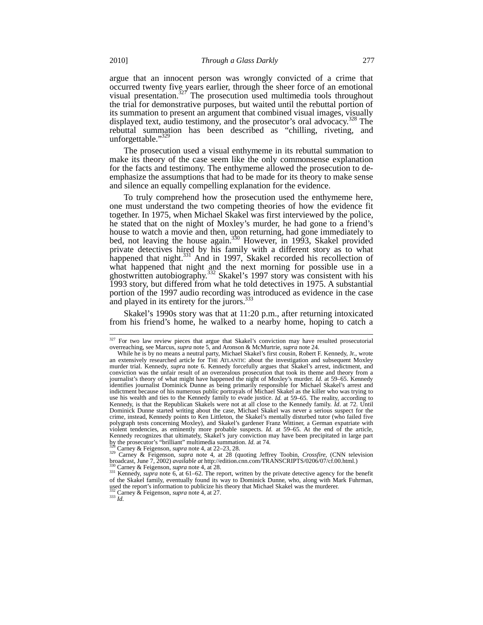argue that an innocent person was wrongly convicted of a crime that occurred twenty five years earlier, through the sheer force of an emotional visual presentation. $327$  The prosecution used multimedia tools throughout the trial for demonstrative purposes, but waited until the rebuttal portion of its summation to present an argument that combined visual images, visually displayed text, audio testimony, and the prosecutor's oral advocacy.<sup>328</sup> The rebuttal summation has been described as "chilling, riveting, and unforgettable."329

The prosecution used a visual enthymeme in its rebuttal summation to make its theory of the case seem like the only commonsense explanation for the facts and testimony. The enthymeme allowed the prosecution to deemphasize the assumptions that had to be made for its theory to make sense and silence an equally compelling explanation for the evidence.

To truly comprehend how the prosecution used the enthymeme here, one must understand the two competing theories of how the evidence fit together. In 1975, when Michael Skakel was first interviewed by the police, he stated that on the night of Moxley's murder, he had gone to a friend's house to watch a movie and then, upon returning, had gone immediately to bed, not leaving the house again.<sup>330</sup> However, in 1993, Skakel provided private detectives hired by his family with a different story as to what happened that night.<sup>331</sup> And in 1997, Skakel recorded his recollection of what happened that night and the next morning for possible use in a ghostwritten autobiography.<sup>332</sup> Skakel's 1997 story was consistent with his 1993 story, but differed from what he told detectives in 1975. A substantial portion of the 1997 audio recording was introduced as evidence in the case and played in its entirety for the jurors.<sup>333</sup>

Skakel's 1990s story was that at 11:20 p.m., after returning intoxicated from his friend's home, he walked to a nearby home, hoping to catch a

 $\overline{a}$ 

<sup>&</sup>lt;sup>327</sup> For two law review pieces that argue that Skakel's conviction may have resulted prosecutorial overreaching, see Marcus, *supra* note 5, and Aronson & McMurtrie, *supra* note 24.

While he is by no means a neutral party, Michael Skakel's first cousin, Robert F. Kennedy, Jr., wrote an extensively researched article for THE ATLANTIC about the investigation and subsequent Moxley murder trial. Kennedy, *supra* note 6. Kennedy forcefully argues that Skakel's arrest, indictment, and conviction was the unfair result of an overzealous prosecution that took its theme and theory from a journalist's theory of what might have happened the night of Moxley's murder. *Id.* at 59–65. Kennedy identifies journalist Dominick Dunne as being primarily responsible for Michael Skakel's arrest and indictment because of his numerous public portrayals of Michael Skakel as the killer who was trying to use his wealth and ties to the Kennedy family to evade justice. *Id.* at 59–65. The reality, according to Kennedy, is that the Republican Skakels were not at all close to the Kennedy family. *Id*. at 72. Until Dominick Dunne started writing about the case, Michael Skakel was never a serious suspect for the crime, instead, Kennedy points to Ken Littleton, the Skakel's mentally disturbed tutor (who failed five polygraph tests concerning Moxley), and Skakel's gardener Franz Wittiner, a German expatriate with violent tendencies, as eminently more probable suspects. *Id.* at 59–65. At the end of the article, Kennedy recognizes that ultimately, Skakel's jury conviction may have been precipitated in large part

by the prosecutor's "brilliant" multimedia summation. *Id.* at 74.<br><sup>328</sup> Carney & Feigenson, *supra* note 4, at 22–23, 28.<br><sup>329</sup> Carney & Feigenson, *supra* note 4, at 22 (quoting Jeffrey Toobin, *Crossfire*, (CNN televisi

<sup>&</sup>lt;sup>330</sup> Carney & Feigenson, *supra* note 4, at 28.<br><sup>331</sup> Kennedy, *supra* note 6, at 61–62. The report, written by the private detective agency for the benefit of the Skakel family, eventually found its way to Dominick Dunne, who, along with Mark Fuhrman, used the report's information to publicize his theory that Michael Skakel was the murderer. <sup>332</sup> Carney & Feigenson, *supra* note 4, at 27. <sup>333</sup> *Id.*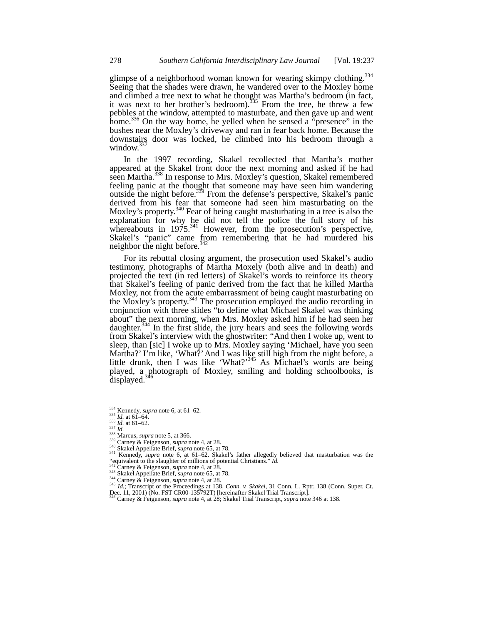glimpse of a neighborhood woman known for wearing skimpy clothing.<sup>334</sup> Seeing that the shades were drawn, he wandered over to the Moxley home and climbed a tree next to what he thought was Martha's bedroom (in fact, it was next to her brother's bedroom).<sup>335</sup> From the tree, he threw a few pebbles at the window, attempted to masturbate, and then gave up and went home.<sup>336</sup> On the way home, he yelled when he sensed a "presence" in the bushes near the Moxley's driveway and ran in fear back home. Because the downstairs door was locked, he climbed into his bedroom through a window. $3$ 

In the 1997 recording, Skakel recollected that Martha's mother appeared at the Skakel front door the next morning and asked if he had seen Martha.<sup>338</sup> In response to Mrs. Moxley's question, Skakel remembered feeling panic at the thought that someone may have seen him wandering outside the night before.<sup>339</sup> From the defense's perspective, Skakel's panic derived from his fear that someone had seen him masturbating on the Moxley's property.<sup>340</sup> Fear of being caught masturbating in a tree is also the explanation for why he did not tell the police the full story of his whereabouts in 1975.<sup>341</sup> However, from the prosecution's perspective, Skakel's "panic" came from remembering that he had murdered his neighbor the night before. $342$ 

For its rebuttal closing argument, the prosecution used Skakel's audio testimony, photographs of Martha Moxely (both alive and in death) and projected the text (in red letters) of Skakel's words to reinforce its theory that Skakel's feeling of panic derived from the fact that he killed Martha Moxley, not from the acute embarrassment of being caught masturbating on the Moxley's property.<sup>343</sup> The prosecution employed the audio recording in conjunction with three slides "to define what Michael Skakel was thinking about" the next morning, when Mrs. Moxley asked him if he had seen her daughter.<sup>344</sup> In the first slide, the jury hears and sees the following words from Skakel's interview with the ghostwriter: "And then I woke up, went to sleep, than [sic] I woke up to Mrs. Moxley saying 'Michael, have you seen Martha?' I'm like, 'What?' And I was like still high from the night before, a little drunk, then I was like 'What?'<sup>345</sup> As Michael's words are being played, a photograph of Moxley, smiling and holding schoolbooks, is displayed.<sup>346</sup>

 $\frac{334}{334}$  Kennedy, *supra* note 6, at 61–62.

<sup>&</sup>lt;sup>235</sup> *Id.* at 61–62.<br>
<sup>337</sup> *Id.* at 61–62.<br>
<sup>337</sup> *Id.* at 61–62.<br>
<sup>337</sup> Marcus, *supra* note 5, at 366.<br>
<sup>339</sup> Carney & Feigenson, *supra* note 4, at 28.<br>
<sup>340</sup> Skakel Appellate Brief, *supra* note 65, at 78.<br>
<sup>341</sup> Ke

<sup>&</sup>lt;sup>342</sup> Carney & Feigenson, *supra* note 4, at 28.<br>
<sup>343</sup> Skakel Appellate Brief, *supra* note 65, at 78.<br>
<sup>344</sup> Carney & Feigenson, *supra* note 4, at 28.<br>
<sup>345</sup> Id.; Transcript of the Proceedings at 138, *Conn. v. Skakel* Dec. 11, 2001) (No. FST CR00-135792T) [hereinafter Skakel Trial Transcript]. <sup>346</sup> Carney & Feigenson, *supra* note 4, at 28; Skakel Trial Transcript, *supra* note 346 at 138.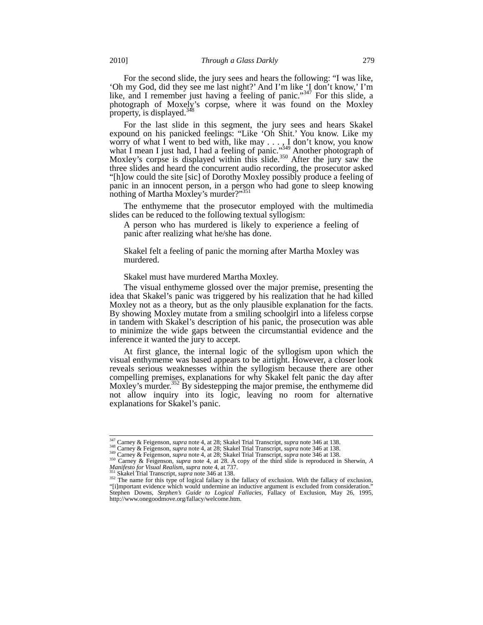For the second slide, the jury sees and hears the following: "I was like, 'Oh my God, did they see me last night?' And I'm like 'I don't know,' I'm like, and I remember just having a feeling of panic."<sup>347</sup> For this slide, a photograph of Moxely's corpse, where it was found on the Moxley property, is displayed.<sup>3</sup>

For the last slide in this segment, the jury sees and hears Skakel expound on his panicked feelings: "Like 'Oh Shit.' You know. Like my worry of what I went to bed with, like may  $\dots$ , I don't know, you know what I mean I just had, I had a feeling of panic."<sup>349</sup> Another photograph of Moxley's corpse is displayed within this slide.<sup>350</sup> After the jury saw the three slides and heard the concurrent audio recording, the prosecutor asked "[h]ow could the site [sic] of Dorothy Moxley possibly produce a feeling of panic in an innocent person, in a person who had gone to sleep knowing nothing of Martha Moxley's murder?"<sup>351</sup>

The enthymeme that the prosecutor employed with the multimedia slides can be reduced to the following textual syllogism:

A person who has murdered is likely to experience a feeling of panic after realizing what he/she has done.

Skakel felt a feeling of panic the morning after Martha Moxley was murdered.

Skakel must have murdered Martha Moxley.

The visual enthymeme glossed over the major premise, presenting the idea that Skakel's panic was triggered by his realization that he had killed Moxley not as a theory, but as the only plausible explanation for the facts. By showing Moxley mutate from a smiling schoolgirl into a lifeless corpse in tandem with Skakel's description of his panic, the prosecution was able to minimize the wide gaps between the circumstantial evidence and the inference it wanted the jury to accept.

At first glance, the internal logic of the syllogism upon which the visual enthymeme was based appears to be airtight. However, a closer look reveals serious weaknesses within the syllogism because there are other compelling premises, explanations for why Skakel felt panic the day after Moxley's murder.<sup>352</sup> By sidestepping the major premise, the enthymeme did not allow inquiry into its logic, leaving no room for alternative explanations for Skakel's panic.

<sup>&</sup>lt;sup>347</sup> Carney & Feigenson, *supra* note 4, at 28; Skakel Trial Transcript, *supra* note 346 at 138.<br><sup>348</sup> Carney & Feigenson, *supra* note 4, at 28; Skakel Trial Transcript, *supra* note 346 at 138.<br><sup>349</sup> Carney & Feigenson

*Manifesto for Visual Realism, supra* note 4, at 737.<br><sup>351</sup> Skakel Trial Transcript, *supra* note 346 at 138.<br><sup>352</sup> The name for this type of logical fallacy is the fallacy of exclusion. With the fallacy of exclusion,<br>"[i] Stephen Downs, *Stephen's Guide to Logical Fallacies*, Fallacy of Exclusion, May 26, 1995, http://www.onegoodmove.org/fallacy/welcome.htm.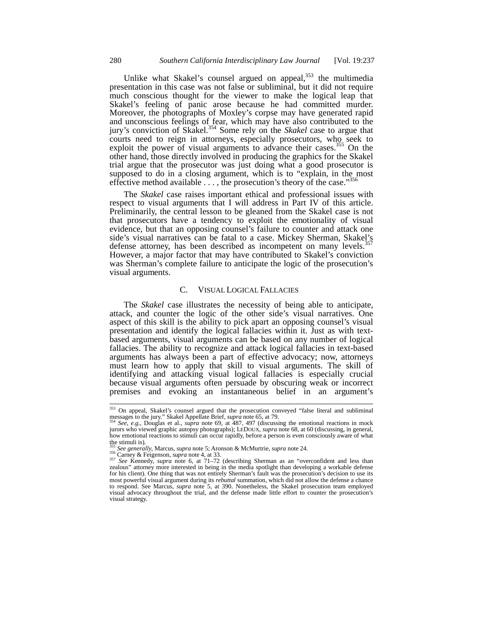Unlike what Skakel's counsel argued on appeal, $353$  the multimedia presentation in this case was not false or subliminal, but it did not require much conscious thought for the viewer to make the logical leap that Skakel's feeling of panic arose because he had committed murder. Moreover, the photographs of Moxley's corpse may have generated rapid and unconscious feelings of fear, which may have also contributed to the jury's conviction of Skakel.354 Some rely on the *Skakel* case to argue that courts need to reign in attorneys, especially prosecutors, who seek to exploit the power of visual arguments to advance their cases.<sup>355</sup> On the other hand, those directly involved in producing the graphics for the Skakel trial argue that the prosecutor was just doing what a good prosecutor is supposed to do in a closing argument, which is to "explain, in the most effective method available  $\ldots$ , the prosecution's theory of the case."<sup>356</sup>

The *Skakel* case raises important ethical and professional issues with respect to visual arguments that I will address in Part IV of this article. Preliminarily, the central lesson to be gleaned from the Skakel case is not that prosecutors have a tendency to exploit the emotionality of visual evidence, but that an opposing counsel's failure to counter and attack one side's visual narratives can be fatal to a case. Mickey Sherman, Skakel's defense attorney, has been described as incompetent on many levels.<sup>3</sup> However, a major factor that may have contributed to Skakel's conviction was Sherman's complete failure to anticipate the logic of the prosecution's visual arguments.

#### C. VISUAL LOGICAL FALLACIES

The *Skakel* case illustrates the necessity of being able to anticipate, attack, and counter the logic of the other side's visual narratives. One aspect of this skill is the ability to pick apart an opposing counsel's visual presentation and identify the logical fallacies within it. Just as with textbased arguments, visual arguments can be based on any number of logical fallacies. The ability to recognize and attack logical fallacies in text-based arguments has always been a part of effective advocacy; now, attorneys must learn how to apply that skill to visual arguments. The skill of identifying and attacking visual logical fallacies is especially crucial because visual arguments often persuade by obscuring weak or incorrect premises and evoking an instantaneous belief in an argument's

<sup>&</sup>lt;sup>353</sup> On appeal, Skakel's counsel argued that the prosecution conveyed "false literal and subliminal messages to the jury." Skakel Appellate Brief, *supra* note 65, at 79.<br><sup>354</sup> *See*, *e.g.*, Douglas et al., *supra* note 69, at 487, 497 (discussing the emotional reactions in mock

jurors who viewed graphic autopsy photographs); LEDOUX, *supra* note 68, at 60 (discussing, in general, how emotional reactions to stimuli can occur rapidly, before a person is even consciously aware of what the stimuli is).<br>
<sup>355</sup> See generally, Marcus, *supra* note 5; Aronson & McMurtrie, *supra* note 24.

<sup>&</sup>lt;sup>355</sup> See generally, Marcus, *supra* note 5; Aronson & McMurtrie, *supra* note 24.<br><sup>356</sup> Carney & Feigenson, *supra* note 4, at 33.<br><sup>357</sup> See Kennedy, *supra* note 6, at 71–72 (describing Sherman as an "overconfident and l for his client). One thing that was not entirely Sherman's fault was the prosecution's decision to use its most powerful visual argument during its *rebuttal* summation, which did not allow the defense a chance to respond. See Marcus, *supra* note 5, at 390. Nonetheless, the Skakel prosecution team employed visual advocacy throughout the trial, and the defense made little effort to counter the prosecution's visual strategy.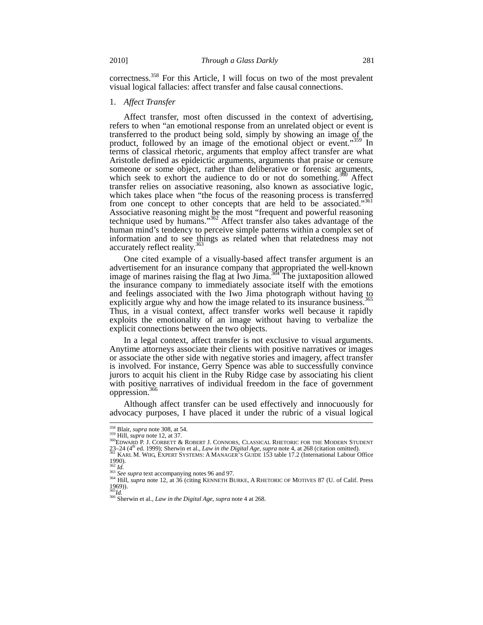correctness.<sup>358</sup> For this Article, I will focus on two of the most prevalent visual logical fallacies: affect transfer and false causal connections.

#### 1. *Affect Transfer*

Affect transfer, most often discussed in the context of advertising, refers to when "an emotional response from an unrelated object or event is transferred to the product being sold, simply by showing an image of the product, followed by an image of the emotional object or event."<sup>359</sup> In terms of classical rhetoric, arguments that employ affect transfer are what Aristotle defined as epideictic arguments, arguments that praise or censure someone or some object, rather than deliberative or forensic arguments, which seek to exhort the audience to do or not do something.<sup>360</sup> Affect transfer relies on associative reasoning, also known as associative logic, which takes place when "the focus of the reasoning process is transferred from one concept to other concepts that are held to be associated."361 Associative reasoning might be the most "frequent and powerful reasoning technique used by humans."362 Affect transfer also takes advantage of the human mind's tendency to perceive simple patterns within a complex set of information and to see things as related when that relatedness may not accurately reflect reality.<sup>363</sup>

One cited example of a visually-based affect transfer argument is an advertisement for an insurance company that appropriated the well-known image of marines raising the flag at Iwo Jima. $364$  The juxtaposition allowed the insurance company to immediately associate itself with the emotions and feelings associated with the Iwo Jima photograph without having to explicitly argue why and how the image related to its insurance business.<sup>3</sup> Thus, in a visual context, affect transfer works well because it rapidly exploits the emotionality of an image without having to verbalize the explicit connections between the two objects.

In a legal context, affect transfer is not exclusive to visual arguments. Anytime attorneys associate their clients with positive narratives or images or associate the other side with negative stories and imagery, affect transfer is involved. For instance, Gerry Spence was able to successfully convince jurors to acquit his client in the Ruby Ridge case by associating his client with positive narratives of individual freedom in the face of government oppression.<sup>3</sup>

Although affect transfer can be used effectively and innocuously for advocacy purposes, I have placed it under the rubric of a visual logical

<sup>&</sup>lt;sup>358</sup> Blair, *supra* note 308, at 54.

<sup>&</sup>lt;sup>359</sup> Hill, *suppa* note 300, at 54.<br><sup>360</sup>EDWARD P. J. CORBETT & ROBERT J. CONNORS, CLASSICAL RHETORIC FOR THE MODERN STUDENT 23–24 (4th ed. 1999); Sherwin et al., *Law in the Digital Age*, *supra* note 4, at 268 (citation omitted). <sup>361</sup> KARL M. WIIG, EXPERT SYSTEMS: A MANAGER'S GUIDE 153 table 17.2 (International Labour Office

 $\frac{1990}{362}$ .

<sup>&</sup>lt;sup>362</sup> *Id.*<br><sup>363</sup> *See supra* text accompanying notes 96 and 97.<br><sup>364</sup> Hill, *supra* note 12, at 36 (citing KENNETH BURKE, A RHETORIC OF MOTIVES 87 (U. of Calif. Press  $1969$ )).<br> $365$ <sub>*Id*</sub>

<sup>365</sup>*Id.* <sup>366</sup> Sherwin et al., *Law in the Digital Age*, *supra* note 4 at 268.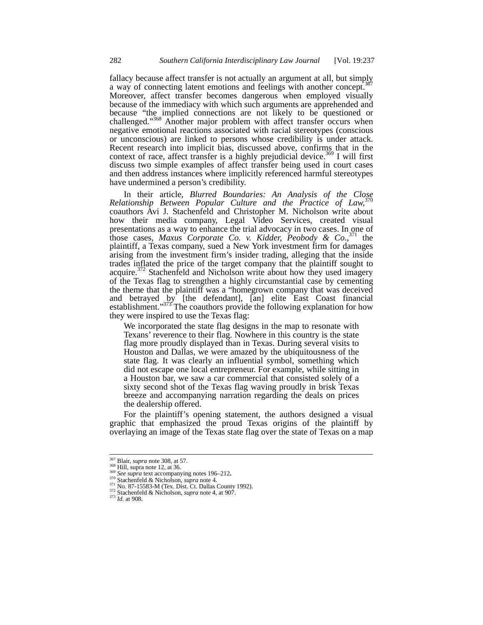fallacy because affect transfer is not actually an argument at all, but simply a way of connecting latent emotions and feelings with another concept.<sup>3</sup> Moreover, affect transfer becomes dangerous when employed visually because of the immediacy with which such arguments are apprehended and because "the implied connections are not likely to be questioned or challenged."<sup>368</sup> Another major problem with affect transfer occurs when negative emotional reactions associated with racial stereotypes (conscious or unconscious) are linked to persons whose credibility is under attack. Recent research into implicit bias, discussed above, confirms that in the context of race, affect transfer is a highly prejudicial device.<sup>369</sup> I will first discuss two simple examples of affect transfer being used in court cases and then address instances where implicitly referenced harmful stereotypes have undermined a person's credibility.

In their article, *Blurred Boundaries: An Analysis of the Close Relationship Between Popular Culture and the Practice of Law,*<sup>370</sup> coauthors Avi J. Stachenfeld and Christopher M. Nicholson write about how their media company, Legal Video Services, created visual presentations as a way to enhance the trial advocacy in two cases. In one of those cases, *Maxus Corporate Co. v. Kidder, Peobody & Co.*, <sup>371</sup> the plaintiff, a Texas company, sued a New York investment firm for damages arising from the investment firm's insider trading, alleging that the inside trades inflated the price of the target company that the plaintiff sought to acquire.<sup>372</sup> Stachenfeld and Nicholson write about how they used imagery of the Texas flag to strengthen a highly circumstantial case by cementing the theme that the plaintiff was a "homegrown company that was deceived and betrayed by [the defendant], [an] elite East Coast financial establishment."<sup>373</sup> The coauthors provide the following explanation for how they were inspired to use the Texas flag:

We incorporated the state flag designs in the map to resonate with Texans' reverence to their flag. Nowhere in this country is the state flag more proudly displayed than in Texas. During several visits to Houston and Dallas, we were amazed by the ubiquitousness of the state flag. It was clearly an influential symbol, something which did not escape one local entrepreneur. For example, while sitting in a Houston bar, we saw a car commercial that consisted solely of a sixty second shot of the Texas flag waving proudly in brisk Texas breeze and accompanying narration regarding the deals on prices the dealership offered.

For the plaintiff's opening statement, the authors designed a visual graphic that emphasized the proud Texas origins of the plaintiff by overlaying an image of the Texas state flag over the state of Texas on a map

 $\frac{367}{368}$  Blair, *supra* note 308, at 57.

<sup>&</sup>lt;sup>369</sup> See supra text accompanying notes 196–212.<br><sup>370</sup> Stachenfeld & Nicholson, *supra* note 4.<br><sup>371</sup> No. 87-15583-M (Tex. Dist. Ct. Dallas County 1992).<br><sup>372</sup> Stachenfeld & Nicholson, *supra* note 4, at 907.<br>*In* Id. at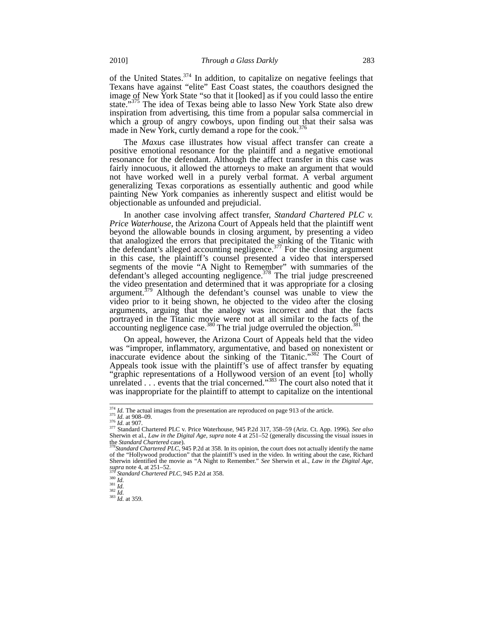of the United States. $374$  In addition, to capitalize on negative feelings that Texans have against "elite" East Coast states, the coauthors designed the image of New York State "so that it [looked] as if you could lasso the entire state."<sup>375</sup> The idea of Texas being able to lasso New York State also drew inspiration from advertising, this time from a popular salsa commercial in which a group of angry cowboys, upon finding out that their salsa was made in New York, curtly demand a rope for the cook.<sup>3</sup>

The *Maxus* case illustrates how visual affect transfer can create a positive emotional resonance for the plaintiff and a negative emotional resonance for the defendant. Although the affect transfer in this case was fairly innocuous, it allowed the attorneys to make an argument that would not have worked well in a purely verbal format. A verbal argument generalizing Texas corporations as essentially authentic and good while painting New York companies as inherently suspect and elitist would be objectionable as unfounded and prejudicial.

In another case involving affect transfer, *Standard Chartered PLC v. Price Waterhouse*, the Arizona Court of Appeals held that the plaintiff went beyond the allowable bounds in closing argument, by presenting a video that analogized the errors that precipitated the sinking of the Titanic with the defendant's alleged accounting negligence.<sup>377</sup> For the closing argument in this case, the plaintiff's counsel presented a video that interspersed segments of the movie "A Night to Remember" with summaries of the defendant's alleged accounting negligence.<sup>378</sup> The trial judge prescreened the video presentation and determined that it was appropriate for a closing argument.<sup>379</sup> Although the defendant's counsel was unable to view the video prior to it being shown, he objected to the video after the closing arguments, arguing that the analogy was incorrect and that the facts portrayed in the Titanic movie were not at all similar to the facts of the  $\alpha$  accounting negligence case.<sup>380</sup> The trial judge overruled the objection.<sup>381</sup>

On appeal, however, the Arizona Court of Appeals held that the video was "improper, inflammatory, argumentative, and based on nonexistent or inaccurate evidence about the sinking of the Titanic."382 The Court of Appeals took issue with the plaintiff's use of affect transfer by equating "graphic representations of a Hollywood version of an event [to] wholly unrelated . . . events that the trial concerned."<sup>383</sup> The court also noted that it was inappropriate for the plaintiff to attempt to capitalize on the intentional

<sup>&</sup>lt;sup>374</sup> *Id.* The actual images from the presentation are reproduced on page 913 of the article.<br><sup>375</sup> *Id.* at 908–09.<br><sup>376</sup> *Id.* at 907.<br><sup>376</sup> Standard Chartered PLC v. Price Waterhouse, 945 P.2d 317, 358–59 (Ariz. Ct. Ap Sherwin et al., *Law in the Digital Age*, *supra* note 4 at 251–52 (generally discussing the visual issues in the *Standard Chartered* case). <sup>378</sup>*Standard Chartered PLC,* 945 P.2d at 358. In its opinion, the court does not actually identify the name

of the "Hollywood production" that the plaintiff's used in the video. In writing about the case, Richard Sherwin identified the movie as "A Night to Remember." *See* Sherwin et al., *Law in the Digital Age*,  $\frac{supra}{379}$  *Standard Chartered PLC*, 945 P.2d at 358.<br>  $\frac{379}{450}$  *Id.*<br>  $\frac{381}{1d}$ .<br>  $\frac{1}{382}$  *Id.*<br>  $\frac{1}{$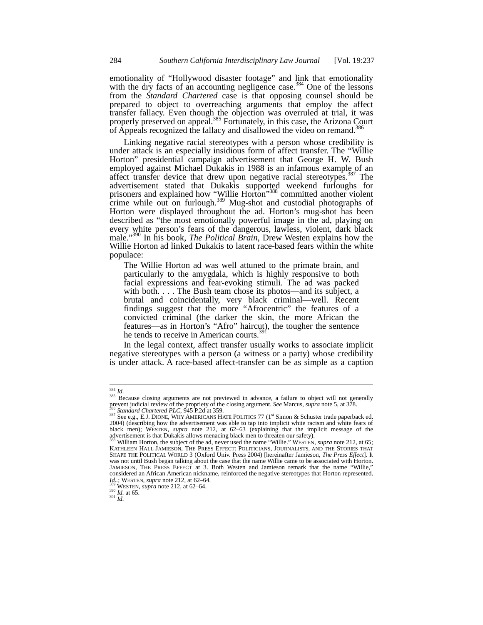emotionality of "Hollywood disaster footage" and link that emotionality emotionality of **Trong wood** disaster rooting the disaster case.<sup>384</sup> One of the lessons with the dry facts of an accounting negligence case.<sup>384</sup> One of the lessons from the *Standard Chartered* case is that opposing counsel should be prepared to object to overreaching arguments that employ the affect transfer fallacy. Even though the objection was overruled at trial, it was properly preserved on appeal.<sup>385</sup> Fortunately, in this case, the Arizona Court of Appeals recognized the fallacy and disallowed the video on remand.<sup>386</sup>

Linking negative racial stereotypes with a person whose credibility is under attack is an especially insidious form of affect transfer. The "Willie Horton" presidential campaign advertisement that George H. W. Bush employed against Michael Dukakis in 1988 is an infamous example of an affect transfer device that drew upon negative racial stereotypes.<sup>387</sup> The advertisement stated that Dukakis supported weekend furloughs for prisoners and explained how "Willie Horton"<sup>388</sup> committed another violent crime while out on furlough.<sup>389</sup> Mug-shot and custodial photographs of Horton were displayed throughout the ad. Horton's mug-shot has been described as "the most emotionally powerful image in the ad, playing on every white person's fears of the dangerous, lawless, violent, dark black male."390 In his book, *The Political Brain*, Drew Westen explains how the Willie Horton ad linked Dukakis to latent race-based fears within the white populace:

The Willie Horton ad was well attuned to the primate brain, and particularly to the amygdala, which is highly responsive to both facial expressions and fear-evoking stimuli. The ad was packed with both. . . . The Bush team chose its photos—and its subject, a brutal and coincidentally, very black criminal—well. Recent findings suggest that the more "Afrocentric" the features of a convicted criminal (the darker the skin, the more African the features—as in Horton's "Afro" haircut), the tougher the sentence he tends to receive in American courts.<sup>39</sup>

In the legal context, affect transfer usually works to associate implicit negative stereotypes with a person (a witness or a party) whose credibility is under attack. A race-based affect-transfer can be as simple as a caption

 $384$  *Id.* 

<sup>&</sup>lt;sup>385</sup> Because closing arguments are not previewed in advance, a failure to object will not generally prevent judicial review of the propriety of the closing argument. See Marcus, supra note 5, at 378.<br><sup>386</sup> Standard Chartered PLC, 945 P.2d at 359.<br><sup>387</sup> See e.g., E.J. DIONE, WHY AMERICANS HATE POLITICS 77 (1<sup>st</sup> Simon & S

<sup>2004) (</sup>describing how the advertisement was able to tap into implicit white racism and white fears of black men); WESTEN, *supra* note 212, at 62–63 (explaining that the implicit message of the advertisement is that Dukakis allows menacing black men to threaten our safety).

<sup>&</sup>lt;sup>388</sup> William Horton, the subject of the ad, never used the name "Willie." WESTEN, *supra* note 212, at 65;<br>KATHLEEN HALL JAMIESON, THE PRESS EFFECT: POLITICIANS, JOURNALISTS, AND THE STORIES THAT SHAPE THE POLITICAL WORLD 3 (Oxford Univ. Press 2004) [hereinafter Jamieson, *The Press Effect*]. It was not until Bush began talking about the case that the name Willie came to be associated with Horton. JAMIESON, THE PRESS EFFECT at 3. Both Westen and Jamieson remark that the name "Willie," considered an African American nickname, reinforced the negative stereotypes that Horton represented. *Id..*; WESTEN, *supra* note 212, at 62–64.<br><sup>389</sup> WESTEN, *supra* note 212, at 62–64.<br><sup>390</sup> *Id.* at 65.<br>*Id.*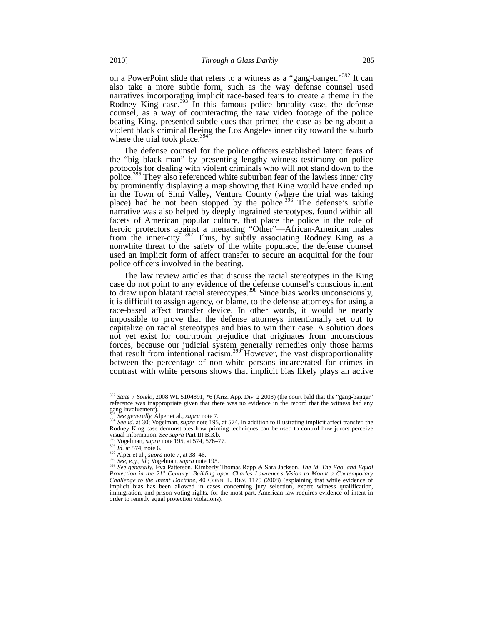on a PowerPoint slide that refers to a witness as a "gang-banger."<sup>392</sup> It can also take a more subtle form, such as the way defense counsel used narratives incorporating implicit race-based fears to create a theme in the Rodney King case.<sup>393</sup> In this famous police brutality case, the defense counsel, as a way of counteracting the raw video footage of the police beating King, presented subtle cues that primed the case as being about a violent black criminal fleeing the Los Angeles inner city toward the suburb where the trial took place. $39$ 

The defense counsel for the police officers established latent fears of the "big black man" by presenting lengthy witness testimony on police protocols for dealing with violent criminals who will not stand down to the police.<sup>395</sup> They also referenced white suburban fear of the lawless inner city by prominently displaying a map showing that King would have ended up in the Town of Simi Valley, Ventura County (where the trial was taking place) had he not been stopped by the police.<sup>396</sup> The defense's subtle narrative was also helped by deeply ingrained stereotypes, found within all facets of American popular culture, that place the police in the role of heroic protectors against a menacing "Other"—African-American males from the inner-city.  $397$  Thus, by subtly associating Rodney King as a nonwhite threat to the safety of the white populace, the defense counsel used an implicit form of affect transfer to secure an acquittal for the four police officers involved in the beating.

The law review articles that discuss the racial stereotypes in the King case do not point to any evidence of the defense counsel's conscious intent to draw upon blatant racial stereotypes.<sup>398</sup> Since bias works unconsciously, it is difficult to assign agency, or blame, to the defense attorneys for using a race-based affect transfer device. In other words, it would be nearly impossible to prove that the defense attorneys intentionally set out to capitalize on racial stereotypes and bias to win their case. A solution does not yet exist for courtroom prejudice that originates from unconscious forces, because our judicial system generally remedies only those harms that result from intentional racism.<sup>399</sup> However, the vast disproportionality between the percentage of non-white persons incarcerated for crimes in contrast with white persons shows that implicit bias likely plays an active

<sup>392</sup> *State v. Sotelo*, 2008 WL 5104891, \*6 (Ariz. App. Div. 2 2008) (the court held that the "gang-banger" reference was inappropriate given that there was no evidence in the record that the witness had any gang involvement).<br><sup>393</sup> See generally, Alper et al., *supra* note 7.

<sup>&</sup>lt;sup>394</sup> See id. at 30; Vogelman, *supra* note 195, at 574. In addition to illustrating implicit affect transfer, the Rodney King case demonstrates how priming techniques can be used to control how jurors perceive<br>visual information. See supra Part III.B.3.b. visual information. *See supra* Part III.B.3.b.<br><sup>396</sup> Vogelman, *supra* note 195, at 574, 576–77.<br><sup>396</sup> *Id.* at 574, note 6.<br><sup>397</sup> Alper et al., *supra* note 7, at 38–46.<br><sup>398</sup> *See, e.g., id.; Vogelman, supra* note 195.

*Protection in the 21st Century: Building upon Charles Lawrence's Vision to Mount a Contemporary Challenge to the Intent Doctrine*, 40 CONN. L. REV. 1175 (2008) (explaining that while evidence of implicit bias has been allowed in cases concerning jury selection, expert witness qualification, immigration, and prison voting rights, for the most part, American law requires evidence of intent in order to remedy equal protection violations).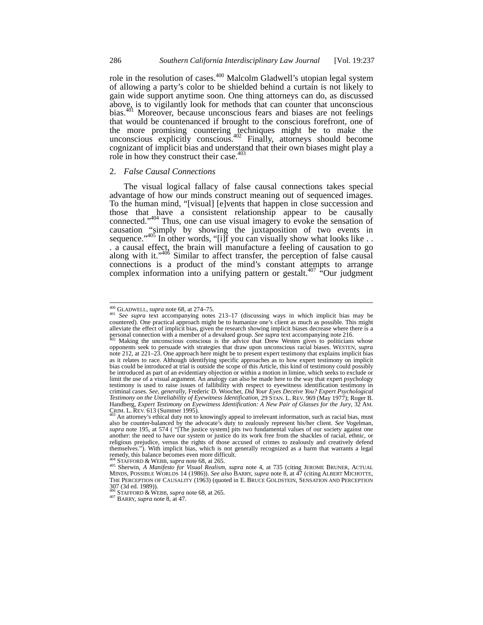role in the resolution of cases.<sup>400</sup> Malcolm Gladwell's utopian legal system of allowing a party's color to be shielded behind a curtain is not likely to gain wide support anytime soon. One thing attorneys can do, as discussed above, is to vigilantly look for methods that can counter that unconscious bias.<sup>401</sup> Moreover, because unconscious fears and biases are not feelings that would be countenanced if brought to the conscious forefront, one of the more promising countering techniques might be to make the unconscious explicitly conscious.<sup>402</sup> Finally, attorneys should become cognizant of implicit bias and understand that their own biases might play a role in how they construct their case. $40\overline{3}$ 

#### 2. *False Causal Connections*

The visual logical fallacy of false causal connections takes special advantage of how our minds construct meaning out of sequenced images. To the human mind, "[visual] [e]vents that happen in close succession and those that have a consistent relationship appear to be causally connected." $404$  Thus, one can use visual imagery to evoke the sensation of causation "simply by showing the juxtaposition of two events in sequence."<sup>405</sup> In other words, "[i]f you can visually show what looks like . . . a causal effect, the brain will manufacture a feeling of causation to go along with it."<sup>406</sup> Similar to affect transfer, the perception of false causal connections is a product of the mind's constant attempts to arrange complex information into a unifying pattern or gestalt.<sup>407</sup> "Our judgment"

 $400$  GLADWELL, *supra* note 68, at 274-75.

 $^{401}$  *See supra* text accompanying notes 213–17 (discussing ways in which implicit bias may be  $^{401}$  *See supra* text accompanying notes 213–17 (discussing ways in which implicit bias may be countered). One practical approach might be to humanize one's client as much as possible. This might alleviate the effect of implicit bias, given the research showing implicit biases decrease where there is a personal connection with a member of a devalued group. *See supra* text accompanying note 216.<br><sup>402</sup> Making the unconscious conscious is the advice that Drew Westen gives to politicians whose

opponents seek to persuade with strategies that draw upon unconscious racial biases. WESTEN, *supra*  note 212, at 221–23. One approach here might be to present expert testimony that explains implicit bias as it relates to race. Although identifying specific approaches as to how expert testimony on implicit bias could be introduced at trial is outside the scope of this Article, this kind of testimony could possibly be introduced as part of an evidentiary objection or within a motion in limine, which seeks to exclude or limit the use of a visual argument. An analogy can also be made here to the way that expert psychology testimony is used to raise issues of fallibility with respect to eyewitness identification testimony in criminal cases. *See, generally*, Frederic D. Woocher, *Did Your Eyes Deceive You? Expert Psychological Testimony on the Unreliability of Eyewitness Identification*, 29 STAN. L. REV. 969 (May 1977); Roger B. Handberg, *Expert Testimony on Eyewitness Identification: A New Pair of Glasses for the Jury*, 32 AM.<br>CRIM. L. REV. 613 (Summer 1995).<br><sup>403</sup> An attorney's ethical duty not to knowingly appeal to irrelevant information, suc

<sup>&</sup>lt;sup>403</sup> An attorney's ethical duty not to knowingly appeal to irrelevant information, such as racial bias, must also be counter-balanced by the advocate's duty to zealously represent his/her client. *See* Vogelman, *supra* note 195, at 574 ( "[The justice system] pits two fundamental values of our society against one another: the need to have our system or justice do its work free from the shackles of racial, ethnic, or religious prejudice, versus the rights of those accused of crimes to zealously and creatively defend themselves."). With implicit bias, which is not generally recognized as a harm that warrants a legal remedy, this balance becomes even more difficult.

<sup>&</sup>lt;sup>404</sup> STAFFORD & WEBB, *supra* note 68, at 265.<br><sup>405</sup> Sherwin, *A Manifesto for Visual Realism*, *supra* note 4, at 735 (citing JEROME BRUNER, ACTUAL MINDS, POSSIBLE WORLDS 14 (1986)). *See also* BARRY, *supra* note 8, at 47 (citing ALBERT MICHOTTE, THE PERCEPTION OF CAUSALITY (1963) (quoted in E. BRUCE GOLDSTEIN, SENSATION AND PERCEPTION 307 (3d ed. 1989)).

<sup>406</sup> STAFFORD & WEBB, *supra* note 68, at 265. <sup>407</sup> BARRY, *supra* note 8, at 47.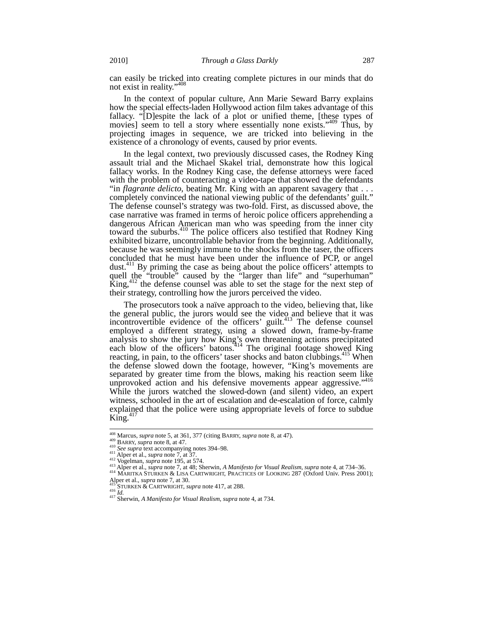can easily be tricked into creating complete pictures in our minds that do not exist in reality."408

In the context of popular culture, Ann Marie Seward Barry explains how the special effects-laden Hollywood action film takes advantage of this fallacy. "[D]espite the lack of a plot or unified theme, [these types of movies] seem to tell a story where essentially none exists."<sup>409</sup> Thus, by projecting images in sequence, we are tricked into believing in the existence of a chronology of events, caused by prior events.

In the legal context, two previously discussed cases, the Rodney King assault trial and the Michael Skakel trial, demonstrate how this logical fallacy works. In the Rodney King case, the defense attorneys were faced with the problem of counteracting a video-tape that showed the defendants "in *flagrante delicto*, beating Mr. King with an apparent savagery that . . . completely convinced the national viewing public of the defendants' guilt." The defense counsel's strategy was two-fold. First, as discussed above, the case narrative was framed in terms of heroic police officers apprehending a dangerous African American man who was speeding from the inner city toward the suburbs.<sup>410</sup> The police officers also testified that Rodney King exhibited bizarre, uncontrollable behavior from the beginning. Additionally, because he was seemingly immune to the shocks from the taser, the officers concluded that he must have been under the influence of PCP, or angel dust.<sup>411</sup> By priming the case as being about the police officers' attempts to quell the "trouble" caused by the "larger than life" and "superhuman"  $\text{King},^{412}$  the defense counsel was able to set the stage for the next step of their strategy, controlling how the jurors perceived the video.

The prosecutors took a naïve approach to the video, believing that, like the general public, the jurors would see the video and believe that it was incontrovertible evidence of the officers' guilt.<sup>413</sup> The defense counsel employed a different strategy, using a slowed down, frame-by-frame analysis to show the jury how King's own threatening actions precipitated each blow of the officers' batons.<sup>414</sup> The original footage showed King reacting, in pain, to the officers' taser shocks and baton clubbings.<sup>415</sup> When the defense slowed down the footage, however, "King's movements are separated by greater time from the blows, making his reaction seem like unprovoked action and his defensive movements appear aggressive."<sup>416</sup> While the jurors watched the slowed-down (and silent) video, an expert witness, schooled in the art of escalation and de-escalation of force, calmly explained that the police were using appropriate levels of force to subdue  $\overline{\text{King}}$ .

<sup>408</sup> Marcus, *supra* note 5, at 361, 377 (citing BARRY, *supra* note 8, at 47).

<sup>&</sup>lt;sup>449</sup> BARRY, *supra* note 8, at 301, 377 (calling 2010). The support of the supra of the RARRY, supra note 8, at 47.<br>
<sup>410</sup> See supra text accompanying notes 394–98.<br>
<sup>412</sup> Vogelman, *supra* note 195, at 574.<br>
<sup>412</sup> Vogelm

Alper et al., *supra* note 7, at 30. <sup>415</sup> STURKEN & CARTWRIGHT, *supra* note 417, at 288. <sup>416</sup> *Id.* <sup>417</sup> Sherwin, *A Manifesto for Visual Realism*, *supra* note 4, at 734.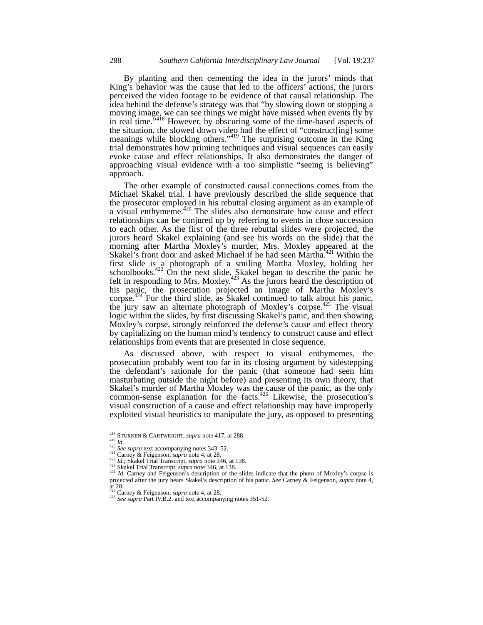By planting and then cementing the idea in the jurors' minds that King's behavior was the cause that led to the officers' actions, the jurors perceived the video footage to be evidence of that causal relationship. The idea behind the defense's strategy was that "by slowing down or stopping a moving image, we can see things we might have missed when events fly by in real time.<sup>5,418</sup> However, by obscuring some of the time-based aspects of the situation, the slowed down video had the effect of "construct[ing] some meanings while blocking others."<sup>419</sup> The surprising outcome in the King trial demonstrates how priming techniques and visual sequences can easily evoke cause and effect relationships. It also demonstrates the danger of approaching visual evidence with a too simplistic "seeing is believing" approach.

The other example of constructed causal connections comes from the Michael Skakel trial. I have previously described the slide sequence that the prosecutor employed in his rebuttal closing argument as an example of a visual enthymeme.<sup>420</sup> The slides also demonstrate how cause and effect relationships can be conjured up by referring to events in close succession to each other. As the first of the three rebuttal slides were projected, the jurors heard Skakel explaining (and see his words on the slide) that the morning after Martha Moxley's murder, Mrs. Moxley appeared at the Skakel's front door and asked Michael if he had seen Martha.<sup>421</sup> Within the first slide is a photograph of a smiling Martha Moxley, holding her schoolbooks.<sup>422</sup> On the next slide, Skakel began to describe the panic he felt in responding to Mrs. Moxley.<sup>423</sup> As the jurors heard the description of his panic, the prosecution projected an image of Martha Moxley's corpse.<sup>424</sup> For the third slide, as Skakel continued to talk about his panic, the jury saw an alternate photograph of Moxley's corpse.<sup>425</sup> The visual logic within the slides, by first discussing Skakel's panic, and then showing Moxley's corpse, strongly reinforced the defense's cause and effect theory by capitalizing on the human mind's tendency to construct cause and effect relationships from events that are presented in close sequence.

As discussed above, with respect to visual enthymemes, the prosecution probably went too far in its closing argument by sidestepping the defendant's rationale for the panic (that someone had seen him masturbating outside the night before) and presenting its own theory, that Skakel's murder of Martha Moxley was the cause of the panic, as the only common-sense explanation for the facts. $426$  Likewise, the prosecution's visual construction of a cause and effect relationship may have improperly exploited visual heuristics to manipulate the jury, as opposed to presenting

<sup>&</sup>lt;sup>418</sup> STURKEN & CARTWRIGHT, supra note 417, at 288.

<sup>&</sup>lt;sup>419</sup> *Id.*<br>
<sup>420</sup> *Id.*<br>
<sup>420</sup> *See supra* text accompanying notes 343–52.<br>
<sup>421</sup> Carney & Feigenson, *supra* note 4, at 28.<br>
<sup>422</sup> *Id.*; Skakel Trial Transcript, *supra* note 346, at 138.<br>
<sup>423</sup> Skakel Trial Transcript projected after the jury hears Skakel's description of his panic. *See* Carney & Feigenson, *supra* note 4,

at 28.<br><sup>425</sup> Carney & Feigenson, *supra* note 4, at 28.

<sup>&</sup>lt;sup>426</sup> See supra Part IV.B.2. and text accompanying notes 351-52.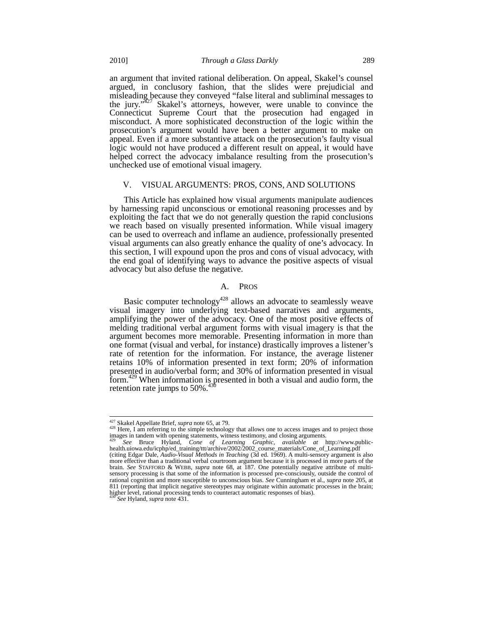an argument that invited rational deliberation. On appeal, Skakel's counsel argued, in conclusory fashion, that the slides were prejudicial and misleading because they conveyed "false literal and subliminal messages to the jury. $\frac{1}{27}$  Skakel's attorneys, however, were unable to convince the Connecticut Supreme Court that the prosecution had engaged in misconduct. A more sophisticated deconstruction of the logic within the prosecution's argument would have been a better argument to make on appeal. Even if a more substantive attack on the prosecution's faulty visual logic would not have produced a different result on appeal, it would have helped correct the advocacy imbalance resulting from the prosecution's unchecked use of emotional visual imagery.

# V. VISUAL ARGUMENTS: PROS, CONS, AND SOLUTIONS

This Article has explained how visual arguments manipulate audiences by harnessing rapid unconscious or emotional reasoning processes and by exploiting the fact that we do not generally question the rapid conclusions we reach based on visually presented information. While visual imagery can be used to overreach and inflame an audience, professionally presented visual arguments can also greatly enhance the quality of one's advocacy. In this section, I will expound upon the pros and cons of visual advocacy, with the end goal of identifying ways to advance the positive aspects of visual advocacy but also defuse the negative.

# A. PROS

Basic computer technology<sup>428</sup> allows an advocate to seamlessly weave visual imagery into underlying text-based narratives and arguments, amplifying the power of the advocacy. One of the most positive effects of melding traditional verbal argument forms with visual imagery is that the argument becomes more memorable. Presenting information in more than one format (visual and verbal, for instance) drastically improves a listener's rate of retention for the information. For instance, the average listener retains 10% of information presented in text form; 20% of information presented in audio/verbal form; and 30% of information presented in visual form.<sup>429</sup> When information is presented in both a visual and audio form, the retention rate jumps to 50%.

<sup>&</sup>lt;sup>427</sup> Skakel Appellate Brief, *supra* note 65, at 79.<br><sup>428</sup> Here, I am referring to the simple technology that allows one to access images and to project those images in tandem with opening statements, witness testimony, and closing arguments.

<sup>429</sup> *See* Bruce Hyland, *Cone of Learning Graphic*, *available at* http://www.public-health.uiowa.edu/icphp/ed\_training/ttt/archive/2002/2002\_course\_materials/Cone\_of\_Learning.pdf (citing Edgar Dale, *Audio-Visual Methods in Teaching* (3d ed. 1969). A multi-sensory argument is also more effective than a traditional verbal courtroom argument because it is processed in more parts of the brain. *See* STAFFORD & WEBB, *supra* note 68, at 187. One potentially negative attribute of multisensory processing is that some of the information is processed pre-consciously, outside the control of

rational cognition and more susceptible to unconscious bias. *See* Cunningham et al., *supra* note 205, at 811 (reporting that implicit negative stereotypes may originate within automatic processes in the brain; higher level, rational processing tends to counteract automatic responses of bias).

<sup>430</sup> *See* Hyland, *supra* note 431.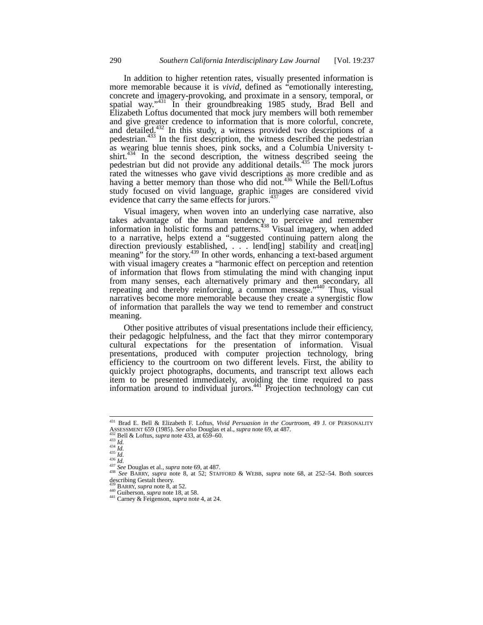In addition to higher retention rates, visually presented information is more memorable because it is *vivid*, defined as "emotionally interesting, concrete and imagery-provoking, and proximate in a sensory, temporal, or spatial way."<sup>431</sup> In their groundbreaking 1985 study, Brad Bell and Elizabeth Loftus documented that mock jury members will both remember and give greater credence to information that is more colorful, concrete, and detailed. $432$  In this study, a witness provided two descriptions of a pedestrian.<sup>433</sup> In the first description, the witness described the pedestrian as wearing blue tennis shoes, pink socks, and a Columbia University tshirt.<sup>434</sup> In the second description, the witness described seeing the pedestrian but did not provide any additional details.<sup>435</sup> The mock jurors rated the witnesses who gave vivid descriptions as more credible and as having a better memory than those who did not.<sup>436</sup> While the Bell/Loftus study focused on vivid language, graphic images are considered vivid evidence that carry the same effects for  $\frac{1}{437}$ 

Visual imagery, when woven into an underlying case narrative, also takes advantage of the human tendency to perceive and remember information in holistic forms and patterns.<sup>438</sup> Visual imagery, when added to a narrative, helps extend a "suggested continuing pattern along the direction previously established, . . . lend[ing] stability and creat[ing] meaning" for the story.<sup>439</sup> In other words, enhancing a text-based argument with visual imagery creates a "harmonic effect on perception and retention of information that flows from stimulating the mind with changing input from many senses, each alternatively primary and then secondary, all repeating and thereby reinforcing, a common message.<sup>3440</sup> Thus, visual narratives become more memorable because they create a synergistic flow of information that parallels the way we tend to remember and construct meaning.

Other positive attributes of visual presentations include their efficiency, their pedagogic helpfulness, and the fact that they mirror contemporary cultural expectations for the presentation of information. Visual presentations, produced with computer projection technology, bring efficiency to the courtroom on two different levels. First, the ability to quickly project photographs, documents, and transcript text allows each item to be presented immediately, avoiding the time required to pass information around to individual jurors. $441$  Projection technology can cut

<sup>431</sup> Brad E. Bell & Elizabeth F. Loftus, *Vivid Persuasion in the Courtroom*, 49 J. OF PERSONALITY ASSESSMENT 659 (1985). See also Douglas et al., *supra* note 69, at 487.<br>
<sup>432</sup> Bell & Loftus, *supra* note 433, at 659–60.<br>
<sup>433</sup> Id.<br>
<sup>434</sup> Id.<br>
<sup>436</sup> Id.<br>
<sup>436</sup> Id.<br>
<sup>436</sup> Id.<br>
<sup>436</sup> Id.<br>
<sup>437</sup> See Douglas et al., *sup* 

describing Gestalt theory.<br> $^{439}_{429}$  BARRY, *supra* note 8, at 52.

<sup>439</sup> BARRY, *supra* note 8, at 52. <sup>440</sup> Guiberson, *supra* note 18, at 58. <sup>441</sup> Carney & Feigenson, *supra* note 4, at 24.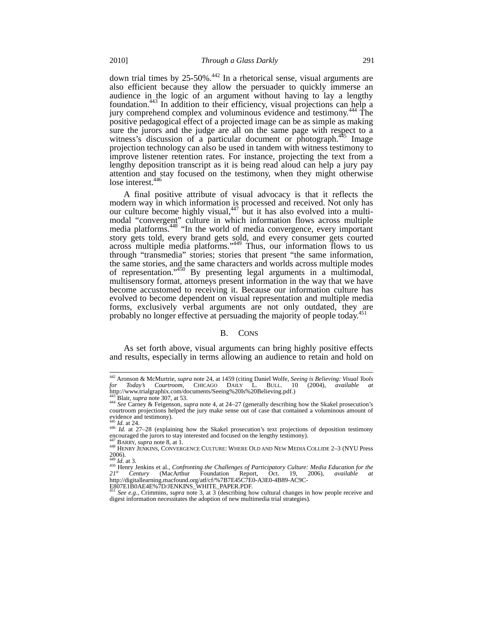down trial times by  $25{\text -}50\%$ .<sup>442</sup> In a rhetorical sense, visual arguments are also efficient because they allow the persuader to quickly immerse an audience in the logic of an argument without having to lay a lengthy foundation.443 In addition to their efficiency, visual projections can help a jury comprehend complex and voluminous evidence and testimony.<sup>444</sup> The positive pedagogical effect of a projected image can be as simple as making sure the jurors and the judge are all on the same page with respect to a witness's discussion of a particular document or photograph.<sup>445</sup> Image projection technology can also be used in tandem with witness testimony to improve listener retention rates. For instance, projecting the text from a lengthy deposition transcript as it is being read aloud can help a jury pay attention and stay focused on the testimony, when they might otherwise lose interest.<sup>446</sup>

A final positive attribute of visual advocacy is that it reflects the modern way in which information is processed and received. Not only has our culture become highly visual,  $447$  but it has also evolved into a multimodal "convergent" culture in which information flows across multiple media platforms.<sup>448</sup> "In the world of media convergence, every important story gets told, every brand gets sold, and every consumer gets courted across multiple media platforms."<sup>449</sup> Thus, our information flows to us through "transmedia" stories; stories that present "the same information, the same stories, and the same characters and worlds across multiple modes of representation."450 By presenting legal arguments in a multimodal, multisensory format, attorneys present information in the way that we have become accustomed to receiving it. Because our information culture has evolved to become dependent on visual representation and multiple media forms, exclusively verbal arguments are not only outdated, they are probably no longer effective at persuading the majority of people today.<sup>451</sup>

## B. CONS

As set forth above, visual arguments can bring highly positive effects and results, especially in terms allowing an audience to retain and hold on

 $\overline{\phantom{a}}$ 

<sup>442</sup> Aronson & McMurtrie, *supra* note 24, at 1459 (citing Daniel Wolfe, *Seeing is Believing: Visual Tools for Today's Courtroom*, CHICAGO DAILY L. BULL. 10 (2004), *available at* http://www.trialgraphix.com/documents/Seeing%20Is%20Believing.pdf.)

<sup>443</sup> Blair, *supra* note 307, at 53.<br><sup>444</sup> *See* Carney & Feigenson, *supra* note 4, at 24–27 (generally describing how the Skakel prosecution's courtroom projections helped the jury make sense out of case that contained a voluminous amount of evidence and testimony).

<sup>445</sup> *Id.* at 24. <sup>446</sup> *Id.* at 27–28 (explaining how the Skakel prosecution's text projections of deposition testimony encouraged the jurors to stay interested and focused on the lengthy testimony).

<sup>&</sup>lt;sup>447</sup> BARRY, *supra* note 8, at 1.<br><sup>448</sup> HENRY JENKINS, CONVERGENCE CULTURE: WHERE OLD AND NEW MEDIA COLLIDE 2–3 (NYU Press  $2006$ ).

<sup>&</sup>lt;sup>449</sup> *Id*. at 3.<br><sup>450</sup> Henry Jenkins et al., *Confronting the Challenges of Participatory Culture: Media Education for the 21st Century* (MacArthur Foundation Report, Oct. 19, 2006), *available at* http://digitallearning.macfound.org/atf/cf/%7B7E45C7E0-A3E0-4B89-AC9C-<br>E807E1B0AE4E%7D/JENKINS\_WHITE\_PAPER.PDF.<br><sup>451</sup> *See e.g.*, Crimmins, *supra* note 3, at 3 (describing how cultural changes in how people receive and

digest information necessitates the adoption of new multimedia trial strategies).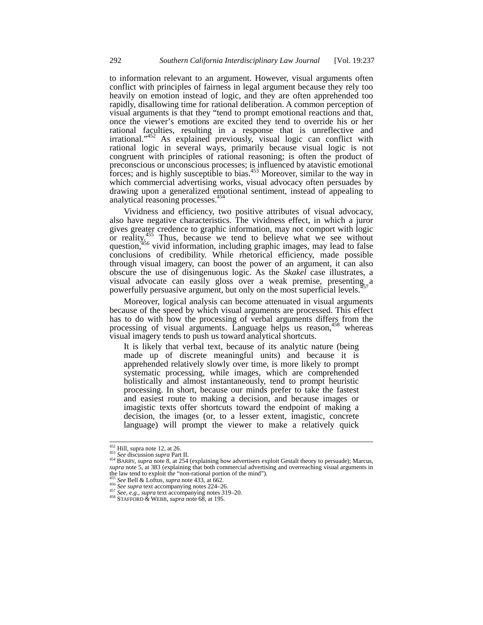to information relevant to an argument. However, visual arguments often conflict with principles of fairness in legal argument because they rely too heavily on emotion instead of logic, and they are often apprehended too rapidly, disallowing time for rational deliberation. A common perception of visual arguments is that they "tend to prompt emotional reactions and that, once the viewer's emotions are excited they tend to override his or her rational faculties, resulting in a response that is unreflective and irrational."<sup>452</sup> As explained previously, visual logic can conflict with rational logic in several ways, primarily because visual logic is not congruent with principles of rational reasoning; is often the product of preconscious or unconscious processes; is influenced by atavistic emotional forces; and is highly susceptible to bias.<sup>453</sup> Moreover, similar to the way in which commercial advertising works, visual advocacy often persuades by drawing upon a generalized emotional sentiment, instead of appealing to analytical reasoning processes.<sup>454</sup>

Vividness and efficiency, two positive attributes of visual advocacy, also have negative characteristics. The vividness effect, in which a juror gives greater credence to graphic information, may not comport with logic or reality.<sup>455</sup> Thus, because we tend to believe what we see without dividends, because we tend to believe what we see which question,<sup>456</sup> vivid information, including graphic images, may lead to false conclusions of credibility. While rhetorical efficiency, made possible through visual imagery, can boost the power of an argument, it can also obscure the use of disingenuous logic. As the *Skakel* case illustrates, a visual advocate can easily gloss over a weak premise, presenting a powerfully persuasive argument, but only on the most superficial levels.<sup>4</sup>

Moreover, logical analysis can become attenuated in visual arguments because of the speed by which visual arguments are processed. This effect has to do with how the processing of verbal arguments differs from the processing of visual arguments. Language helps us reason,<sup>458</sup> whereas visual imagery tends to push us toward analytical shortcuts.

It is likely that verbal text, because of its analytic nature (being made up of discrete meaningful units) and because it is apprehended relatively slowly over time, is more likely to prompt systematic processing, while images, which are comprehended holistically and almost instantaneously, tend to prompt heuristic processing. In short, because our minds prefer to take the fastest and easiest route to making a decision, and because images or imagistic texts offer shortcuts toward the endpoint of making a decision, the images (or, to a lesser extent, imagistic, concrete language) will prompt the viewer to make a relatively quick

 $452$  Hill, supra note 12, at 26.

<sup>453</sup> *See* discussion *supra* Part II.<br><sup>454</sup> BARRY, *supra* note 8, at 254 (explaining how advertisers exploit Gestalt theory to persuade); Marcus, *supra* note 5, at 383 (explaining that both commercial advertising and overreaching visual arguments in the law tend to exploit the "non-rational portion of the mind").

<sup>&</sup>lt;sup>455</sup> See Bell & Loftus, *supra* note 433, at 662.<br><sup>456</sup> See Bell & Loftus, *supra* note 433, at 662.<br><sup>456</sup> See *supra* text accompanying notes 319–20.<br><sup>458</sup> STAFFORD & WEBB, *supra* note 68, at 195.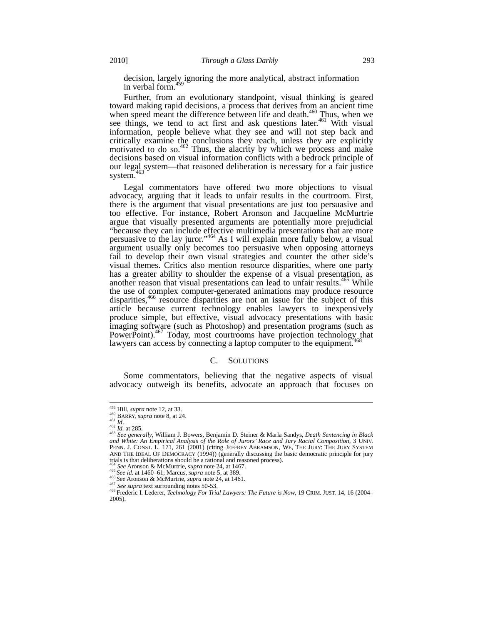decision, largely ignoring the more analytical, abstract information in verbal form.<sup>459</sup>

Further, from an evolutionary standpoint, visual thinking is geared toward making rapid decisions, a process that derives from an ancient time when speed meant the difference between life and death. $460$  Thus, when we see things, we tend to act first and ask questions later.<sup>461</sup> With visual information, people believe what they see and will not step back and critically examine the conclusions they reach, unless they are explicitly motivated to do so. $462$  Thus, the alacrity by which we process and make decisions based on visual information conflicts with a bedrock principle of our legal system—that reasoned deliberation is necessary for a fair justice system.<sup>463</sup>

Legal commentators have offered two more objections to visual advocacy, arguing that it leads to unfair results in the courtroom. First, there is the argument that visual presentations are just too persuasive and too effective. For instance, Robert Aronson and Jacqueline McMurtrie argue that visually presented arguments are potentially more prejudicial "because they can include effective multimedia presentations that are more persuasive to the lay juror."<sup>464</sup> As I will explain more fully below, a visual argument usually only becomes too persuasive when opposing attorneys fail to develop their own visual strategies and counter the other side's visual themes. Critics also mention resource disparities, where one party has a greater ability to shoulder the expense of a visual presentation, as another reason that visual presentations can lead to unfair results.<sup>465</sup> While the use of complex computer-generated animations may produce resource disparities,<sup>466</sup> resource disparities are not an issue for the subject of this article because current technology enables lawyers to inexpensively produce simple, but effective, visual advocacy presentations with basic imaging software (such as Photoshop) and presentation programs (such as PowerPoint).<sup>467</sup> Today, most courtrooms have projection technology that lawyers can access by connecting a laptop computer to the equipment.<sup>4</sup>

# C. SOLUTIONS

Some commentators, believing that the negative aspects of visual advocacy outweigh its benefits, advocate an approach that focuses on

 $459$  Hill, *supra* note 12, at 33.

Hand, Sapra note 8, at 24.<br>
461 Id.<br>
462 Id. at 285.<br>
463 Id. at 285.<br>
463 See generally, William J. Bowers, Benjamin D. Steiner & Marla Sandys, *Death Sentencing in Black*<br>
463 See generally, William J. Bowers, Benjamin D PENN. J. CONST. L. 171, 261 (2001) (citing JEFFREY ABRAMSON, WE, THE JURY: THE JURY SYSTEM AND THE IDEAL OF DEMOCRACY (1994)) (generally discussing the basic democratic principle for jury trials is that deliberations should be a rational and reasoned process).<br> $464$  See Aronson & McMurtrie, *supra* note 24, at 1467.

<sup>&</sup>lt;sup>465</sup> See id. at 1460–61; Marcus, *supra* note 5, at 389.<br><sup>466</sup> See Aronson & McMurtrie, *supra* note 24, at 1461.<br><sup>467</sup> See supra text surrounding notes 50-53.<br><sup>468</sup> Frederic I. Lederer, *Technology For Trial Lawyers: Th* 2005).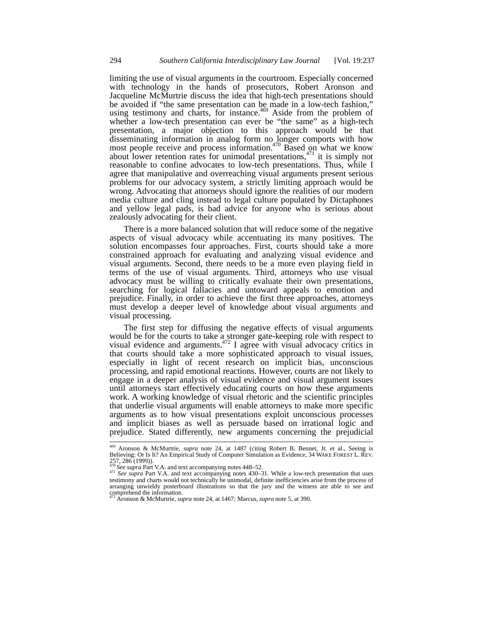limiting the use of visual arguments in the courtroom. Especially concerned with technology in the hands of prosecutors, Robert Aronson and Jacqueline McMurtrie discuss the idea that high-tech presentations should be avoided if "the same presentation can be made in a low-tech fashion," using testimony and charts, for instance.<sup>469</sup> Aside from the problem of whether a low-tech presentation can ever be "the same" as a high-tech presentation, a major objection to this approach would be that disseminating information in analog form no longer comports with how most people receive and process information.<sup>470</sup> Based on what we know about lower retention rates for unimodal presentations, $471$  it is simply not reasonable to confine advocates to low-tech presentations. Thus, while I agree that manipulative and overreaching visual arguments present serious problems for our advocacy system, a strictly limiting approach would be wrong. Advocating that attorneys should ignore the realities of our modern media culture and cling instead to legal culture populated by Dictaphones and yellow legal pads, is bad advice for anyone who is serious about zealously advocating for their client.

There is a more balanced solution that will reduce some of the negative aspects of visual advocacy while accentuating its many positives. The solution encompasses four approaches. First, courts should take a more constrained approach for evaluating and analyzing visual evidence and visual arguments. Second, there needs to be a more even playing field in terms of the use of visual arguments. Third, attorneys who use visual advocacy must be willing to critically evaluate their own presentations, searching for logical fallacies and untoward appeals to emotion and prejudice. Finally, in order to achieve the first three approaches, attorneys must develop a deeper level of knowledge about visual arguments and visual processing.

The first step for diffusing the negative effects of visual arguments would be for the courts to take a stronger gate-keeping role with respect to visual evidence and arguments. $472$  I agree with visual advocacy critics in that courts should take a more sophisticated approach to visual issues, especially in light of recent research on implicit bias, unconscious processing, and rapid emotional reactions. However, courts are not likely to engage in a deeper analysis of visual evidence and visual argument issues until attorneys start effectively educating courts on how these arguments work. A working knowledge of visual rhetoric and the scientific principles that underlie visual arguments will enable attorneys to make more specific arguments as to how visual presentations exploit unconscious processes and implicit biases as well as persuade based on irrational logic and prejudice. Stated differently, new arguments concerning the prejudicial

<sup>469</sup> <sup>469</sup> Aronson & McMurtrie, *supra* note 24, at 1487 (citing Robert B. Bennet, Jr. et al., Seeing is Believing: Or Is It? An Empirical Study of Computer Simulation as Evidence, 34 WAKE FOREST L. REV. 257, 286 (1999)).<br><sup>470</sup> See supra Part V.A. and text accompanying notes 448–52.

<sup>470</sup> *See supra* Part V.A. and text accompanying notes 448–52. <sup>471</sup> *See supra* Part V.A. and text accompanying notes 430–31. While a low-tech presentation that uses testimony and charts would not technically be unimodal, definite inefficiencies arise from the process of arranging unwieldy posterboard illustrations so that the jury and the witness are able to see and comprehend the information. <sup>472</sup> Aronson & McMurtrie, *supra* note 24, at 1467; Marcus, *supra* note 5, at 390.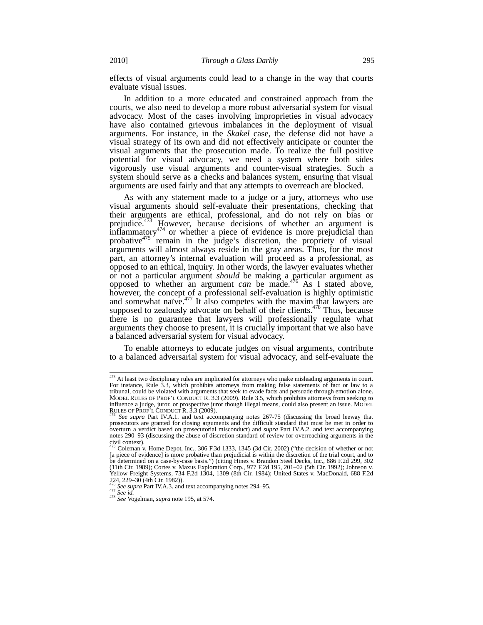effects of visual arguments could lead to a change in the way that courts evaluate visual issues.

In addition to a more educated and constrained approach from the courts, we also need to develop a more robust adversarial system for visual advocacy. Most of the cases involving improprieties in visual advocacy have also contained grievous imbalances in the deployment of visual arguments. For instance, in the *Skakel* case, the defense did not have a visual strategy of its own and did not effectively anticipate or counter the visual arguments that the prosecution made. To realize the full positive potential for visual advocacy, we need a system where both sides vigorously use visual arguments and counter-visual strategies. Such a system should serve as a checks and balances system, ensuring that visual arguments are used fairly and that any attempts to overreach are blocked.

As with any statement made to a judge or a jury, attorneys who use visual arguments should self-evaluate their presentations, checking that their arguments are ethical, professional, and do not rely on bias or prejudice.<sup>473</sup> However, because decisions of whether an argument is  $\frac{1}{2}$ inflammatory<sup>474</sup> or whether a piece of evidence is more prejudicial than probative $475$  remain in the judge's discretion, the propriety of visual arguments will almost always reside in the gray areas. Thus, for the most part, an attorney's internal evaluation will proceed as a professional, as opposed to an ethical, inquiry. In other words, the lawyer evaluates whether or not a particular argument *should* be making a particular argument as opposed to whether an argument *can* be made.<sup>476</sup> As I stated above, however, the concept of a professional self-evaluation is highly optimistic and somewhat naïve. $477$  It also competes with the maxim that lawyers are supposed to zealously advocate on behalf of their clients.<sup>478</sup> Thus, because there is no guarantee that lawyers will professionally regulate what arguments they choose to present, it is crucially important that we also have a balanced adversarial system for visual advocacy.

To enable attorneys to educate judges on visual arguments, contribute to a balanced adversarial system for visual advocacy, and self-evaluate the

 $\overline{\phantom{a}}$ 

 $473$  At least two disciplinary rules are implicated for attorneys who make misleading arguments in court. For instance, Rule 3.3, which prohibits attorneys from making false statements of fact or law to a tribunal, could be violated with arguments that seek to evade facts and persuade through emotion alone.<br>MODEL RULES OF PROF'L CONDUCT R. 3.3 (2009). Rule 3.5, which prohibits attorneys from seeking to MODEL RULES OF PROF'L CONDUCT R. 3.3 (2009). Rule 3.5, which prohibits attorneys from seeking to influence a judge, juror, or prospective juror though illegal means, could also present an issue. MODEL<br>RULES OF PROF'L CONDUCT R. 3.3 (2009).<br><sup>474</sup> See supra Part IV.A.1. and text accompanying notes 267-75 (discussing the

prosecutors are granted for closing arguments and the difficult standard that must be met in order to overturn a verdict based on prosecutorial misconduct) and *supra* Part IV.A.2. and text accompanying notes 290–93 (discussing the abuse of discretion standard of review for overreaching arguments in the civil context).

<sup>475</sup> Coleman v. Home Depot, Inc., 306 F.3d 1333, 1345 (3d Cir. 2002) ("the decision of whether or not [a piece of evidence] is more probative than prejudicial is within the discretion of the trial court, and to be determined on a case-by-case basis.") (citing Hines v. Brandon Steel Decks, Inc., 886 F.2d 299, 302 (11th Cir. 1989); Cortes v. Maxus Exploration Corp., 977 F.2d 195, 201–02 (5th Cir. 1992); Johnson v. Yellow Freight Systems, 734 F.2d 1304, 1309 (8th Cir. 1984); United States v. MacDonald, 688 F.2d

<sup>224, 229–30 (4</sup>th Cir. 1982)). <sup>476</sup> *See supra* Part IV.A.3. and text accompanying notes 294–95. <sup>477</sup> *See id.* <sup>478</sup> *See* Vogelman, *supra* note 195, at 574.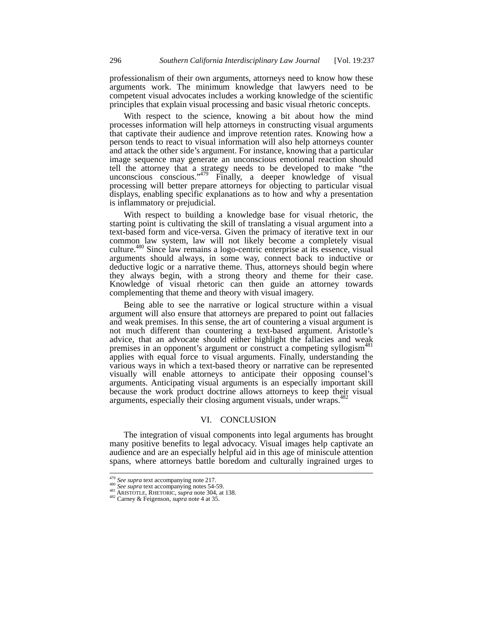professionalism of their own arguments, attorneys need to know how these arguments work. The minimum knowledge that lawyers need to be competent visual advocates includes a working knowledge of the scientific principles that explain visual processing and basic visual rhetoric concepts.

With respect to the science, knowing a bit about how the mind processes information will help attorneys in constructing visual arguments that captivate their audience and improve retention rates. Knowing how a person tends to react to visual information will also help attorneys counter and attack the other side's argument. For instance, knowing that a particular image sequence may generate an unconscious emotional reaction should tell the attorney that a strategy needs to be developed to make "the unconscious conscious." $479$  Finally, a deeper knowledge of visual processing will better prepare attorneys for objecting to particular visual displays, enabling specific explanations as to how and why a presentation is inflammatory or prejudicial.

With respect to building a knowledge base for visual rhetoric, the starting point is cultivating the skill of translating a visual argument into a text-based form and vice-versa. Given the primacy of iterative text in our common law system, law will not likely become a completely visual culture.480 Since law remains a logo-centric enterprise at its essence, visual arguments should always, in some way, connect back to inductive or deductive logic or a narrative theme. Thus, attorneys should begin where they always begin, with a strong theory and theme for their case. Knowledge of visual rhetoric can then guide an attorney towards complementing that theme and theory with visual imagery.

Being able to see the narrative or logical structure within a visual argument will also ensure that attorneys are prepared to point out fallacies and weak premises. In this sense, the art of countering a visual argument is not much different than countering a text-based argument. Aristotle's advice, that an advocate should either highlight the fallacies and weak premises in an opponent's argument or construct a competing syllogism<sup>481</sup> applies with equal force to visual arguments. Finally, understanding the various ways in which a text-based theory or narrative can be represented visually will enable attorneys to anticipate their opposing counsel's arguments. Anticipating visual arguments is an especially important skill because the work product doctrine allows attorneys to keep their visual arguments, especially their closing argument visuals, under wraps.<sup>482</sup>

# VI. CONCLUSION

The integration of visual components into legal arguments has brought many positive benefits to legal advocacy. Visual images help captivate an audience and are an especially helpful aid in this age of miniscule attention spans, where attorneys battle boredom and culturally ingrained urges to

<sup>479</sup> *See supra* text accompanying note 217. <sup>480</sup> *See supra* text accompanying notes 54-59. <sup>481</sup> ARISTOTLE, RHETORIC, *supra* note 304, at 138. <sup>482</sup> Carney & Feigenson, *supra* note 4 at 35.